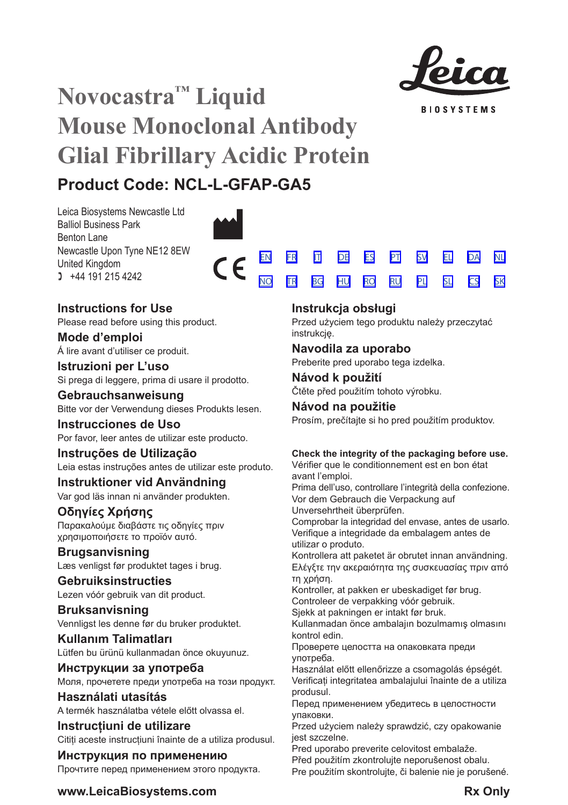

**BIOSYSTEMS** 

[SV](#page-20-0) [EL](#page-23-0) [DA](#page-26-0) [PL](#page-50-0) [SL](#page-53-0) [CS](#page-56-0)

[NL](#page-29-0)

[SK](#page-59-0)

# **Novocastra™ Liquid Mouse Monoclonal Antibody Glial Fibrillary Acidic Protein**

# **Product Code: NCL-L-GFAP-GA5**

Leica Biosystems Newcastle Ltd Balliol Business Park Benton Lane Newcastle Upon Tyne NE12 8EW United Kingdom  $1 +44 191 215 4242$ 



# **Instructions for Use**

Please read before using this product.

**Mode d'emploi** Á lire avant d'utiliser ce produit.

**Istruzioni per L'uso** Si prega di leggere, prima di usare il prodotto.

**Gebrauchsanweisung** Bitte vor der Verwendung dieses Produkts lesen.

**Instrucciones de Uso** Por favor, leer antes de utilizar este producto.

# **Instruções de Utilização**

Leia estas instruções antes de utilizar este produto.

# **Instruktioner vid Användning** Var god läs innan ni använder produkten.

**Οδηγίες Χρήσης**

Παρακαλούμε διαβάστε τις οδηγίες πριν χρησιμοποιήσετε το προϊόν αυτό.

# **Brugsanvisning**

Læs venligst før produktet tages i brug.

# **Gebruiksinstructies**

Lezen vóór gebruik van dit product.

# **Bruksanvisning** Vennligst les denne før du bruker produktet.

**Kullanım Talimatları** Lütfen bu ürünü kullanmadan önce okuyunuz.

**Инструкции за употреба** Моля, прочетете преди употреба на този продукт.

**Használati utasítás** A termék használatba vétele előtt olvassa el.

**Instrucțiuni de utilizare** Cititi aceste instructiuni înainte de a utiliza produsul.

# **Инструкция по применению** Прочтите перед применением этого продукта.

# **Instrukcja obsługi**

[EN](#page-2-0) [FR](#page-5-0) [IT](#page-8-0) [DE](#page-11-0) [ES](#page-14-0) [PT](#page-17-0) <u>[NO](#page-32-0) [TR](#page-35-0) [BG](#page-38-0) [HU](#page-41-0) [RO](#page-44-0) [RU](#page-47-0)</u>

> Przed użyciem tego produktu należy przeczytać instrukcję.

# **Navodila za uporabo**

Preberite pred uporabo tega izdelka.

# **Návod k použití** Čtěte před použitím tohoto výrobku.

# **Návod na použitie**

Prosím, prečítajte si ho pred použitím produktov.

# **Check the integrity of the packaging before use.**

Vérifier que le conditionnement est en bon état avant l'emploi.

Prima dell'uso, controllare l'integrità della confezione. Vor dem Gebrauch die Verpackung auf

Unversehrtheit überprüfen.

Comprobar la integridad del envase, antes de usarlo. Verifique a integridade da embalagem antes de utilizar o produto.

Kontrollera att paketet är obrutet innan användning. Ελέγξτε την ακεραιότητα της συσκευασίας πριν από τη χρήση.

Kontroller, at pakken er ubeskadiget før brug. Controleer de verpakking vóór gebruik.

Sjekk at pakningen er intakt før bruk.

Kullanmadan önce ambalajın bozulmamış olmasını kontrol edin.

Проверете целостта на опаковката преди употреба.

Használat előtt ellenőrizze a csomagolás épségét. Verificați integritatea ambalajului înainte de a utiliza produsul.

Перед применением убедитесь в целостности упаковки.

Przed użyciem należy sprawdzić, czy opakowanie jest szczelne.

Pred uporabo preverite celovitost embalaže.

Před použitím zkontrolujte neporušenost obalu. Pre použitím skontrolujte, či balenie nie je porušené.

# **www.LeicaBiosystems.com Rx** Only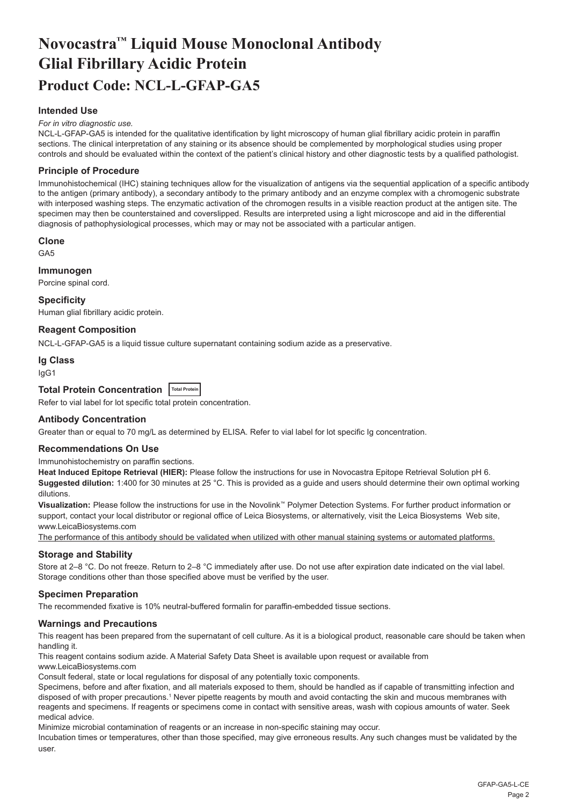# <span id="page-2-0"></span>**Novocastra™ Liquid Mouse Monoclonal Antibody Glial Fibrillary Acidic Protein Product Code: NCL-L-GFAP-GA5**

# **Intended Use**

#### *For in vitro diagnostic use.*

NCL-L-GFAP-GA5 is intended for the qualitative identification by light microscopy of human glial fibrillary acidic protein in paraffin sections. The clinical interpretation of any staining or its absence should be complemented by morphological studies using proper controls and should be evaluated within the context of the patient's clinical history and other diagnostic tests by a qualified pathologist.

## **Principle of Procedure**

Immunohistochemical (IHC) staining techniques allow for the visualization of antigens via the sequential application of a specific antibody to the antigen (primary antibody), a secondary antibody to the primary antibody and an enzyme complex with a chromogenic substrate with interposed washing steps. The enzymatic activation of the chromogen results in a visible reaction product at the antigen site. The specimen may then be counterstained and coverslipped. Results are interpreted using a light microscope and aid in the differential diagnosis of pathophysiological processes, which may or may not be associated with a particular antigen.

#### **Clone**

G<sub>A5</sub>

#### **Immunogen**

Porcine spinal cord.

#### **Specificity**

Human glial fibrillary acidic protein.

### **Reagent Composition**

NCL-L-GFAP-GA5 is a liquid tissue culture supernatant containing sodium azide as a preservative.

#### **Ig Class**

IgG1

# **Total Protein Concentration Total Protein**

Refer to vial label for lot specific total protein concentration.

## **Antibody Concentration**

Greater than or equal to 70 mg/L as determined by ELISA. Refer to vial label for lot specific Ig concentration.

# **Recommendations On Use**

Immunohistochemistry on paraffin sections.

**Heat Induced Epitope Retrieval (HIER):** Please follow the instructions for use in Novocastra Epitope Retrieval Solution pH 6. **Suggested dilution:** 1:400 for 30 minutes at 25 °C. This is provided as a guide and users should determine their own optimal working dilutions.

**Visualization:** Please follow the instructions for use in the Novolink™ Polymer Detection Systems. For further product information or support, contact your local distributor or regional office of Leica Biosystems, or alternatively, visit the Leica Biosystems Web site, www.LeicaBiosystems.com

The performance of this antibody should be validated when utilized with other manual staining systems or automated platforms.

# **Storage and Stability**

Store at 2–8 °C. Do not freeze. Return to 2–8 °C immediately after use. Do not use after expiration date indicated on the vial label. Storage conditions other than those specified above must be verified by the user.

#### **Specimen Preparation**

The recommended fixative is 10% neutral-buffered formalin for paraffin-embedded tissue sections.

# **Warnings and Precautions**

This reagent has been prepared from the supernatant of cell culture. As it is a biological product, reasonable care should be taken when handling it.

This reagent contains sodium azide. A Material Safety Data Sheet is available upon request or available from

www.LeicaBiosystems.com

Consult federal, state or local regulations for disposal of any potentially toxic components.

Specimens, before and after fixation, and all materials exposed to them, should be handled as if capable of transmitting infection and disposed of with proper precautions.1 Never pipette reagents by mouth and avoid contacting the skin and mucous membranes with reagents and specimens. If reagents or specimens come in contact with sensitive areas, wash with copious amounts of water. Seek medical advice.

Minimize microbial contamination of reagents or an increase in non-specific staining may occur.

Incubation times or temperatures, other than those specified, may give erroneous results. Any such changes must be validated by the user.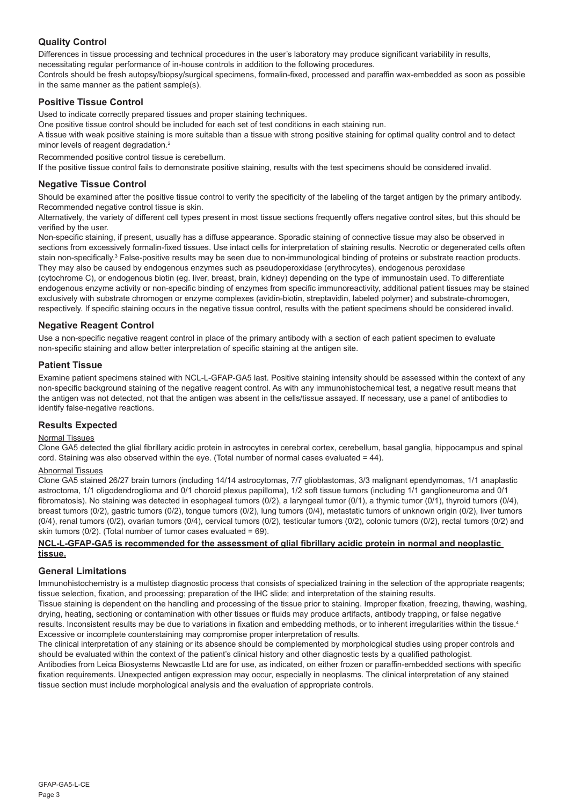# **Quality Control**

Differences in tissue processing and technical procedures in the user's laboratory may produce significant variability in results, necessitating regular performance of in-house controls in addition to the following procedures.

Controls should be fresh autopsy/biopsy/surgical specimens, formalin-fixed, processed and paraffin wax-embedded as soon as possible in the same manner as the patient sample(s).

# **Positive Tissue Control**

Used to indicate correctly prepared tissues and proper staining techniques.

One positive tissue control should be included for each set of test conditions in each staining run.

A tissue with weak positive staining is more suitable than a tissue with strong positive staining for optimal quality control and to detect minor levels of reagent degradation.<sup>2</sup>

Recommended positive control tissue is cerebellum.

If the positive tissue control fails to demonstrate positive staining, results with the test specimens should be considered invalid.

# **Negative Tissue Control**

Should be examined after the positive tissue control to verify the specificity of the labeling of the target antigen by the primary antibody. Recommended negative control tissue is skin.

Alternatively, the variety of different cell types present in most tissue sections frequently offers negative control sites, but this should be verified by the user.

Non-specific staining, if present, usually has a diffuse appearance. Sporadic staining of connective tissue may also be observed in sections from excessively formalin-fixed tissues. Use intact cells for interpretation of staining results. Necrotic or degenerated cells often stain non-specifically.<sup>3</sup> False-positive results may be seen due to non-immunological binding of proteins or substrate reaction products. They may also be caused by endogenous enzymes such as pseudoperoxidase (erythrocytes), endogenous peroxidase

(cytochrome C), or endogenous biotin (eg. liver, breast, brain, kidney) depending on the type of immunostain used. To differentiate endogenous enzyme activity or non-specific binding of enzymes from specific immunoreactivity, additional patient tissues may be stained exclusively with substrate chromogen or enzyme complexes (avidin-biotin, streptavidin, labeled polymer) and substrate-chromogen, respectively. If specific staining occurs in the negative tissue control, results with the patient specimens should be considered invalid.

# **Negative Reagent Control**

Use a non-specific negative reagent control in place of the primary antibody with a section of each patient specimen to evaluate non-specific staining and allow better interpretation of specific staining at the antigen site.

# **Patient Tissue**

Examine patient specimens stained with NCL-L-GFAP-GA5 last. Positive staining intensity should be assessed within the context of any non-specific background staining of the negative reagent control. As with any immunohistochemical test, a negative result means that the antigen was not detected, not that the antigen was absent in the cells/tissue assayed. If necessary, use a panel of antibodies to identify false-negative reactions.

# **Results Expected**

# Normal Tissues

Clone GA5 detected the glial fibrillary acidic protein in astrocytes in cerebral cortex, cerebellum, basal ganglia, hippocampus and spinal cord. Staining was also observed within the eye. (Total number of normal cases evaluated = 44).

#### Abnormal Tissues

Clone GA5 stained 26/27 brain tumors (including 14/14 astrocytomas, 7/7 glioblastomas, 3/3 malignant ependymomas, 1/1 anaplastic astroctoma, 1/1 oligodendroglioma and 0/1 choroid plexus papilloma), 1/2 soft tissue tumors (including 1/1 ganglioneuroma and 0/1 fibromatosis). No staining was detected in esophageal tumors (0/2), a laryngeal tumor (0/1), a thymic tumor (0/1), thyroid tumors (0/4), breast tumors (0/2), gastric tumors (0/2), tongue tumors (0/2), lung tumors (0/4), metastatic tumors of unknown origin (0/2), liver tumors (0/4), renal tumors (0/2), ovarian tumors (0/4), cervical tumors (0/2), testicular tumors (0/2), colonic tumors (0/2), rectal tumors (0/2) and skin tumors (0/2). (Total number of tumor cases evaluated =  $69$ ).

#### **NCL-L-GFAP-GA5 is recommended for the assessment of glial fibrillary acidic protein in normal and neoplastic tissue.**

# **General Limitations**

Immunohistochemistry is a multistep diagnostic process that consists of specialized training in the selection of the appropriate reagents; tissue selection, fixation, and processing; preparation of the IHC slide; and interpretation of the staining results.

Tissue staining is dependent on the handling and processing of the tissue prior to staining. Improper fixation, freezing, thawing, washing, drying, heating, sectioning or contamination with other tissues or fluids may produce artifacts, antibody trapping, or false negative results. Inconsistent results may be due to variations in fixation and embedding methods, or to inherent irregularities within the tissue.<sup>4</sup> Excessive or incomplete counterstaining may compromise proper interpretation of results.

The clinical interpretation of any staining or its absence should be complemented by morphological studies using proper controls and should be evaluated within the context of the patient's clinical history and other diagnostic tests by a qualified pathologist.

Antibodies from Leica Biosystems Newcastle Ltd are for use, as indicated, on either frozen or paraffin-embedded sections with specific fixation requirements. Unexpected antigen expression may occur, especially in neoplasms. The clinical interpretation of any stained tissue section must include morphological analysis and the evaluation of appropriate controls.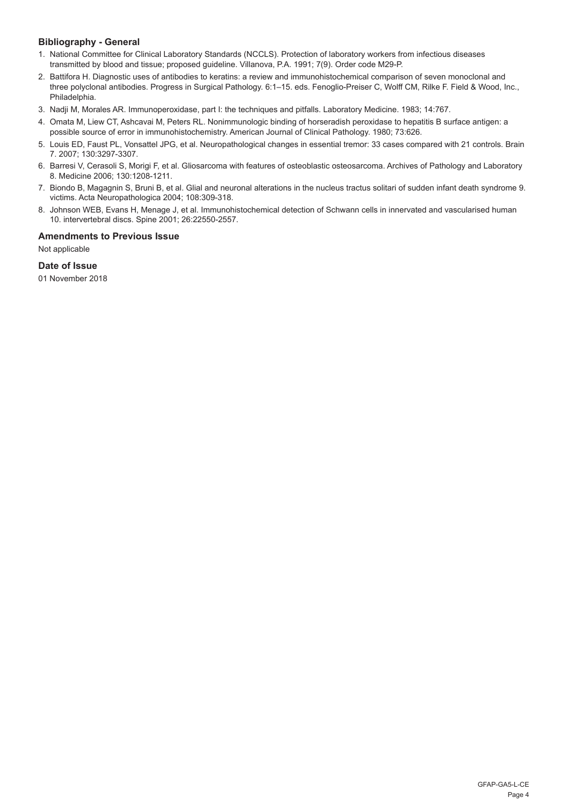# **Bibliography - General**

- 1. National Committee for Clinical Laboratory Standards (NCCLS). Protection of laboratory workers from infectious diseases transmitted by blood and tissue; proposed guideline. Villanova, P.A. 1991; 7(9). Order code M29-P.
- 2. Battifora H. Diagnostic uses of antibodies to keratins: a review and immunohistochemical comparison of seven monoclonal and three polyclonal antibodies. Progress in Surgical Pathology. 6:1–15. eds. Fenoglio-Preiser C, Wolff CM, Rilke F. Field & Wood, Inc., Philadelphia.
- 3. Nadji M, Morales AR. Immunoperoxidase, part I: the techniques and pitfalls. Laboratory Medicine. 1983; 14:767.
- 4. Omata M, Liew CT, Ashcavai M, Peters RL. Nonimmunologic binding of horseradish peroxidase to hepatitis B surface antigen: a possible source of error in immunohistochemistry. American Journal of Clinical Pathology. 1980; 73:626.
- 5. Louis ED, Faust PL, Vonsattel JPG, et al. Neuropathological changes in essential tremor: 33 cases compared with 21 controls. Brain 7. 2007; 130:3297-3307.
- 6. Barresi V, Cerasoli S, Morigi F, et al. Gliosarcoma with features of osteoblastic osteosarcoma. Archives of Pathology and Laboratory 8. Medicine 2006; 130:1208-1211.
- 7. Biondo B, Magagnin S, Bruni B, et al. Glial and neuronal alterations in the nucleus tractus solitari of sudden infant death syndrome 9. victims. Acta Neuropathologica 2004; 108:309-318.
- 8. Johnson WEB, Evans H, Menage J, et al. Immunohistochemical detection of Schwann cells in innervated and vascularised human 10. intervertebral discs. Spine 2001; 26:22550-2557.

# **Amendments to Previous Issue**

Not applicable

# **Date of Issue**

01 November 2018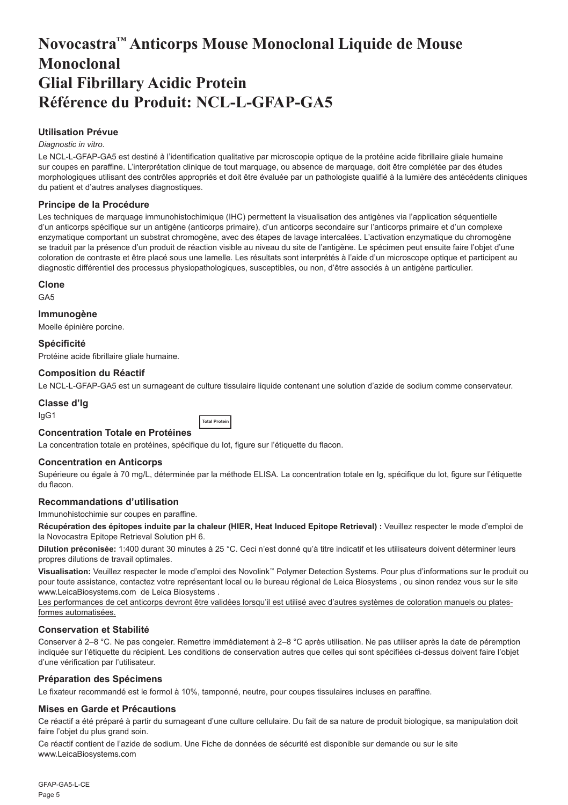# <span id="page-5-0"></span>**Novocastra™ Anticorps Mouse Monoclonal Liquide de Mouse Monoclonal Glial Fibrillary Acidic Protein Référence du Produit: NCL-L-GFAP-GA5**

# **Utilisation Prévue**

*Diagnostic in vitro*.

Le NCL-L-GFAP-GA5 est destiné à l'identification qualitative par microscopie optique de la protéine acide fibrillaire gliale humaine sur coupes en paraffine. L'interprétation clinique de tout marquage, ou absence de marquage, doit être complétée par des études morphologiques utilisant des contrôles appropriés et doit être évaluée par un pathologiste qualifié à la lumière des antécédents cliniques du patient et d'autres analyses diagnostiques.

# **Principe de la Procédure**

Les techniques de marquage immunohistochimique (IHC) permettent la visualisation des antigènes via l'application séquentielle d'un anticorps spécifique sur un antigène (anticorps primaire), d'un anticorps secondaire sur l'anticorps primaire et d'un complexe enzymatique comportant un substrat chromogène, avec des étapes de lavage intercalées. L'activation enzymatique du chromogène se traduit par la présence d'un produit de réaction visible au niveau du site de l'antigène. Le spécimen peut ensuite faire l'objet d'une coloration de contraste et être placé sous une lamelle. Les résultats sont interprétés à l'aide d'un microscope optique et participent au diagnostic différentiel des processus physiopathologiques, susceptibles, ou non, d'être associés à un antigène particulier.

**Clone**

G<sub>A5</sub>

### **Immunogène**

Moelle épinière porcine.

# **Spécificité**

Protéine acide fibrillaire gliale humaine.

# **Composition du Réactif**

Le NCL-L-GFAP-GA5 est un surnageant de culture tissulaire liquide contenant une solution d'azide de sodium comme conservateur.

#### **Classe d'Ig**

IgG1

# **Concentration Totale en Protéines**

La concentration totale en protéines, spécifique du lot, figure sur l'étiquette du flacon.

**Total Protein**

# **Concentration en Anticorps**

Supérieure ou égale à 70 mg/L, déterminée par la méthode ELISA. La concentration totale en Ig, spécifique du lot, figure sur l'étiquette du flacon.

# **Recommandations d'utilisation**

Immunohistochimie sur coupes en paraffine.

**Récupération des épitopes induite par la chaleur (HIER, Heat Induced Epitope Retrieval) :** Veuillez respecter le mode d'emploi de la Novocastra Epitope Retrieval Solution pH 6.

**Dilution préconisée:** 1:400 durant 30 minutes à 25 °C. Ceci n'est donné qu'à titre indicatif et les utilisateurs doivent déterminer leurs propres dilutions de travail optimales.

**Visualisation:** Veuillez respecter le mode d'emploi des Novolink™ Polymer Detection Systems. Pour plus d'informations sur le produit ou pour toute assistance, contactez votre représentant local ou le bureau régional de Leica Biosystems , ou sinon rendez vous sur le site www.LeicaBiosystems.com de Leica Biosystems .

Les performances de cet anticorps devront être validées lorsqu'il est utilisé avec d'autres systèmes de coloration manuels ou platesformes automatisées.

# **Conservation et Stabilité**

Conserver à 2–8 °C. Ne pas congeler. Remettre immédiatement à 2–8 °C après utilisation. Ne pas utiliser après la date de péremption indiquée sur l'étiquette du récipient. Les conditions de conservation autres que celles qui sont spécifiées ci-dessus doivent faire l'objet d'une vérification par l'utilisateur.

# **Préparation des Spécimens**

Le fixateur recommandé est le formol à 10%, tamponné, neutre, pour coupes tissulaires incluses en paraffine.

# **Mises en Garde et Précautions**

Ce réactif a été préparé à partir du surnageant d'une culture cellulaire. Du fait de sa nature de produit biologique, sa manipulation doit faire l'obiet du plus grand soin.

Ce réactif contient de l'azide de sodium. Une Fiche de données de sécurité est disponible sur demande ou sur le site www.LeicaBiosystems.com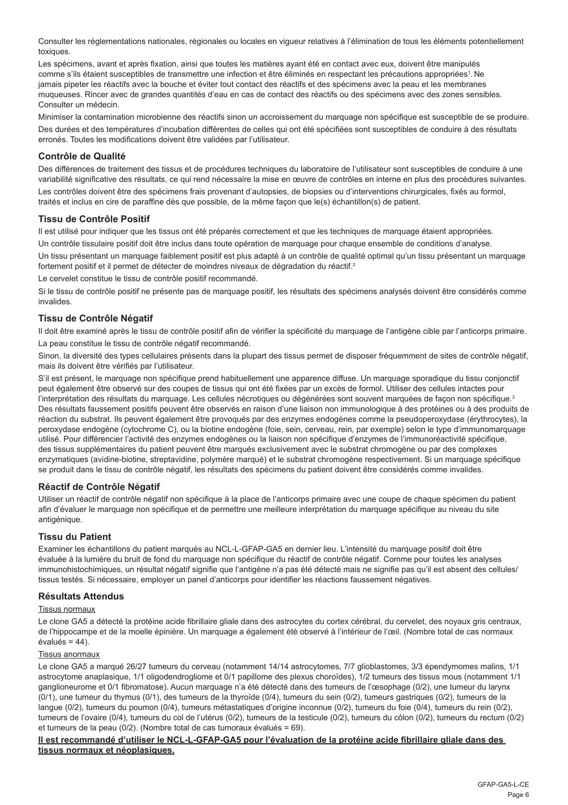Consulter les réglementations nationales, régionales ou locales en vigueur relatives à l'élimination de tous les éléments potentiellement toxiques.

Les spécimens, avant et après fixation, ainsi que toutes les matières ayant été en contact avec eux, doivent être manipulés comme s'ils étaient susceptibles de transmettre une infection et être éliminés en respectant les précautions appropriées<sup>1</sup>. Ne jamais pipeter les réactifs avec la bouche et éviter tout contact des réactifs et des spécimens avec la peau et les membranes muqueuses. Rincer avec de grandes quantités d'eau en cas de contact des réactifs ou des spécimens avec des zones sensibles. Consulter un médecin.

Minimiser la contamination microbienne des réactifs sinon un accroissement du marquage non spécifique est susceptible de se produire. Des durées et des températures d'incubation différentes de celles qui ont été spécifiées sont susceptibles de conduire à des résultats erronés. Toutes les modifications doivent être validées par l'utilisateur.

# **Contrôle de Qualité**

Des différences de traitement des tissus et de procédures techniques du laboratoire de l'utilisateur sont susceptibles de conduire à une variabilité significative des résultats, ce qui rend nécessaire la mise en œuvre de contrôles en interne en plus des procédures suivantes. Les contrôles doivent être des spécimens frais provenant d'autopsies, de biopsies ou d'interventions chirurgicales, fixés au formol, traités et inclus en cire de paraffine dès que possible, de la même façon que le(s) échantillon(s) de patient.

# **Tissu de Contrôle Positif**

Il est utilisé pour indiquer que les tissus ont été préparés correctement et que les techniques de marquage étaient appropriées.

Un contrôle tissulaire positif doit être inclus dans toute opération de marquage pour chaque ensemble de conditions d'analyse.

Un tissu présentant un marquage faiblement positif est plus adapté à un contrôle de qualité optimal qu'un tissu présentant un marquage fortement positif et il permet de détecter de moindres niveaux de dégradation du réactif.<sup>2</sup>

Le cervelet constitue le tissu de contrôle positif recommandé.

Si le tissu de contrôle positif ne présente pas de marquage positif, les résultats des spécimens analysés doivent être considérés comme invalides.

#### **Tissu de Contrôle Négatif**

Il doit être examiné après le tissu de contrôle positif afin de vérifier la spécificité du marquage de l'antigène cible par l'anticorps primaire.

La peau constitue le tissu de contrôle négatif recommandé.

Sinon, la diversité des types cellulaires présents dans la plupart des tissus permet de disposer fréquemment de sites de contrôle négatif, mais ils doivent être vérifiés par l'utilisateur.

S'il est présent, le marquage non spécifique prend habituellement une apparence diffuse. Un marquage sporadique du tissu conjonctif peut également être observé sur des coupes de tissus qui ont été fixées par un excès de formol. Utiliser des cellules intactes pour l'interprétation des résultats du marquage. Les cellules nécrotiques ou dégénérées sont souvent marquées de façon non spécifique.<sup>3</sup> Des résultats faussement positifs peuvent être observés en raison d'une liaison non immunologique à des protéines ou à des produits de réaction du substrat. Ils peuvent également être provoqués par des enzymes endogènes comme la pseudoperoxydase (érythrocytes), la peroxydase endogène (cytochrome C), ou la biotine endogène (foie, sein, cerveau, rein, par exemple) selon le type d'immunomarquage utilisé. Pour différencier l'activité des enzymes endogènes ou la liaison non spécifique d'enzymes de l'immunoréactivité spécifique, des tissus supplémentaires du patient peuvent être marqués exclusivement avec le substrat chromogène ou par des complexes enzymatiques (avidine-biotine, streptavidine, polymère marqué) et le substrat chromogène respectivement. Si un marquage spécifique se produit dans le tissu de contrôle négatif, les résultats des spécimens du patient doivent être considérés comme invalides.

#### **Réactif de Contrôle Négatif**

Utiliser un réactif de contrôle négatif non spécifique à la place de l'anticorps primaire avec une coupe de chaque spécimen du patient afin d'évaluer le marquage non spécifique et de permettre une meilleure interprétation du marquage spécifique au niveau du site antigénique.

#### **Tissu du Patient**

Examiner les échantillons du patient marqués au NCL-L-GFAP-GA5 en dernier lieu. L'intensité du marquage positif doit être évaluée à la lumière du bruit de fond du marquage non spécifique du réactif de contrôle négatif. Comme pour toutes les analyses immunohistochimiques, un résultat négatif signifie que l'antigène n'a pas été détecté mais ne signifie pas qu'il est absent des cellules/ tissus testés. Si nécessaire, employer un panel d'anticorps pour identifier les réactions faussement négatives.

# **Résultats Attendus**

## Tissus normaux

Le clone GA5 a détecté la protéine acide fibrillaire gliale dans des astrocytes du cortex cérébral, du cervelet, des noyaux gris centraux, de l'hippocampe et de la moelle épinière. Un marquage a également été observé à l'intérieur de l'œil. (Nombre total de cas normaux évalués = 44).

#### Tissus anormaux

Le clone GA5 a marqué 26/27 tumeurs du cerveau (notamment 14/14 astrocytomes, 7/7 glioblastomes, 3/3 épendymomes malins, 1/1 astrocytome anaplasique, 1/1 oligodendrogliome et 0/1 papillome des plexus choroïdes), 1/2 tumeurs des tissus mous (notamment 1/1 ganglioneurome et 0/1 fibromatose). Aucun marquage n'a été détecté dans des tumeurs de l'œsophage (0/2), une tumeur du larynx (0/1), une tumeur du thymus (0/1), des tumeurs de la thyroïde (0/4), tumeurs du sein (0/2), tumeurs gastriques (0/2), tumeurs de la langue (0/2), tumeurs du poumon (0/4), tumeurs métastatiques d'origine inconnue (0/2), tumeurs du foie (0/4), tumeurs du rein (0/2), tumeurs de l'ovaire (0/4), tumeurs du col de l'utérus (0/2), tumeurs de la testicule (0/2), tumeurs du côlon (0/2), tumeurs du rectum (0/2) et tumeurs de la peau (0/2). (Nombre total de cas tumoraux évalués = 69).

**Il est recommandé d'utiliser le NCL-L-GFAP-GA5 pour l'évaluation de la protéine acide fibrillaire gliale dans des tissus normaux et néoplasiques.**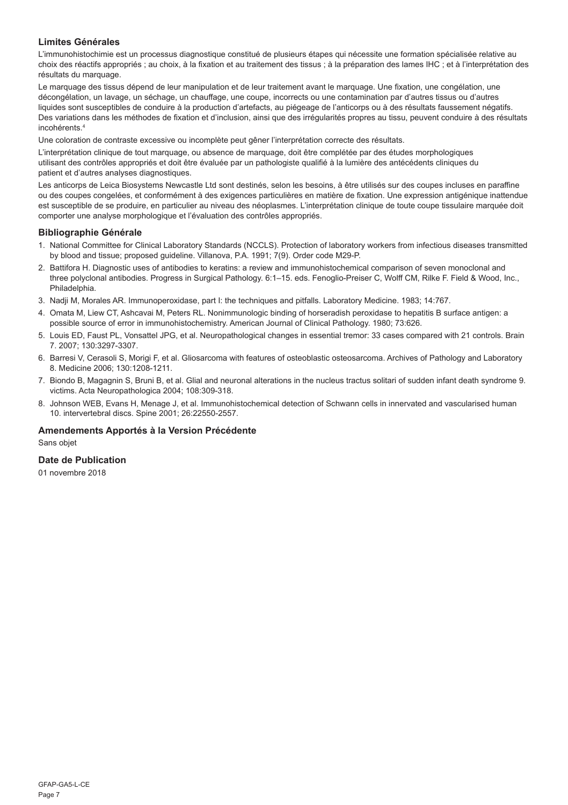# **Limites Générales**

L'immunohistochimie est un processus diagnostique constitué de plusieurs étapes qui nécessite une formation spécialisée relative au choix des réactifs appropriés ; au choix, à la fixation et au traitement des tissus ; à la préparation des lames IHC ; et à l'interprétation des résultats du marquage.

Le marquage des tissus dépend de leur manipulation et de leur traitement avant le marquage. Une fixation, une congélation, une décongélation, un lavage, un séchage, un chauffage, une coupe, incorrects ou une contamination par d'autres tissus ou d'autres liquides sont susceptibles de conduire à la production d'artefacts, au piégeage de l'anticorps ou à des résultats faussement négatifs. Des variations dans les méthodes de fixation et d'inclusion, ainsi que des irrégularités propres au tissu, peuvent conduire à des résultats incohérents.<sup>4</sup>

Une coloration de contraste excessive ou incomplète peut gêner l'interprétation correcte des résultats.

L'interprétation clinique de tout marquage, ou absence de marquage, doit être complétée par des études morphologiques utilisant des contrôles appropriés et doit être évaluée par un pathologiste qualifié à la lumière des antécédents cliniques du patient et d'autres analyses diagnostiques.

Les anticorps de Leica Biosystems Newcastle Ltd sont destinés, selon les besoins, à être utilisés sur des coupes incluses en paraffine ou des coupes congelées, et conformément à des exigences particulières en matière de fixation. Une expression antigénique inattendue est susceptible de se produire, en particulier au niveau des néoplasmes. L'interprétation clinique de toute coupe tissulaire marquée doit comporter une analyse morphologique et l'évaluation des contrôles appropriés.

#### **Bibliographie Générale**

- 1. National Committee for Clinical Laboratory Standards (NCCLS). Protection of laboratory workers from infectious diseases transmitted by blood and tissue; proposed guideline. Villanova, P.A. 1991; 7(9). Order code M29-P.
- 2. Battifora H. Diagnostic uses of antibodies to keratins: a review and immunohistochemical comparison of seven monoclonal and three polyclonal antibodies. Progress in Surgical Pathology. 6:1–15. eds. Fenoglio-Preiser C, Wolff CM, Rilke F. Field & Wood, Inc., Philadelphia.
- 3. Nadji M, Morales AR. Immunoperoxidase, part I: the techniques and pitfalls. Laboratory Medicine. 1983; 14:767.
- 4. Omata M, Liew CT, Ashcavai M, Peters RL. Nonimmunologic binding of horseradish peroxidase to hepatitis B surface antigen: a possible source of error in immunohistochemistry. American Journal of Clinical Pathology. 1980; 73:626.
- 5. Louis ED, Faust PL, Vonsattel JPG, et al. Neuropathological changes in essential tremor: 33 cases compared with 21 controls. Brain 7. 2007; 130:3297-3307.
- 6. Barresi V, Cerasoli S, Morigi F, et al. Gliosarcoma with features of osteoblastic osteosarcoma. Archives of Pathology and Laboratory 8. Medicine 2006; 130:1208-1211.
- 7. Biondo B, Magagnin S, Bruni B, et al. Glial and neuronal alterations in the nucleus tractus solitari of sudden infant death syndrome 9. victims. Acta Neuropathologica 2004; 108:309-318.
- 8. Johnson WEB, Evans H, Menage J, et al. Immunohistochemical detection of Schwann cells in innervated and vascularised human 10. intervertebral discs. Spine 2001; 26:22550-2557.

# **Amendements Apportés à la Version Précédente**

Sans objet

# **Date de Publication**

01 novembre 2018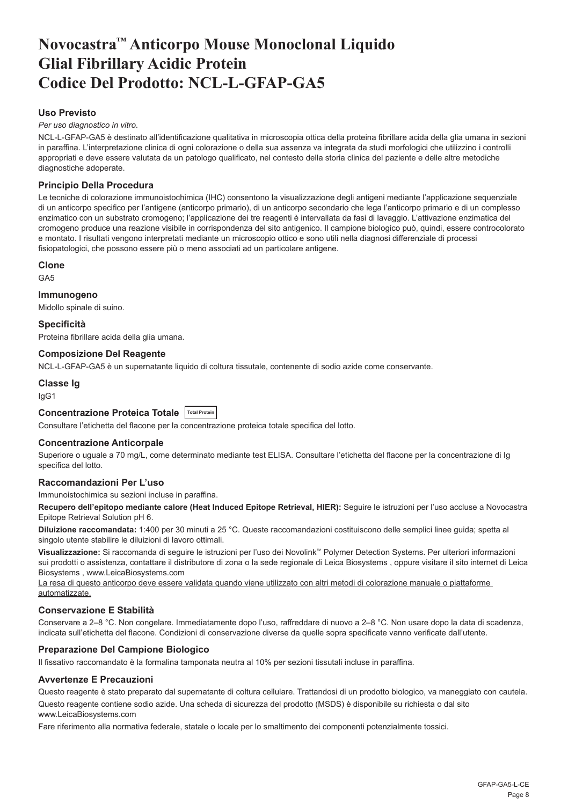# <span id="page-8-0"></span>**Novocastra™ Anticorpo Mouse Monoclonal Liquido Glial Fibrillary Acidic Protein Codice Del Prodotto: NCL-L-GFAP-GA5**

# **Uso Previsto**

*Per uso diagnostico in vitro*.

NCL-L-GFAP-GA5 è destinato all'identificazione qualitativa in microscopia ottica della proteina fibrillare acida della glia umana in sezioni in paraffina. L'interpretazione clinica di ogni colorazione o della sua assenza va integrata da studi morfologici che utilizzino i controlli appropriati e deve essere valutata da un patologo qualificato, nel contesto della storia clinica del paziente e delle altre metodiche diagnostiche adoperate.

# **Principio Della Procedura**

Le tecniche di colorazione immunoistochimica (IHC) consentono la visualizzazione degli antigeni mediante l'applicazione sequenziale di un anticorpo specifico per l'antigene (anticorpo primario), di un anticorpo secondario che lega l'anticorpo primario e di un complesso enzimatico con un substrato cromogeno; l'applicazione dei tre reagenti è intervallata da fasi di lavaggio. L'attivazione enzimatica del cromogeno produce una reazione visibile in corrispondenza del sito antigenico. Il campione biologico può, quindi, essere controcolorato e montato. I risultati vengono interpretati mediante un microscopio ottico e sono utili nella diagnosi differenziale di processi fisiopatologici, che possono essere più o meno associati ad un particolare antigene.

#### **Clone**

 $CAB$ 

### **Immunogeno**

Midollo spinale di suino.

#### **Specificità**

Proteina fibrillare acida della glia umana.

#### **Composizione Del Reagente**

NCL-L-GFAP-GA5 è un supernatante liquido di coltura tissutale, contenente di sodio azide come conservante.

# **Classe Ig**

IgG1

# **Concentrazione Proteica Totale Total Protein**

Consultare l'etichetta del flacone per la concentrazione proteica totale specifica del lotto.

# **Concentrazione Anticorpale**

Superiore o uguale a 70 mg/L, come determinato mediante test ELISA. Consultare l'etichetta del flacone per la concentrazione di Ig specifica del lotto.

# **Raccomandazioni Per L'uso**

Immunoistochimica su sezioni incluse in paraffina.

**Recupero dell'epitopo mediante calore (Heat Induced Epitope Retrieval, HIER):** Seguire le istruzioni per l'uso accluse a Novocastra Epitope Retrieval Solution pH 6.

**Diluizione raccomandata:** 1:400 per 30 minuti a 25 °C. Queste raccomandazioni costituiscono delle semplici linee guida; spetta al singolo utente stabilire le diluizioni di lavoro ottimali.

**Visualizzazione:** Si raccomanda di seguire le istruzioni per l'uso dei Novolink™ Polymer Detection Systems. Per ulteriori informazioni sui prodotti o assistenza, contattare il distributore di zona o la sede regionale di Leica Biosystems , oppure visitare il sito internet di Leica Biosystems , www.LeicaBiosystems.com

La resa di questo anticorpo deve essere validata quando viene utilizzato con altri metodi di colorazione manuale o piattaforme automatizzate.

# **Conservazione E Stabilità**

Conservare a 2–8 °C. Non congelare. Immediatamente dopo l'uso, raffreddare di nuovo a 2–8 °C. Non usare dopo la data di scadenza, indicata sull'etichetta del flacone. Condizioni di conservazione diverse da quelle sopra specificate vanno verificate dall'utente.

# **Preparazione Del Campione Biologico**

Il fissativo raccomandato è la formalina tamponata neutra al 10% per sezioni tissutali incluse in paraffina.

#### **Avvertenze E Precauzioni**

Questo reagente è stato preparato dal supernatante di coltura cellulare. Trattandosi di un prodotto biologico, va maneggiato con cautela.

Questo reagente contiene sodio azide. Una scheda di sicurezza del prodotto (MSDS) è disponibile su richiesta o dal sito www.LeicaBiosystems.com

Fare riferimento alla normativa federale, statale o locale per lo smaltimento dei componenti potenzialmente tossici.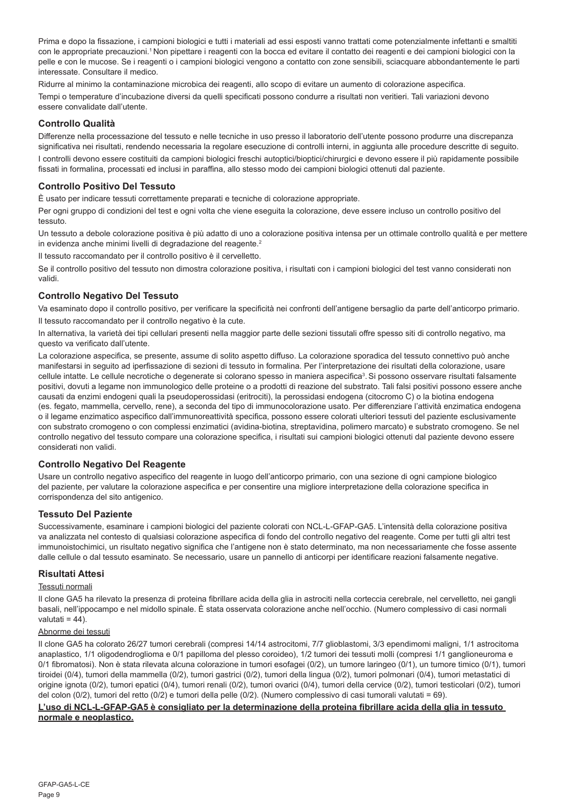Prima e dopo la fissazione, i campioni biologici e tutti i materiali ad essi esposti vanno trattati come potenzialmente infettanti e smaltiti con le appropriate precauzioni.<sup>1</sup> Non pipettare i reagenti con la bocca ed evitare il contatto dei reagenti e dei campioni biologici con la pelle e con le mucose. Se i reagenti o i campioni biologici vengono a contatto con zone sensibili, sciacquare abbondantemente le parti interessate. Consultare il medico.

Ridurre al minimo la contaminazione microbica dei reagenti, allo scopo di evitare un aumento di colorazione aspecifica. Tempi o temperature d'incubazione diversi da quelli specificati possono condurre a risultati non veritieri. Tali variazioni devono essere convalidate dall'utente.

# **Controllo Qualità**

Differenze nella processazione del tessuto e nelle tecniche in uso presso il laboratorio dell'utente possono produrre una discrepanza significativa nei risultati, rendendo necessaria la regolare esecuzione di controlli interni, in aggiunta alle procedure descritte di seguito.

I controlli devono essere costituiti da campioni biologici freschi autoptici/bioptici/chirurgici e devono essere il più rapidamente possibile fissati in formalina, processati ed inclusi in paraffina, allo stesso modo dei campioni biologici ottenuti dal paziente.

# **Controllo Positivo Del Tessuto**

È usato per indicare tessuti correttamente preparati e tecniche di colorazione appropriate.

Per ogni gruppo di condizioni del test e ogni volta che viene eseguita la colorazione, deve essere incluso un controllo positivo del tessuto.

Un tessuto a debole colorazione positiva è più adatto di uno a colorazione positiva intensa per un ottimale controllo qualità e per mettere in evidenza anche minimi livelli di degradazione del reagente.<sup>2</sup>

Il tessuto raccomandato per il controllo positivo è il cervelletto.

Se il controllo positivo del tessuto non dimostra colorazione positiva, i risultati con i campioni biologici del test vanno considerati non validi.

# **Controllo Negativo Del Tessuto**

Va esaminato dopo il controllo positivo, per verificare la specificità nei confronti dell'antigene bersaglio da parte dell'anticorpo primario. Il tessuto raccomandato per il controllo negativo è la cute.

In alternativa, la varietà dei tipi cellulari presenti nella maggior parte delle sezioni tissutali offre spesso siti di controllo negativo, ma questo va verificato dall'utente.

La colorazione aspecifica, se presente, assume di solito aspetto diffuso. La colorazione sporadica del tessuto connettivo può anche manifestarsi in seguito ad iperfissazione di sezioni di tessuto in formalina. Per l'interpretazione dei risultati della colorazione, usare cellule intatte. Le cellule necrotiche o degenerate si colorano spesso in maniera aspecifica<sup>3</sup>. Si possono osservare risultati falsamente positivi, dovuti a legame non immunologico delle proteine o a prodotti di reazione del substrato. Tali falsi positivi possono essere anche causati da enzimi endogeni quali la pseudoperossidasi (eritrociti), la perossidasi endogena (citocromo C) o la biotina endogena (es. fegato, mammella, cervello, rene), a seconda del tipo di immunocolorazione usato. Per differenziare l'attività enzimatica endogena o il legame enzimatico aspecifico dall'immunoreattività specifica, possono essere colorati ulteriori tessuti del paziente esclusivamente con substrato cromogeno o con complessi enzimatici (avidina-biotina, streptavidina, polimero marcato) e substrato cromogeno. Se nel controllo negativo del tessuto compare una colorazione specifica, i risultati sui campioni biologici ottenuti dal paziente devono essere considerati non validi.

# **Controllo Negativo Del Reagente**

Usare un controllo negativo aspecifico del reagente in luogo dell'anticorpo primario, con una sezione di ogni campione biologico del paziente, per valutare la colorazione aspecifica e per consentire una migliore interpretazione della colorazione specifica in corrispondenza del sito antigenico.

# **Tessuto Del Paziente**

Successivamente, esaminare i campioni biologici del paziente colorati con NCL-L-GFAP-GA5. L'intensità della colorazione positiva va analizzata nel contesto di qualsiasi colorazione aspecifica di fondo del controllo negativo del reagente. Come per tutti gli altri test immunoistochimici, un risultato negativo significa che l'antigene non è stato determinato, ma non necessariamente che fosse assente dalle cellule o dal tessuto esaminato. Se necessario, usare un pannello di anticorpi per identificare reazioni falsamente negative.

# **Risultati Attesi**

#### Tessuti normali

Il clone GA5 ha rilevato la presenza di proteina fibrillare acida della glia in astrociti nella corteccia cerebrale, nel cervelletto, nei gangli basali, nell'ippocampo e nel midollo spinale. È stata osservata colorazione anche nell'occhio. (Numero complessivo di casi normali valutati =  $44$ ).

#### Abnorme dei tessuti

Il clone GA5 ha colorato 26/27 tumori cerebrali (compresi 14/14 astrocitomi, 7/7 glioblastomi, 3/3 ependimomi maligni, 1/1 astrocitoma anaplastico, 1/1 oligodendroglioma e 0/1 papilloma del plesso coroideo), 1/2 tumori dei tessuti molli (compresi 1/1 ganglioneuroma e 0/1 fibromatosi). Non è stata rilevata alcuna colorazione in tumori esofagei (0/2), un tumore laringeo (0/1), un tumore timico (0/1), tumori tiroidei (0/4), tumori della mammella (0/2), tumori gastrici (0/2), tumori della lingua (0/2), tumori polmonari (0/4), tumori metastatici di origine ignota (0/2), tumori epatici (0/4), tumori renali (0/2), tumori ovarici (0/4), tumori della cervice (0/2), tumori testicolari (0/2), tumori del colon (0/2), tumori del retto (0/2) e tumori della pelle (0/2). (Numero complessivo di casi tumorali valutati = 69).

# **L'uso di NCL-L-GFAP-GA5 è consigliato per la determinazione della proteina fibrillare acida della glia in tessuto normale e neoplastico.**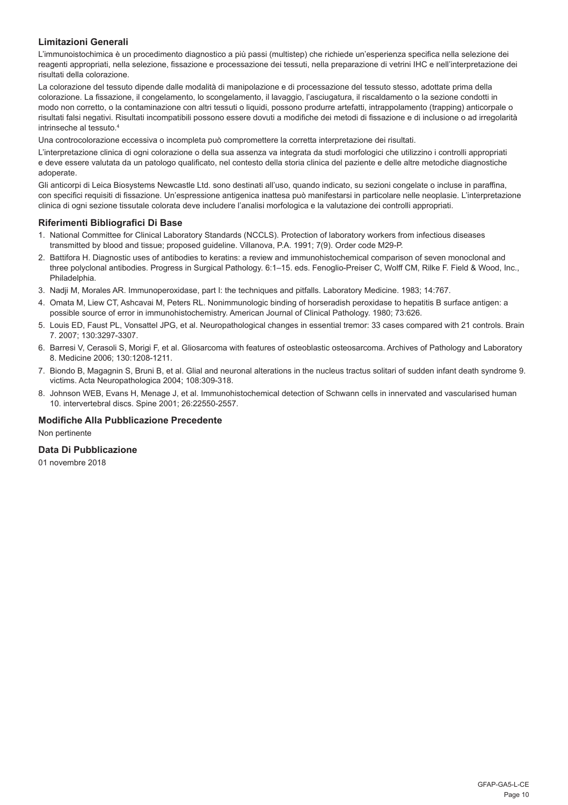# **Limitazioni Generali**

L'immunoistochimica è un procedimento diagnostico a più passi (multistep) che richiede un'esperienza specifica nella selezione dei reagenti appropriati, nella selezione, fissazione e processazione dei tessuti, nella preparazione di vetrini IHC e nell'interpretazione dei risultati della colorazione.

La colorazione del tessuto dipende dalle modalità di manipolazione e di processazione del tessuto stesso, adottate prima della colorazione. La fissazione, il congelamento, lo scongelamento, il lavaggio, l'asciugatura, il riscaldamento o la sezione condotti in modo non corretto, o la contaminazione con altri tessuti o liquidi, possono produrre artefatti, intrappolamento (trapping) anticorpale o risultati falsi negativi. Risultati incompatibili possono essere dovuti a modifiche dei metodi di fissazione e di inclusione o ad irregolarità intrinseche al tessuto.<sup>4</sup>

Una controcolorazione eccessiva o incompleta può compromettere la corretta interpretazione dei risultati.

L'interpretazione clinica di ogni colorazione o della sua assenza va integrata da studi morfologici che utilizzino i controlli appropriati e deve essere valutata da un patologo qualificato, nel contesto della storia clinica del paziente e delle altre metodiche diagnostiche adoperate.

Gli anticorpi di Leica Biosystems Newcastle Ltd. sono destinati all'uso, quando indicato, su sezioni congelate o incluse in paraffina, con specifici requisiti di fissazione. Un'espressione antigenica inattesa può manifestarsi in particolare nelle neoplasie. L'interpretazione clinica di ogni sezione tissutale colorata deve includere l'analisi morfologica e la valutazione dei controlli appropriati.

## **Riferimenti Bibliografici Di Base**

- 1. National Committee for Clinical Laboratory Standards (NCCLS). Protection of laboratory workers from infectious diseases transmitted by blood and tissue; proposed guideline. Villanova, P.A. 1991; 7(9). Order code M29-P.
- 2. Battifora H. Diagnostic uses of antibodies to keratins: a review and immunohistochemical comparison of seven monoclonal and three polyclonal antibodies. Progress in Surgical Pathology. 6:1–15. eds. Fenoglio-Preiser C, Wolff CM, Rilke F. Field & Wood, Inc., Philadelphia.
- 3. Nadji M, Morales AR. Immunoperoxidase, part I: the techniques and pitfalls. Laboratory Medicine. 1983; 14:767.
- 4. Omata M, Liew CT, Ashcavai M, Peters RL. Nonimmunologic binding of horseradish peroxidase to hepatitis B surface antigen: a possible source of error in immunohistochemistry. American Journal of Clinical Pathology. 1980; 73:626.
- 5. Louis ED, Faust PL, Vonsattel JPG, et al. Neuropathological changes in essential tremor: 33 cases compared with 21 controls. Brain 7. 2007; 130:3297-3307.
- 6. Barresi V, Cerasoli S, Morigi F, et al. Gliosarcoma with features of osteoblastic osteosarcoma. Archives of Pathology and Laboratory 8. Medicine 2006; 130:1208-1211.
- 7. Biondo B, Magagnin S, Bruni B, et al. Glial and neuronal alterations in the nucleus tractus solitari of sudden infant death syndrome 9. victims. Acta Neuropathologica 2004; 108:309-318.
- 8. Johnson WEB, Evans H, Menage J, et al. Immunohistochemical detection of Schwann cells in innervated and vascularised human 10. intervertebral discs. Spine 2001; 26:22550-2557.

#### **Modifiche Alla Pubblicazione Precedente**

Non pertinente

### **Data Di Pubblicazione**

01 novembre 2018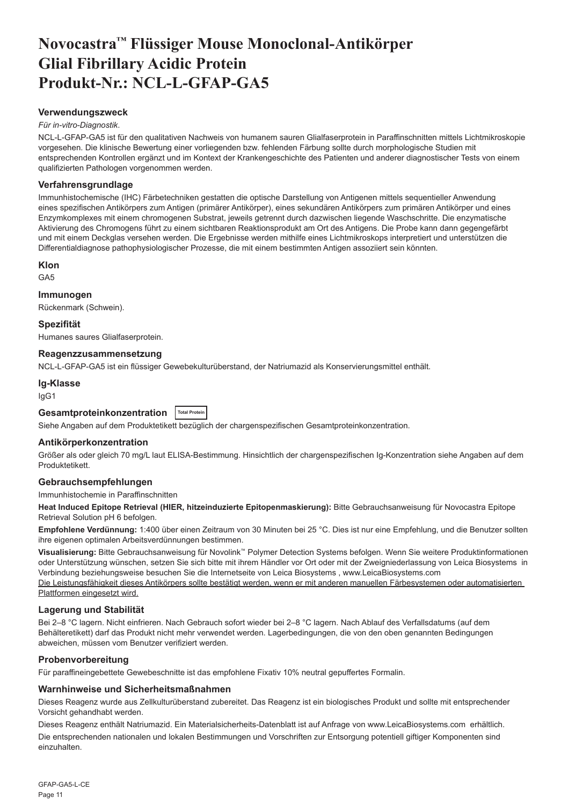# <span id="page-11-0"></span>**Novocastra™ Flüssiger Mouse Monoclonal-Antikörper Glial Fibrillary Acidic Protein Produkt-Nr.: NCL-L-GFAP-GA5**

## **Verwendungszweck**

#### *Für in-vitro-Diagnostik*.

NCL-L-GFAP-GA5 ist für den qualitativen Nachweis von humanem sauren Glialfaserprotein in Paraffinschnitten mittels Lichtmikroskopie vorgesehen. Die klinische Bewertung einer vorliegenden bzw. fehlenden Färbung sollte durch morphologische Studien mit entsprechenden Kontrollen ergänzt und im Kontext der Krankengeschichte des Patienten und anderer diagnostischer Tests von einem qualifizierten Pathologen vorgenommen werden.

#### **Verfahrensgrundlage**

Immunhistochemische (IHC) Färbetechniken gestatten die optische Darstellung von Antigenen mittels sequentieller Anwendung eines spezifischen Antikörpers zum Antigen (primärer Antikörper), eines sekundären Antikörpers zum primären Antikörper und eines Enzymkomplexes mit einem chromogenen Substrat, jeweils getrennt durch dazwischen liegende Waschschritte. Die enzymatische Aktivierung des Chromogens führt zu einem sichtbaren Reaktionsprodukt am Ort des Antigens. Die Probe kann dann gegengefärbt und mit einem Deckglas versehen werden. Die Ergebnisse werden mithilfe eines Lichtmikroskops interpretiert und unterstützen die Differentialdiagnose pathophysiologischer Prozesse, die mit einem bestimmten Antigen assoziiert sein könnten.

#### **Klon**

 $CAB$ 

#### **Immunogen**

Rückenmark (Schwein).

#### **Spezifität**

Humanes saures Glialfaserprotein.

### **Reagenzzusammensetzung**

NCL-L-GFAP-GA5 ist ein flüssiger Gewebekulturüberstand, der Natriumazid als Konservierungsmittel enthält.

# **Ig-Klasse**

IgG1

# **Gesamtproteinkonzentration Total Protein**

Siehe Angaben auf dem Produktetikett bezüglich der chargenspezifischen Gesamtproteinkonzentration.

# **Antikörperkonzentration**

Größer als oder gleich 70 mg/L laut ELISA-Bestimmung. Hinsichtlich der chargenspezifischen Ig-Konzentration siehe Angaben auf dem Produktetikett.

# **Gebrauchsempfehlungen**

Immunhistochemie in Paraffinschnitten

**Heat Induced Epitope Retrieval (HIER, hitzeinduzierte Epitopenmaskierung):** Bitte Gebrauchsanweisung für Novocastra Epitope Retrieval Solution pH 6 befolgen.

**Empfohlene Verdünnung:** 1:400 über einen Zeitraum von 30 Minuten bei 25 °C. Dies ist nur eine Empfehlung, und die Benutzer sollten ihre eigenen optimalen Arbeitsverdünnungen bestimmen.

**Visualisierung:** Bitte Gebrauchsanweisung für Novolink™ Polymer Detection Systems befolgen. Wenn Sie weitere Produktinformationen oder Unterstützung wünschen, setzen Sie sich bitte mit ihrem Händler vor Ort oder mit der Zweigniederlassung von Leica Biosystems in Verbindung beziehungsweise besuchen Sie die Internetseite von Leica Biosystems , www.LeicaBiosystems.com

Die Leistungsfähigkeit dieses Antikörpers sollte bestätigt werden, wenn er mit anderen manuellen Färbesystemen oder automatisierten Plattformen eingesetzt wird.

# **Lagerung und Stabilität**

Bei 2–8 °C lagern. Nicht einfrieren. Nach Gebrauch sofort wieder bei 2–8 °C lagern. Nach Ablauf des Verfallsdatums (auf dem Behälteretikett) darf das Produkt nicht mehr verwendet werden. Lagerbedingungen, die von den oben genannten Bedingungen abweichen, müssen vom Benutzer verifiziert werden.

# **Probenvorbereitung**

Für paraffineingebettete Gewebeschnitte ist das empfohlene Fixativ 10% neutral gepuffertes Formalin.

# **Warnhinweise und Sicherheitsmaßnahmen**

Dieses Reagenz wurde aus Zellkulturüberstand zubereitet. Das Reagenz ist ein biologisches Produkt und sollte mit entsprechender Vorsicht gehandhabt werden.

Dieses Reagenz enthält Natriumazid. Ein Materialsicherheits-Datenblatt ist auf Anfrage von www.LeicaBiosystems.com erhältlich.

Die entsprechenden nationalen und lokalen Bestimmungen und Vorschriften zur Entsorgung potentiell giftiger Komponenten sind einzuhalten.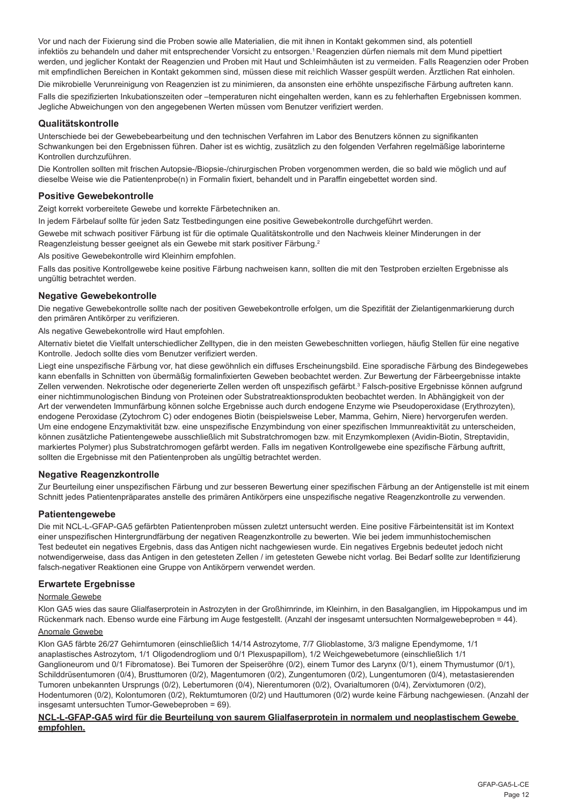Vor und nach der Fixierung sind die Proben sowie alle Materialien, die mit ihnen in Kontakt gekommen sind, als potentiell infektiös zu behandeln und daher mit entsprechender Vorsicht zu entsorgen.<sup>1</sup> Reagenzien dürfen niemals mit dem Mund pipettiert werden, und jeglicher Kontakt der Reagenzien und Proben mit Haut und Schleimhäuten ist zu vermeiden. Falls Reagenzien oder Proben mit empfindlichen Bereichen in Kontakt gekommen sind, müssen diese mit reichlich Wasser gespült werden. Ärztlichen Rat einholen.

Die mikrobielle Verunreinigung von Reagenzien ist zu minimieren, da ansonsten eine erhöhte unspezifische Färbung auftreten kann. Falls die spezifizierten Inkubationszeiten oder –temperaturen nicht eingehalten werden, kann es zu fehlerhaften Ergebnissen kommen. Jegliche Abweichungen von den angegebenen Werten müssen vom Benutzer verifiziert werden.

# **Qualitätskontrolle**

Unterschiede bei der Gewebebearbeitung und den technischen Verfahren im Labor des Benutzers können zu signifikanten Schwankungen bei den Ergebnissen führen. Daher ist es wichtig, zusätzlich zu den folgenden Verfahren regelmäßige laborinterne Kontrollen durchzuführen.

Die Kontrollen sollten mit frischen Autopsie-/Biopsie-/chirurgischen Proben vorgenommen werden, die so bald wie möglich und auf dieselbe Weise wie die Patientenprobe(n) in Formalin fixiert, behandelt und in Paraffin eingebettet worden sind.

# **Positive Gewebekontrolle**

Zeigt korrekt vorbereitete Gewebe und korrekte Färbetechniken an.

In jedem Färbelauf sollte für jeden Satz Testbedingungen eine positive Gewebekontrolle durchgeführt werden.

Gewebe mit schwach positiver Färbung ist für die optimale Qualitätskontrolle und den Nachweis kleiner Minderungen in der Reagenzleistung besser geeignet als ein Gewebe mit stark positiver Färbung.<sup>2</sup>

Als positive Gewebekontrolle wird Kleinhirn empfohlen.

Falls das positive Kontrollgewebe keine positive Färbung nachweisen kann, sollten die mit den Testproben erzielten Ergebnisse als ungültig betrachtet werden.

# **Negative Gewebekontrolle**

Die negative Gewebekontrolle sollte nach der positiven Gewebekontrolle erfolgen, um die Spezifität der Zielantigenmarkierung durch den primären Antikörper zu verifizieren.

Als negative Gewebekontrolle wird Haut empfohlen.

Alternativ bietet die Vielfalt unterschiedlicher Zelltypen, die in den meisten Gewebeschnitten vorliegen, häufig Stellen für eine negative Kontrolle. Jedoch sollte dies vom Benutzer verifiziert werden.

Liegt eine unspezifische Färbung vor, hat diese gewöhnlich ein diffuses Erscheinungsbild. Eine sporadische Färbung des Bindegewebes kann ebenfalls in Schnitten von übermäßig formalinfixierten Geweben beobachtet werden. Zur Bewertung der Färbeergebnisse intakte Zellen verwenden. Nekrotische oder degenerierte Zellen werden oft unspezifisch gefärbt.<sup>3</sup> Falsch-positive Ergebnisse können aufgrund einer nichtimmunologischen Bindung von Proteinen oder Substratreaktionsprodukten beobachtet werden. In Abhängigkeit von der Art der verwendeten Immunfärbung können solche Ergebnisse auch durch endogene Enzyme wie Pseudoperoxidase (Erythrozyten), endogene Peroxidase (Zytochrom C) oder endogenes Biotin (beispielsweise Leber, Mamma, Gehirn, Niere) hervorgerufen werden. Um eine endogene Enzymaktivität bzw. eine unspezifische Enzymbindung von einer spezifischen Immunreaktivität zu unterscheiden, können zusätzliche Patientengewebe ausschließlich mit Substratchromogen bzw. mit Enzymkomplexen (Avidin-Biotin, Streptavidin, markiertes Polymer) plus Substratchromogen gefärbt werden. Falls im negativen Kontrollgewebe eine spezifische Färbung auftritt, sollten die Ergebnisse mit den Patientenproben als ungültig betrachtet werden.

# **Negative Reagenzkontrolle**

Zur Beurteilung einer unspezifischen Färbung und zur besseren Bewertung einer spezifischen Färbung an der Antigenstelle ist mit einem Schnitt jedes Patientenpräparates anstelle des primären Antikörpers eine unspezifische negative Reagenzkontrolle zu verwenden.

# **Patientengewebe**

Die mit NCL-L-GFAP-GA5 gefärbten Patientenproben müssen zuletzt untersucht werden. Eine positive Färbeintensität ist im Kontext einer unspezifischen Hintergrundfärbung der negativen Reagenzkontrolle zu bewerten. Wie bei jedem immunhistochemischen Test bedeutet ein negatives Ergebnis, dass das Antigen nicht nachgewiesen wurde. Ein negatives Ergebnis bedeutet jedoch nicht notwendigerweise, dass das Antigen in den getesteten Zellen / im getesteten Gewebe nicht vorlag. Bei Bedarf sollte zur Identifizierung falsch-negativer Reaktionen eine Gruppe von Antikörpern verwendet werden.

# **Erwartete Ergebnisse**

Normale Gewebe

Klon GA5 wies das saure Glialfaserprotein in Astrozyten in der Großhirnrinde, im Kleinhirn, in den Basalganglien, im Hippokampus und im Rückenmark nach. Ebenso wurde eine Färbung im Auge festgestellt. (Anzahl der insgesamt untersuchten Normalgewebeproben = 44).

# Anomale Gewebe

Klon GA5 färbte 26/27 Gehirntumoren (einschließlich 14/14 Astrozytome, 7/7 Glioblastome, 3/3 maligne Ependymome, 1/1 anaplastisches Astrozytom, 1/1 Oligodendrogliom und 0/1 Plexuspapillom), 1/2 Weichgewebetumore (einschließlich 1/1 Ganglioneurom und 0/1 Fibromatose). Bei Tumoren der Speiseröhre (0/2), einem Tumor des Larynx (0/1), einem Thymustumor (0/1), Schilddrüsentumoren (0/4), Brusttumoren (0/2), Magentumoren (0/2), Zungentumoren (0/2), Lungentumoren (0/4), metastasierenden Tumoren unbekannten Ursprungs (0/2), Lebertumoren (0/4), Nierentumoren (0/2), Ovarialtumoren (0/4), Zervixtumoren (0/2), Hodentumoren (0/2), Kolontumoren (0/2), Rektumtumoren (0/2) und Hauttumoren (0/2) wurde keine Färbung nachgewiesen. (Anzahl der insgesamt untersuchten Tumor-Gewebeproben = 69).

### **NCL-L-GFAP-GA5 wird für die Beurteilung von saurem Glialfaserprotein in normalem und neoplastischem Gewebe empfohlen.**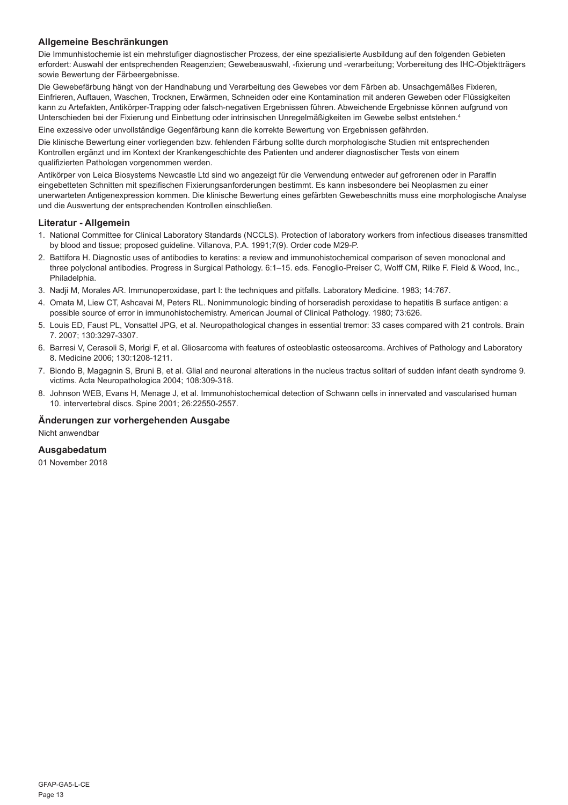# **Allgemeine Beschränkungen**

Die Immunhistochemie ist ein mehrstufiger diagnostischer Prozess, der eine spezialisierte Ausbildung auf den folgenden Gebieten erfordert: Auswahl der entsprechenden Reagenzien; Gewebeauswahl, -fixierung und -verarbeitung; Vorbereitung des IHC-Objektträgers sowie Bewertung der Färbeergebnisse.

Die Gewebefärbung hängt von der Handhabung und Verarbeitung des Gewebes vor dem Färben ab. Unsachgemäßes Fixieren, Einfrieren, Auftauen, Waschen, Trocknen, Erwärmen, Schneiden oder eine Kontamination mit anderen Geweben oder Flüssigkeiten kann zu Artefakten, Antikörper-Trapping oder falsch-negativen Ergebnissen führen. Abweichende Ergebnisse können aufgrund von Unterschieden bei der Fixierung und Einbettung oder intrinsischen Unregelmäßigkeiten im Gewebe selbst entstehen.<sup>4</sup>

Eine exzessive oder unvollständige Gegenfärbung kann die korrekte Bewertung von Ergebnissen gefährden.

Die klinische Bewertung einer vorliegenden bzw. fehlenden Färbung sollte durch morphologische Studien mit entsprechenden Kontrollen ergänzt und im Kontext der Krankengeschichte des Patienten und anderer diagnostischer Tests von einem qualifizierten Pathologen vorgenommen werden.

Antikörper von Leica Biosystems Newcastle Ltd sind wo angezeigt für die Verwendung entweder auf gefrorenen oder in Paraffin eingebetteten Schnitten mit spezifischen Fixierungsanforderungen bestimmt. Es kann insbesondere bei Neoplasmen zu einer unerwarteten Antigenexpression kommen. Die klinische Bewertung eines gefärbten Gewebeschnitts muss eine morphologische Analyse und die Auswertung der entsprechenden Kontrollen einschließen.

# **Literatur - Allgemein**

- 1. National Committee for Clinical Laboratory Standards (NCCLS). Protection of laboratory workers from infectious diseases transmitted by blood and tissue; proposed guideline. Villanova, P.A. 1991;7(9). Order code M29-P.
- 2. Battifora H. Diagnostic uses of antibodies to keratins: a review and immunohistochemical comparison of seven monoclonal and three polyclonal antibodies. Progress in Surgical Pathology. 6:1–15. eds. Fenoglio-Preiser C, Wolff CM, Rilke F. Field & Wood, Inc., Philadelphia.
- 3. Nadji M, Morales AR. Immunoperoxidase, part I: the techniques and pitfalls. Laboratory Medicine. 1983; 14:767.
- 4. Omata M, Liew CT, Ashcavai M, Peters RL. Nonimmunologic binding of horseradish peroxidase to hepatitis B surface antigen: a possible source of error in immunohistochemistry. American Journal of Clinical Pathology. 1980; 73:626.
- 5. Louis ED, Faust PL, Vonsattel JPG, et al. Neuropathological changes in essential tremor: 33 cases compared with 21 controls. Brain 7. 2007; 130:3297-3307.
- 6. Barresi V, Cerasoli S, Morigi F, et al. Gliosarcoma with features of osteoblastic osteosarcoma. Archives of Pathology and Laboratory 8. Medicine 2006; 130:1208-1211.
- 7. Biondo B, Magagnin S, Bruni B, et al. Glial and neuronal alterations in the nucleus tractus solitari of sudden infant death syndrome 9. victims. Acta Neuropathologica 2004; 108:309-318.
- 8. Johnson WEB, Evans H, Menage J, et al. Immunohistochemical detection of Schwann cells in innervated and vascularised human 10. intervertebral discs. Spine 2001; 26:22550-2557.

#### **Änderungen zur vorhergehenden Ausgabe**

Nicht anwendbar

#### **Ausgabedatum**

01 November 2018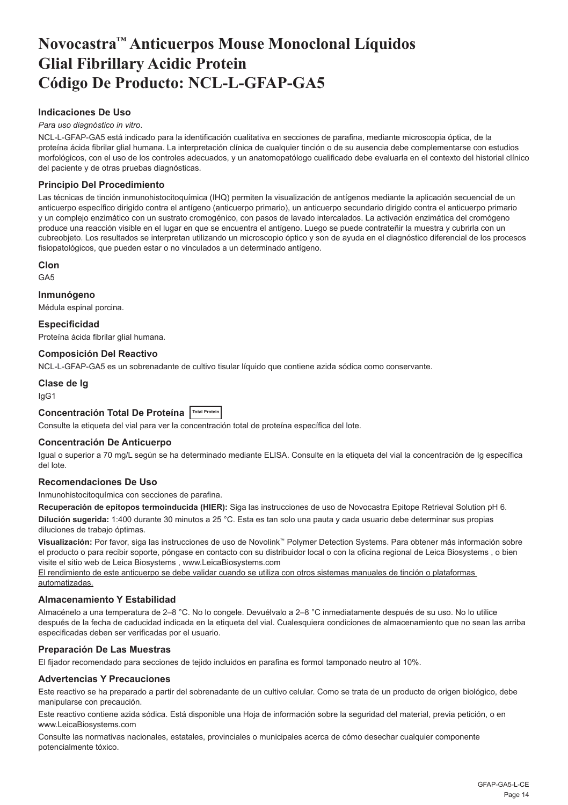# <span id="page-14-0"></span>**Novocastra™ Anticuerpos Mouse Monoclonal Líquidos Glial Fibrillary Acidic Protein Código De Producto: NCL-L-GFAP-GA5**

# **Indicaciones De Uso**

#### *Para uso diagnóstico in vitro*.

NCL-L-GFAP-GA5 está indicado para la identificación cualitativa en secciones de parafina, mediante microscopia óptica, de la proteína ácida fibrilar glial humana. La interpretación clínica de cualquier tinción o de su ausencia debe complementarse con estudios morfológicos, con el uso de los controles adecuados, y un anatomopatólogo cualificado debe evaluarla en el contexto del historial clínico del paciente y de otras pruebas diagnósticas.

## **Principio Del Procedimiento**

Las técnicas de tinción inmunohistocitoquímica (IHQ) permiten la visualización de antígenos mediante la aplicación secuencial de un anticuerpo específico dirigido contra el antígeno (anticuerpo primario), un anticuerpo secundario dirigido contra el anticuerpo primario y un complejo enzimático con un sustrato cromogénico, con pasos de lavado intercalados. La activación enzimática del cromógeno produce una reacción visible en el lugar en que se encuentra el antígeno. Luego se puede contrateñir la muestra y cubrirla con un cubreobjeto. Los resultados se interpretan utilizando un microscopio óptico y son de ayuda en el diagnóstico diferencial de los procesos fisiopatológicos, que pueden estar o no vinculados a un determinado antígeno.

#### **Clon**

 $CAB$ 

#### **Inmunógeno**

Médula espinal porcina.

#### **Especificidad**

Proteína ácida fibrilar glial humana.

#### **Composición Del Reactivo**

NCL-L-GFAP-GA5 es un sobrenadante de cultivo tisular líquido que contiene azida sódica como conservante.

# **Clase de Ig**

IgG1

# **Concentración Total De Proteína Total Protein**

Consulte la etiqueta del vial para ver la concentración total de proteína específica del lote.

# **Concentración De Anticuerpo**

Igual o superior a 70 mg/L según se ha determinado mediante ELISA. Consulte en la etiqueta del vial la concentración de Ig específica del lote.

# **Recomendaciones De Uso**

Inmunohistocitoquímica con secciones de parafina.

**Recuperación de epítopos termoinducida (HIER):** Siga las instrucciones de uso de Novocastra Epitope Retrieval Solution pH 6.

**Dilución sugerida:** 1:400 durante 30 minutos a 25 °C. Esta es tan solo una pauta y cada usuario debe determinar sus propias diluciones de trabajo óptimas.

**Visualización:** Por favor, siga las instrucciones de uso de Novolink™ Polymer Detection Systems. Para obtener más información sobre el producto o para recibir soporte, póngase en contacto con su distribuidor local o con la oficina regional de Leica Biosystems , o bien visite el sitio web de Leica Biosystems , www.LeicaBiosystems.com

El rendimiento de este anticuerpo se debe validar cuando se utiliza con otros sistemas manuales de tinción o plataformas automatizadas.

# **Almacenamiento Y Estabilidad**

Almacénelo a una temperatura de 2–8 °C. No lo congele. Devuélvalo a 2–8 °C inmediatamente después de su uso. No lo utilice después de la fecha de caducidad indicada en la etiqueta del vial. Cualesquiera condiciones de almacenamiento que no sean las arriba especificadas deben ser verificadas por el usuario.

#### **Preparación De Las Muestras**

El fijador recomendado para secciones de tejido incluidos en parafina es formol tamponado neutro al 10%.

#### **Advertencias Y Precauciones**

Este reactivo se ha preparado a partir del sobrenadante de un cultivo celular. Como se trata de un producto de origen biológico, debe manipularse con precaución.

Este reactivo contiene azida sódica. Está disponible una Hoja de información sobre la seguridad del material, previa petición, o en www.LeicaBiosystems.com

Consulte las normativas nacionales, estatales, provinciales o municipales acerca de cómo desechar cualquier componente potencialmente tóxico.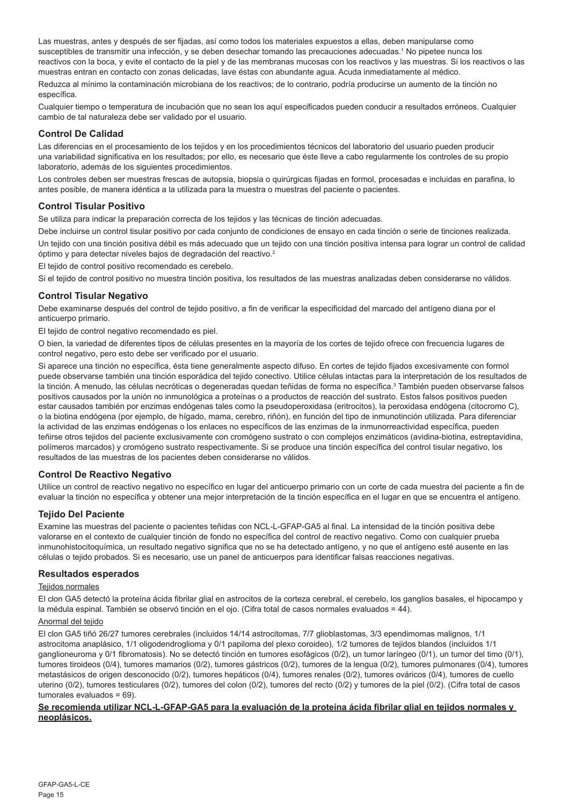Las muestras, antes y después de ser fijadas, así como todos los materiales expuestos a ellas, deben manipularse como susceptibles de transmitir una infección, y se deben desechar tomando las precauciones adecuadas.<sup>1</sup> No pipetee nunca los reactivos con la boca, y evite el contacto de la piel y de las membranas mucosas con los reactivos y las muestras. Si los reactivos o las muestras entran en contacto con zonas delicadas, lave éstas con abundante agua. Acuda inmediatamente al médico. Reduzca al mínimo la contaminación microbiana de los reactivos; de lo contrario, podría producirse un aumento de la tinción no específica.

Cualquier tiempo o temperatura de incubación que no sean los aquí especificados pueden conducir a resultados erróneos. Cualquier cambio de tal naturaleza debe ser validado por el usuario.

#### **Control De Calidad**

Las diferencias en el procesamiento de los tejidos y en los procedimientos técnicos del laboratorio del usuario pueden producir una variabilidad significativa en los resultados; por ello, es necesario que éste lleve a cabo regularmente los controles de su propio laboratorio, además de los siguientes procedimientos.

Los controles deben ser muestras frescas de autopsia, biopsia o quirúrgicas fijadas en formol, procesadas e incluidas en parafina, lo antes posible, de manera idéntica a la utilizada para la muestra o muestras del paciente o pacientes.

# **Control Tisular Positivo**

Se utiliza para indicar la preparación correcta de los tejidos y las técnicas de tinción adecuadas.

Debe incluirse un control tisular positivo por cada conjunto de condiciones de ensayo en cada tinción o serie de tinciones realizada. Un tejido con una tinción positiva débil es más adecuado que un tejido con una tinción positiva intensa para lograr un control de calidad óptimo y para detectar niveles bajos de degradación del reactivo.<sup>2</sup>

El tejido de control positivo recomendado es cerebelo.

Si el tejido de control positivo no muestra tinción positiva, los resultados de las muestras analizadas deben considerarse no válidos.

# **Control Tisular Negativo**

Debe examinarse después del control de tejido positivo, a fin de verificar la especificidad del marcado del antígeno diana por el anticuerpo primario.

El tejido de control negativo recomendado es piel.

O bien, la variedad de diferentes tipos de células presentes en la mayoría de los cortes de tejido ofrece con frecuencia lugares de control negativo, pero esto debe ser verificado por el usuario.

Si aparece una tinción no específica, ésta tiene generalmente aspecto difuso. En cortes de tejido fijados excesivamente con formol puede observarse también una tinción esporádica del tejido conectivo. Utilice células intactas para la interpretación de los resultados de la tinción. A menudo, las células necróticas o degeneradas quedan teñidas de forma no específica.<sup>3</sup> También pueden observarse falsos positivos causados por la unión no inmunológica a proteínas o a productos de reacción del sustrato. Estos falsos positivos pueden estar causados también por enzimas endógenas tales como la pseudoperoxidasa (eritrocitos), la peroxidasa endógena (citocromo C), o la biotina endógena (por ejemplo, de hígado, mama, cerebro, riñón), en función del tipo de inmunotinción utilizada. Para diferenciar la actividad de las enzimas endógenas o los enlaces no específicos de las enzimas de la inmunorreactividad específica, pueden teñirse otros tejidos del paciente exclusivamente con cromógeno sustrato o con complejos enzimáticos (avidina-biotina, estreptavidina, polímeros marcados) y cromógeno sustrato respectivamente. Si se produce una tinción específica del control tisular negativo, los resultados de las muestras de los pacientes deben considerarse no válidos.

#### **Control De Reactivo Negativo**

Utilice un control de reactivo negativo no específico en lugar del anticuerpo primario con un corte de cada muestra del paciente a fin de evaluar la tinción no específica y obtener una mejor interpretación de la tinción específica en el lugar en que se encuentra el antígeno.

# **Tejido Del Paciente**

Examine las muestras del paciente o pacientes teñidas con NCL-L-GFAP-GA5 al final. La intensidad de la tinción positiva debe valorarse en el contexto de cualquier tinción de fondo no específica del control de reactivo negativo. Como con cualquier prueba inmunohistocitoquímica, un resultado negativo significa que no se ha detectado antígeno, y no que el antígeno esté ausente en las células o tejido probados. Si es necesario, use un panel de anticuerpos para identificar falsas reacciones negativas.

#### **Resultados esperados**

#### Teiidos normales

El clon GA5 detectó la proteína ácida fibrilar glial en astrocitos de la corteza cerebral, el cerebelo, los ganglios basales, el hipocampo y la médula espinal. También se observó tinción en el ojo. (Cifra total de casos normales evaluados = 44).

#### Anormal del tejido

El clon GA5 tiñó 26/27 tumores cerebrales (incluidos 14/14 astrocitomas, 7/7 glioblastomas, 3/3 ependimomas malignos, 1/1 astrocitoma anaplásico, 1/1 oligodendroglioma y 0/1 papiloma del plexo coroideo), 1/2 tumores de tejidos blandos (incluidos 1/1 ganglioneuroma y 0/1 fibromatosis). No se detectó tinción en tumores esofágicos (0/2), un tumor laríngeo (0/1), un tumor del timo (0/1), tumores tiroideos (0/4), tumores mamarios (0/2), tumores gástricos (0/2), tumores de la lengua (0/2), tumores pulmonares (0/4), tumores metastásicos de origen desconocido (0/2), tumores hepáticos (0/4), tumores renales (0/2), tumores ováricos (0/4), tumores de cuello uterino (0/2), tumores testiculares (0/2), tumores del colon (0/2), tumores del recto (0/2) y tumores de la piel (0/2). (Cifra total de casos tumorales evaluados = 69).

### **Se recomienda utilizar NCL-L-GFAP-GA5 para la evaluación de la proteína ácida fibrilar glial en tejidos normales y neoplásicos.**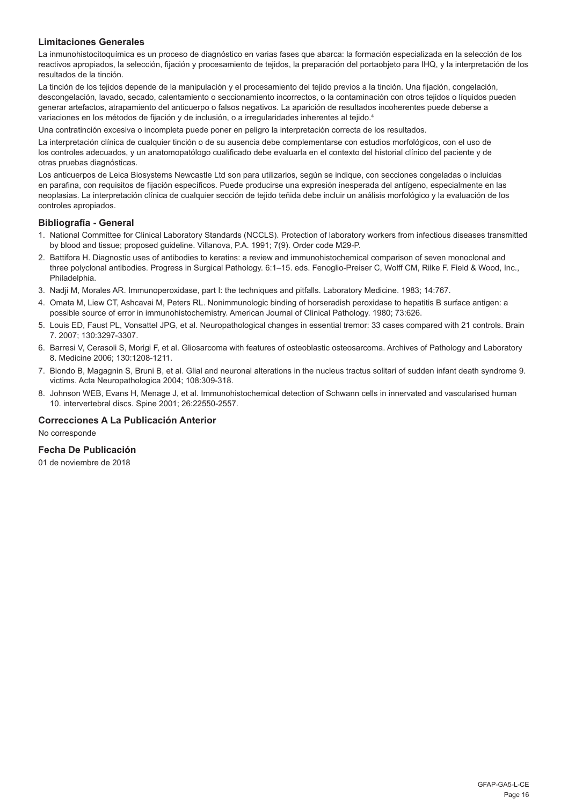# **Limitaciones Generales**

La inmunohistocitoquímica es un proceso de diagnóstico en varias fases que abarca: la formación especializada en la selección de los reactivos apropiados, la selección, fijación y procesamiento de tejidos, la preparación del portaobjeto para IHQ, y la interpretación de los resultados de la tinción.

La tinción de los tejidos depende de la manipulación y el procesamiento del tejido previos a la tinción. Una fijación, congelación, descongelación, lavado, secado, calentamiento o seccionamiento incorrectos, o la contaminación con otros tejidos o líquidos pueden generar artefactos, atrapamiento del anticuerpo o falsos negativos. La aparición de resultados incoherentes puede deberse a variaciones en los métodos de fijación y de inclusión, o a irregularidades inherentes al tejido.<sup>4</sup>

Una contratinción excesiva o incompleta puede poner en peligro la interpretación correcta de los resultados.

La interpretación clínica de cualquier tinción o de su ausencia debe complementarse con estudios morfológicos, con el uso de los controles adecuados, y un anatomopatólogo cualificado debe evaluarla en el contexto del historial clínico del paciente y de otras pruebas diagnósticas.

Los anticuerpos de Leica Biosystems Newcastle Ltd son para utilizarlos, según se indique, con secciones congeladas o incluidas en parafina, con requisitos de fijación específicos. Puede producirse una expresión inesperada del antígeno, especialmente en las neoplasias. La interpretación clínica de cualquier sección de tejido teñida debe incluir un análisis morfológico y la evaluación de los controles apropiados.

#### **Bibliografía - General**

- 1. National Committee for Clinical Laboratory Standards (NCCLS). Protection of laboratory workers from infectious diseases transmitted by blood and tissue; proposed guideline. Villanova, P.A. 1991; 7(9). Order code M29-P.
- 2. Battifora H. Diagnostic uses of antibodies to keratins: a review and immunohistochemical comparison of seven monoclonal and three polyclonal antibodies. Progress in Surgical Pathology. 6:1–15. eds. Fenoglio-Preiser C, Wolff CM, Rilke F. Field & Wood, Inc., Philadelphia.
- 3. Nadji M, Morales AR. Immunoperoxidase, part I: the techniques and pitfalls. Laboratory Medicine. 1983; 14:767.
- 4. Omata M, Liew CT, Ashcavai M, Peters RL. Nonimmunologic binding of horseradish peroxidase to hepatitis B surface antigen: a possible source of error in immunohistochemistry. American Journal of Clinical Pathology. 1980; 73:626.
- 5. Louis ED, Faust PL, Vonsattel JPG, et al. Neuropathological changes in essential tremor: 33 cases compared with 21 controls. Brain 7. 2007; 130:3297-3307.
- 6. Barresi V, Cerasoli S, Morigi F, et al. Gliosarcoma with features of osteoblastic osteosarcoma. Archives of Pathology and Laboratory 8. Medicine 2006; 130:1208-1211.
- 7. Biondo B, Magagnin S, Bruni B, et al. Glial and neuronal alterations in the nucleus tractus solitari of sudden infant death syndrome 9. victims. Acta Neuropathologica 2004; 108:309-318.
- 8. Johnson WEB, Evans H, Menage J, et al. Immunohistochemical detection of Schwann cells in innervated and vascularised human 10. intervertebral discs. Spine 2001; 26:22550-2557.

# **Correcciones A La Publicación Anterior**

No corresponde

#### **Fecha De Publicación**

01 de noviembre de 2018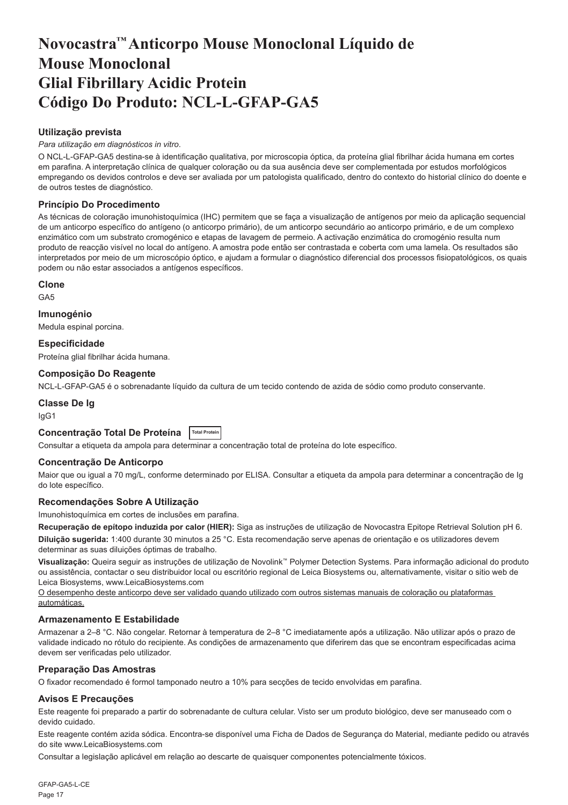# <span id="page-17-0"></span>**Novocastra™ Anticorpo Mouse Monoclonal Líquido de Mouse Monoclonal Glial Fibrillary Acidic Protein Código Do Produto: NCL-L-GFAP-GA5**

# **Utilização prevista**

#### *Para utilização em diagnósticos in vitro*.

O NCL-L-GFAP-GA5 destina-se à identificação qualitativa, por microscopia óptica, da proteína glial fibrilhar ácida humana em cortes em parafina. A interpretação clínica de qualquer coloração ou da sua ausência deve ser complementada por estudos morfológicos empregando os devidos controlos e deve ser avaliada por um patologista qualificado, dentro do contexto do historial clínico do doente e de outros testes de diagnóstico.

# **Princípio Do Procedimento**

As técnicas de coloração imunohistoquímica (IHC) permitem que se faça a visualização de antígenos por meio da aplicação sequencial de um anticorpo específico do antígeno (o anticorpo primário), de um anticorpo secundário ao anticorpo primário, e de um complexo enzimático com um substrato cromogénico e etapas de lavagem de permeio. A activação enzimática do cromogénio resulta num produto de reacção visível no local do antígeno. A amostra pode então ser contrastada e coberta com uma lamela. Os resultados são interpretados por meio de um microscópio óptico, e ajudam a formular o diagnóstico diferencial dos processos fisiopatológicos, os quais podem ou não estar associados a antígenos específicos.

**Clone**

G<sub>A5</sub>

**Imunogénio**

Medula espinal porcina.

# **Especificidade**

Proteína glial fibrilhar ácida humana.

# **Composição Do Reagente**

NCL-L-GFAP-GA5 é o sobrenadante líquido da cultura de um tecido contendo de azida de sódio como produto conservante.

#### **Classe De Ig**

IgG1

# **Concentração Total De Proteína Total Protein**

Consultar a etiqueta da ampola para determinar a concentração total de proteína do lote específico.

# **Concentração De Anticorpo**

Maior que ou igual a 70 mg/L, conforme determinado por ELISA. Consultar a etiqueta da ampola para determinar a concentração de Ig do lote específico.

# **Recomendações Sobre A Utilização**

Imunohistoquímica em cortes de inclusões em parafina.

**Recuperação de epítopo induzida por calor (HIER):** Siga as instruções de utilização de Novocastra Epitope Retrieval Solution pH 6. **Diluição sugerida:** 1:400 durante 30 minutos a 25 °C. Esta recomendação serve apenas de orientação e os utilizadores devem determinar as suas diluições óptimas de trabalho.

**Visualização:** Queira seguir as instruções de utilização de Novolink™ Polymer Detection Systems. Para informação adicional do produto ou assistência, contactar o seu distribuidor local ou escritório regional de Leica Biosystems ou, alternativamente, visitar o sitio web de Leica Biosystems, www.LeicaBiosystems.com

O desempenho deste anticorpo deve ser validado quando utilizado com outros sistemas manuais de coloração ou plataformas automáticas.

# **Armazenamento E Estabilidade**

Armazenar a 2–8 °C. Não congelar. Retornar à temperatura de 2–8 °C imediatamente após a utilização. Não utilizar após o prazo de validade indicado no rótulo do recipiente. As condições de armazenamento que diferirem das que se encontram especificadas acima devem ser verificadas pelo utilizador.

#### **Preparação Das Amostras**

O fixador recomendado é formol tamponado neutro a 10% para secções de tecido envolvidas em parafina.

# **Avisos E Precauções**

Este reagente foi preparado a partir do sobrenadante de cultura celular. Visto ser um produto biológico, deve ser manuseado com o devido cuidado.

Este reagente contém azida sódica. Encontra-se disponível uma Ficha de Dados de Segurança do Material, mediante pedido ou através do site www.LeicaBiosystems.com

Consultar a legislação aplicável em relação ao descarte de quaisquer componentes potencialmente tóxicos.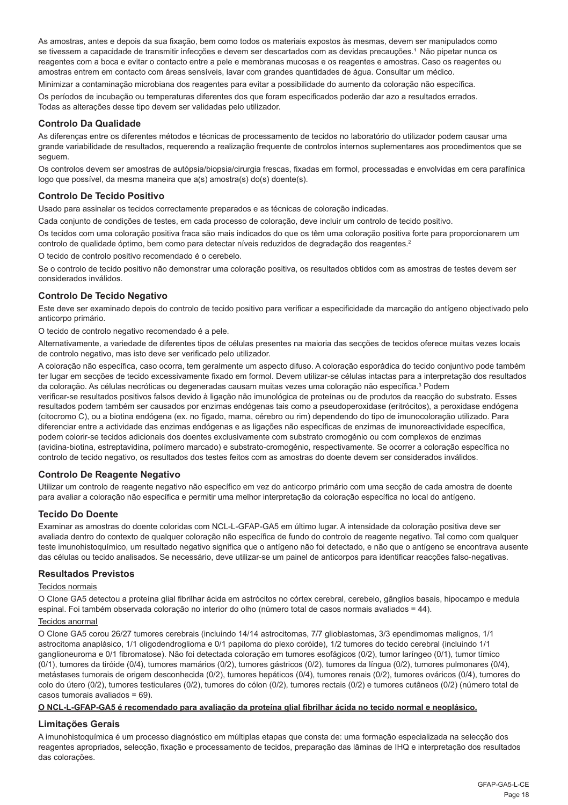As amostras, antes e depois da sua fixação, bem como todos os materiais expostos às mesmas, devem ser manipulados como se tivessem a capacidade de transmitir infecções e devem ser descartados com as devidas precauções.<sup>1</sup> Não pipetar nunca os reagentes com a boca e evitar o contacto entre a pele e membranas mucosas e os reagentes e amostras. Caso os reagentes ou amostras entrem em contacto com áreas sensíveis, lavar com grandes quantidades de água. Consultar um médico.

Minimizar a contaminação microbiana dos reagentes para evitar a possibilidade do aumento da coloração não específica. Os períodos de incubação ou temperaturas diferentes dos que foram especificados poderão dar azo a resultados errados. Todas as alterações desse tipo devem ser validadas pelo utilizador.

# **Controlo Da Qualidade**

As diferenças entre os diferentes métodos e técnicas de processamento de tecidos no laboratório do utilizador podem causar uma grande variabilidade de resultados, requerendo a realização frequente de controlos internos suplementares aos procedimentos que se seguem.

Os controlos devem ser amostras de autópsia/biopsia/cirurgia frescas, fixadas em formol, processadas e envolvidas em cera parafínica logo que possível, da mesma maneira que a(s) amostra(s) do(s) doente(s).

# **Controlo De Tecido Positivo**

Usado para assinalar os tecidos correctamente preparados e as técnicas de coloração indicadas.

Cada conjunto de condições de testes, em cada processo de coloração, deve incluir um controlo de tecido positivo.

Os tecidos com uma coloração positiva fraca são mais indicados do que os têm uma coloração positiva forte para proporcionarem um controlo de qualidade óptimo, bem como para detectar níveis reduzidos de degradação dos reagentes.<sup>2</sup>

O tecido de controlo positivo recomendado é o cerebelo.

Se o controlo de tecido positivo não demonstrar uma coloração positiva, os resultados obtidos com as amostras de testes devem ser considerados inválidos.

# **Controlo De Tecido Negativo**

Este deve ser examinado depois do controlo de tecido positivo para verificar a especificidade da marcação do antígeno objectivado pelo anticorpo primário.

O tecido de controlo negativo recomendado é a pele.

Alternativamente, a variedade de diferentes tipos de células presentes na maioria das secções de tecidos oferece muitas vezes locais de controlo negativo, mas isto deve ser verificado pelo utilizador.

A coloração não específica, caso ocorra, tem geralmente um aspecto difuso. A coloração esporádica do tecido conjuntivo pode também ter lugar em secções de tecido excessivamente fixado em formol. Devem utilizar-se células intactas para a interpretação dos resultados da coloração. As células necróticas ou degeneradas causam muitas vezes uma coloração não específica.<sup>3</sup> Podem

verificar-se resultados positivos falsos devido à ligação não imunológica de proteínas ou de produtos da reacção do substrato. Esses resultados podem também ser causados por enzimas endógenas tais como a pseudoperoxidase (eritrócitos), a peroxidase endógena (citocromo C), ou a biotina endógena (ex. no fígado, mama, cérebro ou rim) dependendo do tipo de imunocoloração utilizado. Para diferenciar entre a actividade das enzimas endógenas e as ligações não específicas de enzimas de imunoreactividade específica, podem colorir-se tecidos adicionais dos doentes exclusivamente com substrato cromogénio ou com complexos de enzimas (avidina-biotina, estreptavidina, polímero marcado) e substrato-cromogénio, respectivamente. Se ocorrer a coloração específica no controlo de tecido negativo, os resultados dos testes feitos com as amostras do doente devem ser considerados inválidos.

# **Controlo De Reagente Negativo**

Utilizar um controlo de reagente negativo não específico em vez do anticorpo primário com uma secção de cada amostra de doente para avaliar a coloração não específica e permitir uma melhor interpretação da coloração específica no local do antígeno.

# **Tecido Do Doente**

Examinar as amostras do doente coloridas com NCL-L-GFAP-GA5 em último lugar. A intensidade da coloração positiva deve ser avaliada dentro do contexto de qualquer coloração não específica de fundo do controlo de reagente negativo. Tal como com qualquer teste imunohistoquímico, um resultado negativo significa que o antígeno não foi detectado, e não que o antígeno se encontrava ausente das células ou tecido analisados. Se necessário, deve utilizar-se um painel de anticorpos para identificar reacções falso-negativas.

# **Resultados Previstos**

#### Tecidos normais

O Clone GA5 detectou a proteína glial fibrilhar ácida em astrócitos no córtex cerebral, cerebelo, gânglios basais, hipocampo e medula espinal. Foi também observada coloração no interior do olho (número total de casos normais avaliados = 44).

#### Tecidos anormal

O Clone GA5 corou 26/27 tumores cerebrais (incluindo 14/14 astrocitomas, 7/7 glioblastomas, 3/3 ependimomas malignos, 1/1 astrocitoma anaplásico, 1/1 oligodendroglioma e 0/1 papiloma do plexo coróide), 1/2 tumores do tecido cerebral (incluindo 1/1 ganglioneuroma e 0/1 fibromatose). Não foi detectada coloração em tumores esofágicos (0/2), tumor laríngeo (0/1), tumor tímico (0/1), tumores da tiróide (0/4), tumores mamários (0/2), tumores gástricos (0/2), tumores da língua (0/2), tumores pulmonares (0/4), metástases tumorais de origem desconhecida (0/2), tumores hepáticos (0/4), tumores renais (0/2), tumores ováricos (0/4), tumores do colo do útero (0/2), tumores testiculares (0/2), tumores do cólon (0/2), tumores rectais (0/2) e tumores cutâneos (0/2) (número total de casos tumorais avaliados = 69).

#### **O NCL-L-GFAP-GA5 é recomendado para avaliação da proteína glial fibrilhar ácida no tecido normal e neoplásico.**

# **Limitações Gerais**

A imunohistoquímica é um processo diagnóstico em múltiplas etapas que consta de: uma formação especializada na selecção dos reagentes apropriados, selecção, fixação e processamento de tecidos, preparação das lâminas de IHQ e interpretação dos resultados das colorações.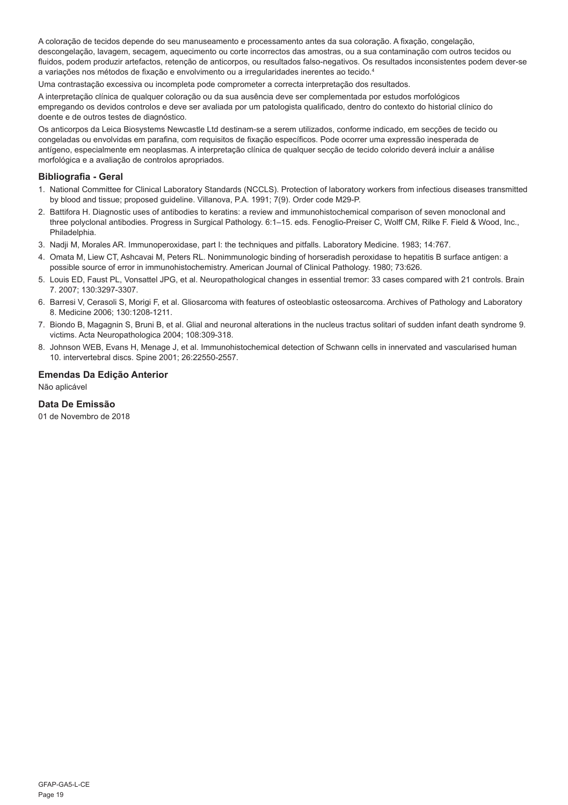A coloração de tecidos depende do seu manuseamento e processamento antes da sua coloração. A fixação, congelação, descongelação, lavagem, secagem, aquecimento ou corte incorrectos das amostras, ou a sua contaminação com outros tecidos ou fluidos, podem produzir artefactos, retenção de anticorpos, ou resultados falso-negativos. Os resultados inconsistentes podem dever-se a variações nos métodos de fixação e envolvimento ou a irregularidades inerentes ao tecido.<sup>4</sup>

Uma contrastação excessiva ou incompleta pode comprometer a correcta interpretação dos resultados.

A interpretação clínica de qualquer coloração ou da sua ausência deve ser complementada por estudos morfológicos empregando os devidos controlos e deve ser avaliada por um patologista qualificado, dentro do contexto do historial clínico do doente e de outros testes de diagnóstico.

Os anticorpos da Leica Biosystems Newcastle Ltd destinam-se a serem utilizados, conforme indicado, em secções de tecido ou congeladas ou envolvidas em parafina, com requisitos de fixação específicos. Pode ocorrer uma expressão inesperada de antígeno, especialmente em neoplasmas. A interpretação clínica de qualquer secção de tecido colorido deverá incluir a análise morfológica e a avaliação de controlos apropriados.

# **Bibliografia - Geral**

- 1. National Committee for Clinical Laboratory Standards (NCCLS). Protection of laboratory workers from infectious diseases transmitted by blood and tissue; proposed guideline. Villanova, P.A. 1991; 7(9). Order code M29-P.
- 2. Battifora H. Diagnostic uses of antibodies to keratins: a review and immunohistochemical comparison of seven monoclonal and three polyclonal antibodies. Progress in Surgical Pathology. 6:1–15. eds. Fenoglio-Preiser C, Wolff CM, Rilke F. Field & Wood, Inc., Philadelphia.
- 3. Nadji M, Morales AR. Immunoperoxidase, part I: the techniques and pitfalls. Laboratory Medicine. 1983; 14:767.
- 4. Omata M, Liew CT, Ashcavai M, Peters RL. Nonimmunologic binding of horseradish peroxidase to hepatitis B surface antigen: a possible source of error in immunohistochemistry. American Journal of Clinical Pathology. 1980; 73:626.
- 5. Louis ED, Faust PL, Vonsattel JPG, et al. Neuropathological changes in essential tremor: 33 cases compared with 21 controls. Brain 7. 2007; 130:3297-3307.
- 6. Barresi V, Cerasoli S, Morigi F, et al. Gliosarcoma with features of osteoblastic osteosarcoma. Archives of Pathology and Laboratory 8. Medicine 2006; 130:1208-1211.
- 7. Biondo B, Magagnin S, Bruni B, et al. Glial and neuronal alterations in the nucleus tractus solitari of sudden infant death syndrome 9. victims. Acta Neuropathologica 2004; 108:309-318.
- 8. Johnson WEB, Evans H, Menage J, et al. Immunohistochemical detection of Schwann cells in innervated and vascularised human 10. intervertebral discs. Spine 2001; 26:22550-2557.

# **Emendas Da Edição Anterior**

Não aplicável

# **Data De Emissão**

01 de Novembro de 2018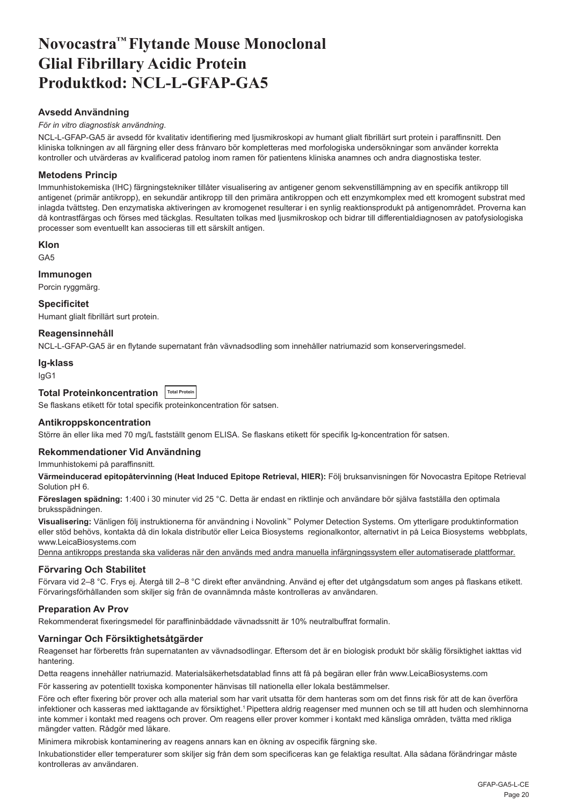# <span id="page-20-0"></span>**Novocastra™ Flytande Mouse Monoclonal Glial Fibrillary Acidic Protein Produktkod: NCL-L-GFAP-GA5**

# **Avsedd Användning**

#### *För in vitro diagnostisk användning*.

NCL-L-GFAP-GA5 är avsedd för kvalitativ identifiering med ljusmikroskopi av humant glialt fibrillärt surt protein i paraffinsnitt. Den kliniska tolkningen av all färgning eller dess frånvaro bör kompletteras med morfologiska undersökningar som använder korrekta kontroller och utvärderas av kvalificerad patolog inom ramen för patientens kliniska anamnes och andra diagnostiska tester.

# **Metodens Princip**

Immunhistokemiska (IHC) färgningstekniker tillåter visualisering av antigener genom sekvenstillämpning av en specifik antikropp till antigenet (primär antikropp), en sekundär antikropp till den primära antikroppen och ett enzymkomplex med ett kromogent substrat med inlagda tvättsteg. Den enzymatiska aktiveringen av kromogenet resulterar i en synlig reaktionsprodukt på antigenområdet. Proverna kan då kontrastfärgas och förses med täckglas. Resultaten tolkas med ljusmikroskop och bidrar till differentialdiagnosen av patofysiologiska processer som eventuellt kan associeras till ett särskilt antigen.

**Klon**

GA5

# **Immunogen**

Porcin ryggmärg.

# **Specificitet**

Humant glialt fibrillärt surt protein.

# **Reagensinnehåll**

NCL-L-GFAP-GA5 är en flytande supernatant från vävnadsodling som innehåller natriumazid som konserveringsmedel.

#### **Ig-klass**

IgG1

# **Total Proteinkoncentration Total Protein**

Se flaskans etikett för total specifik proteinkoncentration för satsen.

# **Antikroppskoncentration**

Större än eller lika med 70 mg/L fastställt genom ELISA. Se flaskans etikett för specifik Ig-koncentration för satsen.

#### **Rekommendationer Vid Användning**

Immunhistokemi på paraffinsnitt.

**Värmeinducerad epitopåtervinning (Heat Induced Epitope Retrieval, HIER):** Följ bruksanvisningen för Novocastra Epitope Retrieval Solution pH 6.

**Föreslagen spädning:** 1:400 i 30 minuter vid 25 °C. Detta är endast en riktlinje och användare bör själva fastställa den optimala bruksspädningen.

**Visualisering:** Vänligen följ instruktionerna för användning i Novolink™ Polymer Detection Systems. Om ytterligare produktinformation eller stöd behövs, kontakta då din lokala distributör eller Leica Biosystems regionalkontor, alternativt in på Leica Biosystems webbplats, www.LeicaBiosystems.com

Denna antikropps prestanda ska valideras när den används med andra manuella infärgningssystem eller automatiserade plattformar.

#### **Förvaring Och Stabilitet**

Förvara vid 2–8 °C. Frys ej. Återgå till 2–8 °C direkt efter användning. Använd ej efter det utgångsdatum som anges på flaskans etikett. Förvaringsförhållanden som skiljer sig från de ovannämnda måste kontrolleras av användaren.

# **Preparation Av Prov**

Rekommenderat fixeringsmedel för paraffininbäddade vävnadssnitt är 10% neutralbuffrat formalin.

# **Varningar Och Försiktighetsåtgärder**

Reagenset har förberetts från supernatanten av vävnadsodlingar. Eftersom det är en biologisk produkt bör skälig försiktighet iakttas vid hantering.

Detta reagens innehåller natriumazid. Materialsäkerhetsdatablad finns att få på begäran eller från www.LeicaBiosystems.com

För kassering av potentiellt toxiska komponenter hänvisas till nationella eller lokala bestämmelser.

Före och efter fixering bör prover och alla material som har varit utsatta för dem hanteras som om det finns risk för att de kan överföra infektioner och kasseras med iakttagande av försiktighet.<sup>1</sup> Pipettera aldrig reagenser med munnen och se till att huden och slemhinnorna inte kommer i kontakt med reagens och prover. Om reagens eller prover kommer i kontakt med känsliga områden, tvätta med rikliga mängder vatten. Rådgör med läkare.

Minimera mikrobisk kontaminering av reagens annars kan en ökning av ospecifik färgning ske.

Inkubationstider eller temperaturer som skiljer sig från dem som specificeras kan ge felaktiga resultat. Alla sådana förändringar måste kontrolleras av användaren.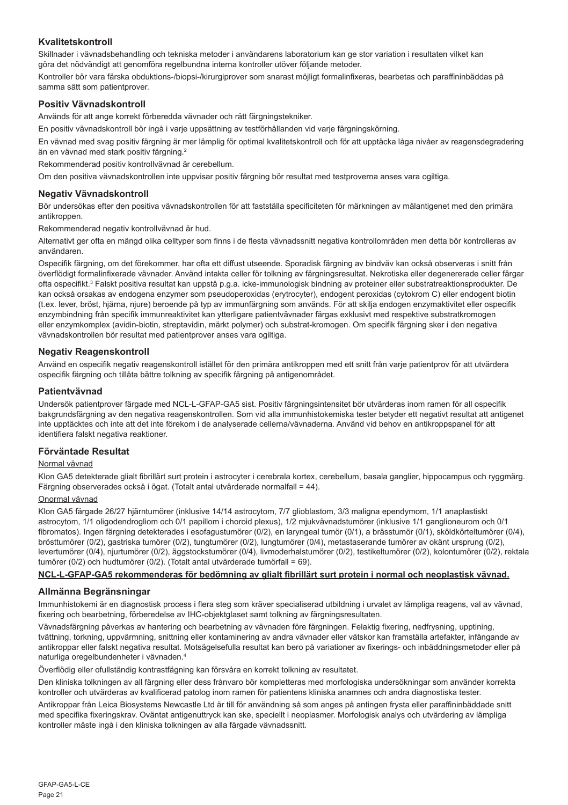# **Kvalitetskontroll**

Skillnader i vävnadsbehandling och tekniska metoder i användarens laboratorium kan ge stor variation i resultaten vilket kan göra det nödvändigt att genomföra regelbundna interna kontroller utöver följande metoder.

Kontroller bör vara färska obduktions-/biopsi-/kirurgiprover som snarast möjligt formalinfixeras, bearbetas och paraffininbäddas på samma sätt som patientprover.

# **Positiv Vävnadskontroll**

Används för att ange korrekt förberedda vävnader och rätt färgningstekniker.

En positiv vävnadskontroll bör ingå i varje uppsättning av testförhållanden vid varje färgningskörning.

En vävnad med svag positiv färgning är mer lämplig för optimal kvalitetskontroll och för att upptäcka låga nivåer av reagensdegradering än en vävnad med stark positiv färgning.<sup>2</sup>

Rekommenderad positiv kontrollvävnad är cerebellum.

Om den positiva vävnadskontrollen inte uppvisar positiv färgning bör resultat med testproverna anses vara ogiltiga.

## **Negativ Vävnadskontroll**

Bör undersökas efter den positiva vävnadskontrollen för att fastställa specificiteten för märkningen av målantigenet med den primära antikroppen.

Rekommenderad negativ kontrollvävnad är hud.

Alternativt ger ofta en mängd olika celltyper som finns i de flesta vävnadssnitt negativa kontrollområden men detta bör kontrolleras av användaren.

Ospecifik färgning, om det förekommer, har ofta ett diffust utseende. Sporadisk färgning av bindväv kan också observeras i snitt från överflödigt formalinfixerade vävnader. Använd intakta celler för tolkning av färgningsresultat. Nekrotiska eller degenererade celler färgar ofta ospecifikt.<sup>3</sup> Falskt positiva resultat kan uppstå p.g.a. icke-immunologisk bindning av proteiner eller substratreaktionsprodukter. De kan också orsakas av endogena enzymer som pseudoperoxidas (erytrocyter), endogent peroxidas (cytokrom C) eller endogent biotin (t.ex. lever, bröst, hjärna, njure) beroende på typ av immunfärgning som används. För att skilja endogen enzymaktivitet eller ospecifik enzymbindning från specifik immunreaktivitet kan ytterligare patientvävnader färgas exklusivt med respektive substratkromogen eller enzymkomplex (avidin-biotin, streptavidin, märkt polymer) och substrat-kromogen. Om specifik färgning sker i den negativa vävnadskontrollen bör resultat med patientprover anses vara ogiltiga.

# **Negativ Reagenskontroll**

Använd en ospecifik negativ reagenskontroll istället för den primära antikroppen med ett snitt från varje patientprov för att utvärdera ospecifik färgning och tillåta bättre tolkning av specifik färgning på antigenområdet.

#### **Patientvävnad**

Undersök patientprover färgade med NCL-L-GFAP-GA5 sist. Positiv färgningsintensitet bör utvärderas inom ramen för all ospecifik bakgrundsfärgning av den negativa reagenskontrollen. Som vid alla immunhistokemiska tester betyder ett negativt resultat att antigenet inte upptäcktes och inte att det inte förekom i de analyserade cellerna/vävnaderna. Använd vid behov en antikroppspanel för att identifiera falskt negativa reaktioner.

#### **Förväntade Resultat**

# Normal vävnad

Klon GA5 detekterade glialt fibrillärt surt protein i astrocyter i cerebrala kortex, cerebellum, basala ganglier, hippocampus och ryggmärg. Färgning observerades också i ögat. (Totalt antal utvärderade normalfall = 44).

# Onormal vävnad

Klon GA5 färgade 26/27 hjärntumörer (inklusive 14/14 astrocytom, 7/7 glioblastom, 3/3 maligna ependymom, 1/1 anaplastiskt astrocytom, 1/1 oligodendrogliom och 0/1 papillom i choroid plexus), 1/2 mjukvävnadstumörer (inklusive 1/1 ganglioneurom och 0/1 fibromatos). Ingen färgning detekterades i esofagustumörer (0/2), en laryngeal tumör (0/1), a brässtumör (0/1), sköldkörteltumörer (0/4), brösttumörer (0/2), gastriska tumörer (0/2), tungtumörer (0/2), lungtumörer (0/4), metastaserande tumörer av okänt ursprung (0/2), levertumörer (0/4), njurtumörer (0/2), äggstockstumörer (0/4), livmoderhalstumörer (0/2), testikeltumörer (0/2), kolontumörer (0/2), rektala tumörer (0/2) och hudtumörer (0/2). (Totalt antal utvärderade tumörfall = 69).

#### **NCL-L-GFAP-GA5 rekommenderas för bedömning av glialt fibrillärt surt protein i normal och neoplastisk vävnad.**

#### **Allmänna Begränsningar**

Immunhistokemi är en diagnostisk process i flera steg som kräver specialiserad utbildning i urvalet av lämpliga reagens, val av vävnad, fixering och bearbetning, förberedelse av IHC-objektglaset samt tolkning av färgningsresultaten.

Vävnadsfärgning påverkas av hantering och bearbetning av vävnaden före färgningen. Felaktig fixering, nedfrysning, upptining, tvättning, torkning, uppvärmning, snittning eller kontaminering av andra vävnader eller vätskor kan framställa artefakter, infångande av antikroppar eller falskt negativa resultat. Motsägelsefulla resultat kan bero på variationer av fixerings- och inbäddningsmetoder eller på naturliga oregelbundenheter i vävnaden.<sup>4</sup>

Överflödig eller ofullständig kontrastfägning kan försvåra en korrekt tolkning av resultatet.

Den kliniska tolkningen av all färgning eller dess frånvaro bör kompletteras med morfologiska undersökningar som använder korrekta kontroller och utvärderas av kvalificerad patolog inom ramen för patientens kliniska anamnes och andra diagnostiska tester.

Antikroppar från Leica Biosystems Newcastle Ltd är till för användning så som anges på antingen frysta eller paraffininbäddade snitt med specifika fixeringskrav. Oväntat antigenuttryck kan ske, speciellt i neoplasmer. Morfologisk analys och utvärdering av lämpliga kontroller måste ingå i den kliniska tolkningen av alla färgade vävnadssnitt.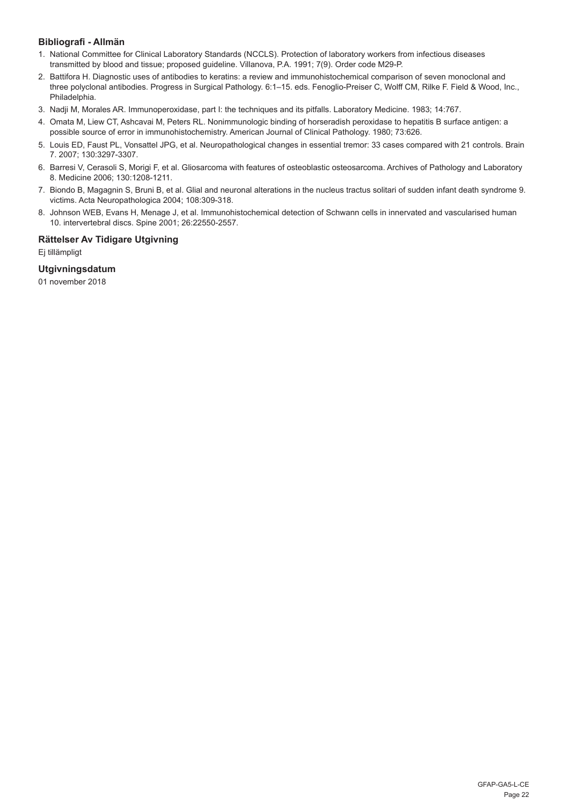# **Bibliografi - Allmän**

- 1. National Committee for Clinical Laboratory Standards (NCCLS). Protection of laboratory workers from infectious diseases transmitted by blood and tissue; proposed guideline. Villanova, P.A. 1991; 7(9). Order code M29-P.
- 2. Battifora H. Diagnostic uses of antibodies to keratins: a review and immunohistochemical comparison of seven monoclonal and three polyclonal antibodies. Progress in Surgical Pathology. 6:1–15. eds. Fenoglio-Preiser C, Wolff CM, Rilke F. Field & Wood, Inc., Philadelphia.
- 3. Nadji M, Morales AR. Immunoperoxidase, part I: the techniques and its pitfalls. Laboratory Medicine. 1983; 14:767.
- 4. Omata M, Liew CT, Ashcavai M, Peters RL. Nonimmunologic binding of horseradish peroxidase to hepatitis B surface antigen: a possible source of error in immunohistochemistry. American Journal of Clinical Pathology. 1980; 73:626.
- 5. Louis ED, Faust PL, Vonsattel JPG, et al. Neuropathological changes in essential tremor: 33 cases compared with 21 controls. Brain 7. 2007; 130:3297-3307.
- 6. Barresi V, Cerasoli S, Morigi F, et al. Gliosarcoma with features of osteoblastic osteosarcoma. Archives of Pathology and Laboratory 8. Medicine 2006; 130:1208-1211.
- 7. Biondo B, Magagnin S, Bruni B, et al. Glial and neuronal alterations in the nucleus tractus solitari of sudden infant death syndrome 9. victims. Acta Neuropathologica 2004; 108:309-318.
- 8. Johnson WEB, Evans H, Menage J, et al. Immunohistochemical detection of Schwann cells in innervated and vascularised human 10. intervertebral discs. Spine 2001; 26:22550-2557.

# **Rättelser Av Tidigare Utgivning**

Ej tillämpligt

# **Utgivningsdatum**

01 november 2018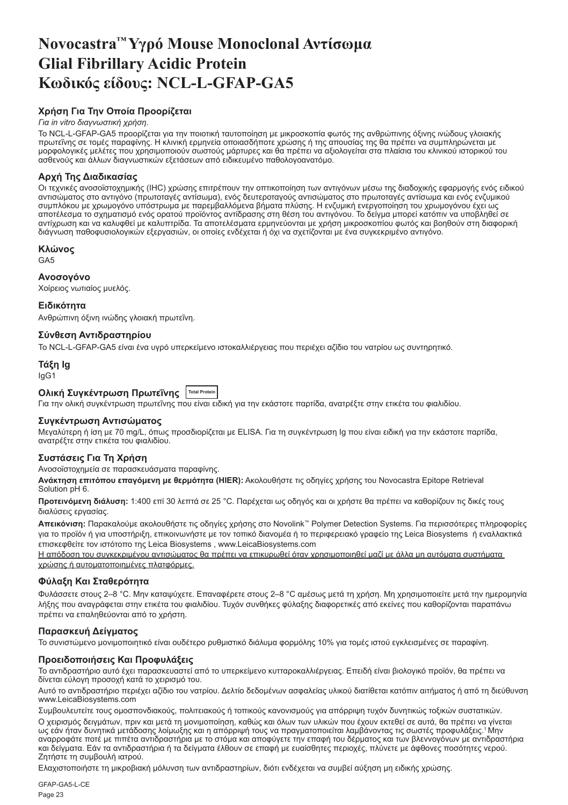# <span id="page-23-0"></span>**Novocastra™ Υγρό Mouse Monoclonal Αντίσωμα Glial Fibrillary Acidic Protein Κωδικός είδους: NCL-L-GFAP-GA5**

# **Χρήση Για Την Οποία Προορίζεται**

## *Για in vitro διαγνωστική χρήση*.

Το NCL-L-GFAP-GA5 προορίζεται για την ποιοτική ταυτοποίηση με μικροσκοπία φωτός της ανθρώπινης όξινης ινώδους γλοιακής πρωτεΐνης σε τομές παραφίνης. Η κλινική ερμηνεία οποιασδήποτε χρώσης ή της απουσίας της θα πρέπει να συμπληρώνεται με μορφολογικές μελέτες που χρησιμοποιούν σωστούς μάρτυρες και θα πρέπει να αξιολογείται στα πλαίσια του κλινικού ιστορικού του<br>ασθενούς και άλλων διαγνωστικών εξετάσεων από ειδικευμένο παθολογοανατόμο.

# **Αρχή Της Διαδικασίας**

Οι τεχνικές ανοσοϊστοχημικής (IHC) χρώσης επιτρέπουν την οπτικοποίηση των αντιγόνων μέσω της διαδοχικής εφαρμογής ενός ειδικού αντισώματος στο αντιγόνο (πρωτοταγές αντίσωμα), ενός δευτεροταγούς αντισώματος στο πρωτοταγές αντίσωμα και ενός ενζυμικού συμπλόκου με χρωμογόνο υπόστρωμα με παρεμβαλλόμενα βήματα πλύσης. Η ενζυμική ενεργοποίηση του χρωμογόνου έχει ως αποτέλεσμα το σχηματισμό ενός ορατού προϊόντος αντίδρασης στη θέση του αντιγόνου. Το δείγμα μπορεί κατόπιν να υποβληθεί σε αντίχρωση και να καλυφθεί με καλυπτρίδα. Τα αποτελέσματα ερμηνεύονται με χρήση μικροσκοπίου φωτός και βοηθούν στη διαφορική διάγνωση παθοφυσιολογικών εξεργασιών, οι οποίες ενδέχεται ή όχι να σχετίζονται με ένα συγκεκριμένο αντιγόνο.

# **Κλώνος**

GA5

# **Ανοσογόνο**

Χοίρειος νωτιαίος μυελός.

# **Ειδικότητα**

Ανθρώπινη όξινη ινώδης γλοιακή πρωτεΐνη.

# **Σύνθεση Αντιδραστηρίου**

Το NCL-L-GFAP-GA5 είναι ένα υγρό υπερκείμενο ιστοκαλλιέργειας που περιέχει αζίδιο του νατρίου ως συντηρητικό.

#### **Τάξη Ig** IgG1

# **Ολική Συγκέντρωση Πρωτεΐνης Total Protein**

Για την ολική συγκέντρωση πρωτεΐνης που είναι ειδική για την εκάστοτε παρτίδα, ανατρέξτε στην ετικέτα του φιαλιδίου.

# **Συγκέντρωση Αντισώματος**

Μεγαλύτερη ή ίση με 70 mg/L, όπως προσδιορίζεται με ELISA. Για τη συγκέντρωση Ig που είναι ειδική για την εκάστοτε παρτίδα, ανατρέξτε στην ετικέτα του φιαλιδίου.

# **Συστάσεις Για Τη Χρήση**

#### Ανοσοϊστοχημεία σε παρασκευάσματα παραφίνης.

**Ανάκτηση επιτόπου επαγόμενη με θερμότητα (HIER):** Ακολουθήστε τις οδηγίες χρήσης του Novocastra Epitope Retrieval Solution pH 6.

**Προτεινόμενη διάλυση:** 1:400 επί 30 λεπτά σε 25 °C. Παρέχεται ως οδηγός και οι χρήστε θα πρέπει να καθορίζουν τις δικές τους διαλύσεις εργασίας.

**Απεικόνιση:** Παρακαλούμε ακολουθήστε τις οδηγίες χρήσης στο Novolink™ Polymer Detection Systems. Για περισσότερες πληροφορίες για το προϊόν ή για υποστήριξη, επικοινωνήστε με τον τοπικό διανομέα ή το περιφερειακό γραφείο της Leica Biosystems ή εναλλακτικά επισκεφθείτε τον ιστότοπο της Leica Biosystems , www.LeicaBiosystems.com

Η απόδοση του συγκεκριμένου αντισώματος θα πρέπει να επικυρωθεί όταν χρησιμοποιηθεί μαζί με άλλα μη αυτόματα συστήματα χρώσης ή αυτοματοποιημένες πλατφόρμες.

# **Φύλαξη Και Σταθερότητα**

Φυλάσσετε στους 2–8 °C. Μην καταψύχετε. Επαναφέρετε στους 2–8 °C αμέσως μετά τη χρήση. Μη χρησιμοποιείτε μετά την ημερομηνία λήξης που αναγράφεται στην ετικέτα του φιαλιδίου. Τυχόν συνθήκες φύλαξης διαφορετικές από εκείνες που καθορίζονται παραπάνω πρέπει να επαληθεύονται από το χρήστη.

# **Παρασκευή Δείγματος**

Το συνιστώμενο μονιμοποιητικό είναι ουδέτερο ρυθμιστικό διάλυμα φορμόλης 10% για τομές ιστού εγκλεισμένες σε παραφίνη.

# **Προειδοποιήσεις Και Προφυλάξεις**

Το αντιδραστήριο αυτό έχει παρασκευαστεί από το υπερκείμενο κυτταροκαλλιέργειας. Επειδή είναι βιολογικό προϊόν, θα πρέπει να δίνεται εύλογη προσοχή κατά το χειρισμό του.

Αυτό το αντιδραστήριο περιέχει αζίδιο του νατρίου. Δελτίο δεδομένων ασφαλείας υλικού διατίθεται κατόπιν αιτήματος ή από τη διεύθυνση www.LeicaBiosystems.com

Συμβουλευτείτε τους ομοσπονδιακούς, πολιτειακούς ή τοπικούς κανονισμούς για απόρριψη τυχόν δυνητικώς τοξικών συστατικών. Ο χειρισμός δειγμάτων, πριν και μετά τη μονιμοποίηση, καθώς και όλων των υλικών που έχουν εκτεθεί σε αυτά, θα πρέπει να γίνεται ως εάν ήταν δυνητικά μετάδοσης λοίμωξης και η απόρριψή τους να πραγματοποιείται λαμβάνοντας τις σωστές προφυλάξεις.<sup>1</sup>Μην αναρροφάτε ποτέ με πιπέτα αντιδραστήρια με το στόμα και αποφύγετε την επαφή του δέρματος και των βλεννογόνων με αντιδραστήρια και δείγματα. Εάν τα αντιδραστήρια ή τα δείγματα έλθουν σε επαφή με ευαίσθητες περιοχές, πλύνετε με άφθονες ποσότητες νερού. Ζητήστε τη συμβουλή ιατρού.

Ελαχιστοποιήστε τη μικροβιακή μόλυνση των αντιδραστηρίων, διότι ενδέχεται να συμβεί αύξηση μη ειδικής χρώσης.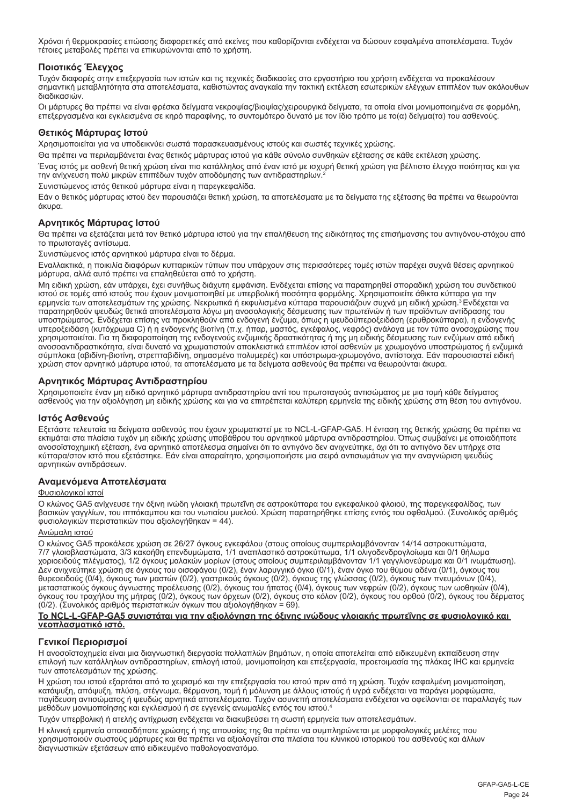Χρόνοι ή θερμοκρασίες επώασης διαφορετικές από εκείνες που καθορίζονται ενδέχεται να δώσουν εσφαλμένα αποτελέσματα. Τυχόν τέτοιες μεταβολές πρέπει να επικυρώνονται από το χρήστη.

# **Ποιοτικός Έλεγχος**

Τυχόν διαφορές στην επεξεργασία των ιστών και τις τεχνικές διαδικασίες στο εργαστήριο του χρήστη ενδέχεται να προκαλέσουν σημαντική μεταβλητότητα στα αποτελέσματα, καθιστώντας αναγκαία την τακτική εκτέλεση εσωτερικών ελέγχων επιπλέον των ακόλουθων διαδικασιών.

Οι μάρτυρες θα πρέπει να είναι φρέσκα δείγματα νεκροψίας/βιοψίας/χειρουργικά δείγματα, τα οποία είναι μονιμοποιημένα σε φορμόλη, επεξεργασμένα και εγκλεισμένα σε κηρό παραφίνης, το συντομότερο δυνατό με τον ίδιο τρόπο με το(α) δείγμα(τα) του ασθενούς.

# **Θετικός Μάρτυρας Ιστού**

Χρησιμοποιείται για να υποδεικνύει σωστά παρασκευασμένους ιστούς και σωστές τεχνικές χρώσης.

Θα πρέπει να περιλαμβάνεται ένας θετικός μάρτυρας ιστού για κάθε σύνολο συνθηκών εξέτασης σε κάθε εκτέλεση χρώσης.

Ένας ιστός με ασθενή θετική χρώση είναι πιο κατάλληλος από έναν ιστό με ισχυρή θετική χρώση για βέλτιστο έλεγχο ποιότητας και για την ανίχνευση πολύ μικρών επιπέδων τυχόν αποδόμησης των αντιδραστηρίων.<sup>2</sup>

Συνιστώμενος ιστός θετικού μάρτυρα είναι η παρεγκεφαλίδα.

Εάν ο θετικός μάρτυρας ιστού δεν παρουσιάζει θετική χρώση, τα αποτελέσματα με τα δείγματα της εξέτασης θα πρέπει να θεωρούνται άκυρα.

# **Αρνητικός Μάρτυρας Ιστού**

Θα πρέπει να εξετάζεται μετά τον θετικό μάρτυρα ιστού για την επαλήθευση της ειδικότητας της επισήμανσης του αντιγόνου-στόχου από το πρωτοταγές αντίσωμα.

Συνιστώμενος ιστός αρνητικού μάρτυρα είναι το δέρμα.

Εναλλακτικά, η ποικιλία διαφόρων κυτταρικών τύπων που υπάρχουν στις περισσότερες τομές ιστών παρέχει συχνά θέσεις αρνητικού μάρτυρα, αλλά αυτό πρέπει να επαληθεύεται από το χρήστη.

Μη ειδική χρώση, εάν υπάρχει, έχει συνήθως διάχυτη εμφάνιση. Ενδέχεται επίσης να παρατηρηθεί σποραδική χρώση του συνδετικού ιστού σε τομές από ιστούς που έχουν μονιμοποιηθεί με υπερβολική ποσότητα φορμόλης. Χρησιμοποιείτε άθικτα κύτταρα για την<br>ερμηνεία των αποτελεσμάτων της χρώσης. Νεκρωτικά ή εκφυλισμένα κύτταρα παρουσιάζουν συχνά μη ειδική παρατηρηθούν ψευδώς θετικά αποτελέσματα λόγω μη ανοσολογικής δέσμευσης των πρωτεϊνών ή των προϊόντων αντίδρασης του υποστρώματος. Ενδέχεται επίσης να προκληθούν από ενδογενή ένζυμα, όπως η ψευδοϋπεροξειδάση (ερυθροκύτταρα), η ενδογενής<br>υπεροξειδάση (κυτόχρωμα C) ή η ενδογενής βιοτίνη (π.χ. ήπαρ, μαστός, εγκέφαλος, νεφρός) ανάλογα με το χρησιμοποιείται. Για τη διαφοροποίηση της ενδογενούς ενζυμικής δραστικότητας ή της μη ειδικής δέσμευσης των ενζύμων από ειδική ανοσοαντιδραστικότητα, είναι δυνατό να χρωματιστούν αποκλειστικά επιπλέον ιστοί ασθενών με χρωμογόνο υποστρώματος ή ενζυμικά σύμπλοκα (αβιδίνη-βιοτίνη, στρεπταβιδίνη, σημασμένο πολυμερές) και υπόστρωμα-χρωμογόνο, αντίστοιχα. Εάν παρουσιαστεί ειδική χρώση στον αρνητικό μάρτυρα ιστού, τα αποτελέσματα με τα δείγματα ασθενούς θα πρέπει να θεωρούνται άκυρα.

# **Αρνητικός Μάρτυρας Αντιδραστηρίου**

Χρησιμοποιείτε έναν μη ειδικό αρνητικό μάρτυρα αντιδραστηρίου αντί του πρωτοταγούς αντισώματος με μια τομή κάθε δείγματος ασθενούς για την αξιολόγηση μη ειδικής χρώσης και για να επιτρέπεται καλύτερη ερμηνεία της ειδικής χρώσης στη θέση του αντιγόνου.

#### **Ιστός Ασθενούς**

Εξετάστε τελευταία τα δείγματα ασθενούς που έχουν χρωματιστεί με το NCL-L-GFAP-GA5. Η ένταση της θετικής χρώσης θα πρέπει να εκτιμάται στα πλαίσια τυχόν μη ειδικής χρώσης υποβάθρου του αρνητικού μάρτυρα αντιδραστηρίου. Όπως συμβαίνει με οποιαδήποτε ανοσοϊστοχημική εξέταση, ένα αρνητικό αποτέλεσμα σημαίνει ότι το αντιγόνο δεν ανιχνεύτηκε, όχι ότι το αντιγόνο δεν υπήρχε στα κύτταρα/στον ιστό που εξετάστηκε. Εάν είναι απαραίτητο, χρησιμοποιήστε μια σειρά αντισωμάτων για την αναγνώριση ψευδώς αρνητικών αντιδράσεων.

# **Αναμενόμενα Αποτελέσματα**

#### Φυσιολογικοί ιστοί

Ο κλώνος GA5 ανίχνευσε την όξινη ινώδη γλοιακή πρωτεΐνη σε αστροκύτταρα του εγκεφαλικού φλοιού, της παρεγκεφαλίδας, των βασικών γαγγλίων, του ιππόκαμπου και του νωτιαίου μυελού. Χρώση παρατηρήθηκε επίσης εντός του οφθαλμού. (Συνολικός αριθμός φυσιολογικών περιστατικών που αξιολογήθηκαν = 44).

# Ανώμαλη ιστού

Ο κλώνος GA5 προκάλεσε χρώση σε 26/27 όγκους εγκεφάλου (στους οποίους συμπεριλαμβάνονταν 14/14 αστροκυττώματα, 7/7 γλοιοβλαστώματα, 3/3 κακοήθη επενδυμώματα, 1/1 αναπλαστικό αστροκύττωμα, 1/1 ολιγοδενδρογλοίωμα και 0/1 θήλωμα χοριοειδούς πλέγματος), 1/2 όγκους μαλακών μορίων (στους οποίους συμπεριλαμβάνονταν 1/1 γαγγλιονεύρωμα και 0/1 ινωμάτωση). Δεν ανιχνεύτηκε χρώση σε όγκους του οισοφάγου (0/2), έναν λαρυγγικό όγκο (0/1), έναν όγκο του θύμου αδένα (0/1), όγκους του θυρεοειδούς (0/4), όγκους των μαστών (0/2), γαστρικούς όγκους (0/2), όγκους της γλώσσας (0/2), όγκους των πνευμόνων (0/4),<br>μεταστατικούς όγκους άγνωστης προέλευσης (0/2), όγκους του ήπατος (0/4), όγκους των νεφρών (0/2), όγκους του τραχήλου της μήτρας (0/2), όγκους των όρχεων (0/2), όγκους στο κόλον (0/2), όγκους του ορθού (0/2), όγκους του δέρματος (0/2). (Συνολικός αριθμός περιστατικών όγκων που αξιολογήθηκαν = 69).

#### **Το NCL-L-GFAP-GA5 συνιστάται για την αξιολόγηση της όξινης ινώδους γλοιακής πρωτεΐνης σε φυσιολογικό και νεοπλασματικό ιστό.**

# **Γενικοί Περιορισμοί**

Η ανοσοϊστοχημεία είναι μια διαγνωστική διεργασία πολλαπλών βημάτων, η οποία αποτελείται από ειδικευμένη εκπαίδευση στην επιλογή των κατάλληλων αντιδραστηρίων, επιλογή ιστού, μονιμοποίηση και επεξεργασία, προετοιμασία της πλάκας IHC και ερμηνεία των αποτελεσμάτων της χρώσης.

Η χρώση του ιστού εξαρτάται από το χειρισμό και την επεξεργασία του ιστού πριν από τη χρώση. Τυχόν εσφαλμένη μονιμοποίηση, κατάψυξη, απόψυξη, πλύση, στέγνωμα, θέρμανση, τομή ή μόλυνση με άλλους ιστούς ή υγρά ενδέχεται να παράγει μορφώματα, παγίδευση αντισώματος ή ψευδώς αρνητικά αποτελέσματα. Τυχόν ασυνεπή αποτελέσματα ενδέχεται να οφείλονται σε παραλλαγές των μεθόδων μονιμοποίησης και εγκλεισμού ή σε εγγενείς ανωμαλίες εντός του ιστού.<sup>4</sup>

Τυχόν υπερβολική ή ατελής αντίχρωση ενδέχεται να διακυβεύσει τη σωστή ερμηνεία των αποτελεσμάτων.

Η κλινική ερμηνεία οποιασδήποτε χρώσης ή της απουσίας της θα πρέπει να συμπληρώνεται με μορφολογικές μελέτες που χρησιμοποιούν σωστούς μάρτυρες και θα πρέπει να αξιολογείται στα πλαίσια του κλινικού ιστορικού του ασθενούς και άλλων διαγνωστικών εξετάσεων από ειδικευμένο παθολογοανατόμο.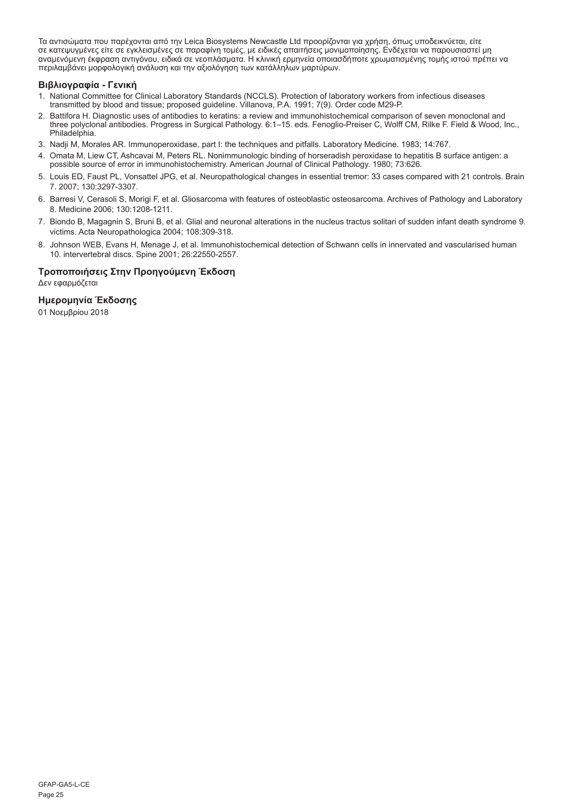Τα αντισώματα που παρέχονται από την Leica Biosystems Newcastle Ltd προορίζονται για χρήση, όπως υποδεικνύεται, είτε σε κατεψυγμένες είτε σε εγκλεισμένες σε παραφίνη τομές, με ειδικές απαιτήσεις μονιμοποίησης. Ενδέχεται να παρουσιαστεί μη<br>αναμενόμενη έκφραση αντιγόνου, ειδικά σε νεοπλάσματα. Η κλινική ερμηνεία οποιασδήποτε χρωματισμένης περιλαμβάνει μορφολογική ανάλυση και την αξιολόγηση των κατάλληλων μαρτύρων.

## **Βιβλιογραφία - Γενική**

- 1. National Committee for Clinical Laboratory Standards (NCCLS). Protection of laboratory workers from infectious diseases transmitted by blood and tissue; proposed guideline. Villanova, P.A. 1991; 7(9). Order code M29-P.
- 2. Battifora H. Diagnostic uses of antibodies to keratins: a review and immunohistochemical comparison of seven monoclonal and three polyclonal antibodies. Progress in Surgical Pathology. 6:1–15. eds. Fenoglio-Preiser C, Wolff CM, Rilke F. Field & Wood, Inc., Philadelphia.
- 3. Nadji M, Morales AR. Immunoperoxidase, part I: the techniques and pitfalls. Laboratory Medicine. 1983; 14:767.
- 4. Omata M, Liew CT, Ashcavai M, Peters RL. Nonimmunologic binding of horseradish peroxidase to hepatitis B surface antigen: a possible source of error in immunohistochemistry. American Journal of Clinical Pathology. 1980; 73:626.
- 5. Louis ED, Faust PL, Vonsattel JPG, et al. Neuropathological changes in essential tremor: 33 cases compared with 21 controls. Brain 7. 2007; 130:3297-3307.
- 6. Barresi V, Cerasoli S, Morigi F, et al. Gliosarcoma with features of osteoblastic osteosarcoma. Archives of Pathology and Laboratory 8. Medicine 2006; 130:1208-1211.
- 7. Biondo B, Magagnin S, Bruni B, et al. Glial and neuronal alterations in the nucleus tractus solitari of sudden infant death syndrome 9. victims. Acta Neuropathologica 2004; 108:309-318.
- 8. Johnson WEB, Evans H, Menage J, et al. Immunohistochemical detection of Schwann cells in innervated and vascularised human 10. intervertebral discs. Spine 2001; 26:22550-2557.

#### **Τροποποιήσεις Στην Προηγούμενη Έκδοση** Δεν εφαρμόζεται

# **Ημερομηνία Έκδοσης**

01 Νοεμβρίου 2018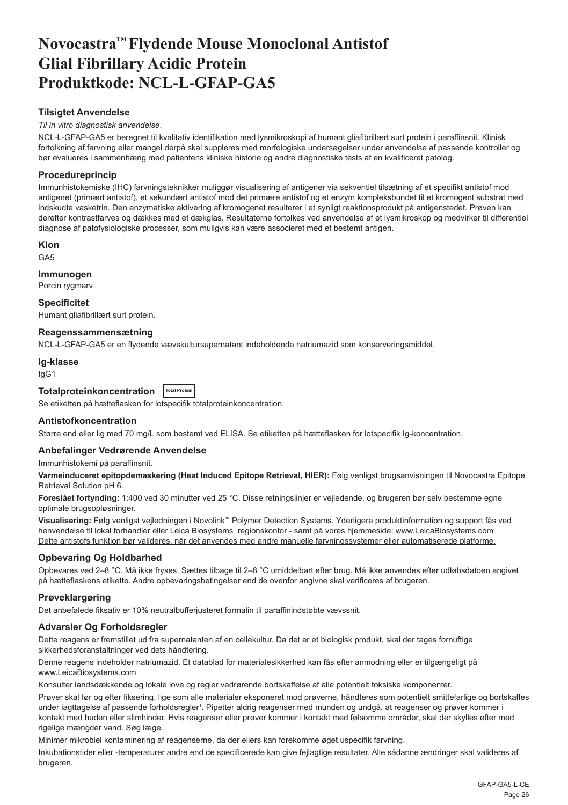# <span id="page-26-0"></span>**Novocastra™ Flydende Mouse Monoclonal Antistof Glial Fibrillary Acidic Protein Produktkode: NCL-L-GFAP-GA5**

# **Tilsigtet Anvendelse**

#### *Til in vitro diagnostisk anvendelse*.

NCL-L-GFAP-GA5 er beregnet til kvalitativ identifikation med lysmikroskopi af humant gliafibrillært surt protein i paraffinsnit. Klinisk fortolkning af farvning eller mangel derpå skal suppleres med morfologiske undersøgelser under anvendelse af passende kontroller og bør evalueres i sammenhæng med patientens kliniske historie og andre diagnostiske tests af en kvalificeret patolog.

# **Procedureprincip**

Immunhistokemiske (IHC) farvningsteknikker muliggør visualisering af antigener via sekventiel tilsætning af et specifikt antistof mod antigenet (primært antistof), et sekundært antistof mod det primære antistof og et enzym kompleksbundet til et kromogent substrat med indskudte vasketrin. Den enzymatiske aktivering af kromogenet resulterer i et synligt reaktionsprodukt på antigenstedet. Prøven kan derefter kontrastfarves og dækkes med et dækglas. Resultaterne fortolkes ved anvendelse af et lysmikroskop og medvirker til differentiel diagnose af patofysiologiske processer, som muligvis kan være associeret med et bestemt antigen.

**Klon**

GA5

# **Immunogen**

Porcin rygmarv.

# **Specificitet**

Humant gliafibrillært surt protein.

# **Reagenssammensætning**

NCL-L-GFAP-GA5 er en flydende vævskultursupernatant indeholdende natriumazid som konserveringsmiddel.

#### **Ig-klasse**

IgG1

# **Totalproteinkoncentration Total Protein**

Se etiketten på hætteflasken for lotspecifik totalproteinkoncentration.

# **Antistofkoncentration**

Større end eller lig med 70 mg/L som bestemt ved ELISA. Se etiketten på hætteflasken for lotspecifik Ig-koncentration.

# **Anbefalinger Vedrørende Anvendelse**

Immunhistokemi på paraffinsnit.

**Varmeinduceret epitopdemaskering (Heat Induced Epitope Retrieval, HIER):** Følg venligst brugsanvisningen til Novocastra Epitope Retrieval Solution pH 6.

**Foreslået fortynding:** 1:400 ved 30 minutter ved 25 °C. Disse retningslinjer er vejledende, og brugeren bør selv bestemme egne optimale brugsopløsninger.

**Visualisering:** Følg venligst vejledningen i Novolink™ Polymer Detection Systems. Yderligere produktinformation og support fås ved henvendelse til lokal forhandler eller Leica Biosystems regionskontor - samt på vores hjemmeside: www.LeicaBiosystems.com Dette antistofs funktion bør valideres, når det anvendes med andre manuelle farvningssystemer eller automatiserede platforme.

# **Opbevaring Og Holdbarhed**

Opbevares ved 2–8 °C. Må ikke fryses. Sættes tilbage til 2–8 °C umiddelbart efter brug. Må ikke anvendes efter udløbsdatoen angivet på hætteflaskens etikette. Andre opbevaringsbetingelser end de ovenfor angivne skal verificeres af brugeren.

# **Prøveklargøring**

Det anbefalede fiksativ er 10% neutralbufferjusteret formalin til paraffinindstøbte vævssnit.

# **Advarsler Og Forholdsregler**

Dette reagens er fremstillet ud fra supernatanten af en cellekultur. Da det er et biologisk produkt, skal der tages fornuftige sikkerhedsforanstaltninger ved dets håndtering.

Denne reagens indeholder natriumazid. Et datablad for materialesikkerhed kan fås efter anmodning eller er tilgængeligt på www.LeicaBiosystems.com

Konsulter landsdækkende og lokale love og regler vedrørende bortskaffelse af alle potentielt toksiske komponenter.

Prøver skal før og efter fiksering, lige som alle materialer eksponeret mod prøverne, håndteres som potentielt smittefarlige og bortskaffes under iagttagelse af passende forholdsregler<sup>ı</sup>. Pipetter aldrig reagenser med munden og undgå, at reagenser og prøver kommer i kontakt med huden eller slimhinder. Hvis reagenser eller prøver kommer i kontakt med følsomme områder, skal der skylles efter med rigelige mængder vand. Søg læge.

Minimer mikrobiel kontaminering af reagenserne, da der ellers kan forekomme øget uspecifik farvning.

Inkubationstider eller -temperaturer andre end de specificerede kan give fejlagtige resultater. Alle sådanne ændringer skal valideres af brugeren.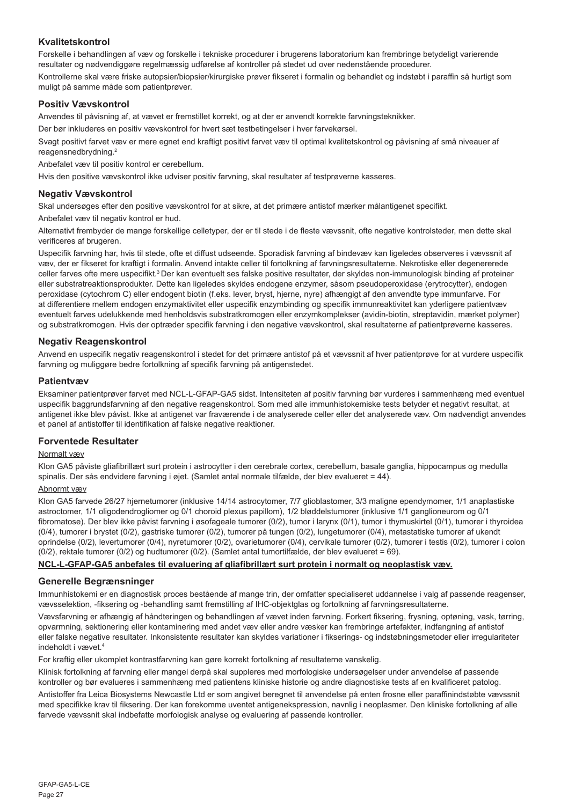# **Kvalitetskontrol**

Forskelle i behandlingen af væv og forskelle i tekniske procedurer i brugerens laboratorium kan frembringe betydeligt varierende resultater og nødvendiggøre regelmæssig udførelse af kontroller på stedet ud over nedenstående procedurer. Kontrollerne skal være friske autopsier/biopsier/kirurgiske prøver fikseret i formalin og behandlet og indstøbt i paraffin så hurtigt som muligt på samme måde som patientprøver.

# **Positiv Vævskontrol**

Anvendes til påvisning af, at vævet er fremstillet korrekt, og at der er anvendt korrekte farvningsteknikker.

Der bør inkluderes en positiv vævskontrol for hvert sæt testbetingelser i hver farvekørsel.

Svagt positivt farvet væv er mere egnet end kraftigt positivt farvet væv til optimal kvalitetskontrol og påvisning af små niveauer af reagensnedbrydning.<sup>2</sup>

Anbefalet væv til positiv kontrol er cerebellum.

Hvis den positive vævskontrol ikke udviser positiv farvning, skal resultater af testprøverne kasseres.

# **Negativ Vævskontrol**

Skal undersøges efter den positive vævskontrol for at sikre, at det primære antistof mærker målantigenet specifikt.

Anbefalet væv til negativ kontrol er hud.

Alternativt frembyder de mange forskellige celletyper, der er til stede i de fleste vævssnit, ofte negative kontrolsteder, men dette skal verificeres af brugeren.

Uspecifik farvning har, hvis til stede, ofte et diffust udseende. Sporadisk farvning af bindevæv kan ligeledes observeres i vævssnit af væv, der er fikseret for kraftigt i formalin. Anvend intakte celler til fortolkning af farvningsresultaterne. Nekrotiske eller degenererede celler farves ofte mere uspecifikt.<sup>3</sup> Der kan eventuelt ses falske positive resultater, der skyldes non-immunologisk binding af proteiner eller substratreaktionsprodukter. Dette kan ligeledes skyldes endogene enzymer, såsom pseudoperoxidase (erytrocytter), endogen peroxidase (cytochrom C) eller endogent biotin (f.eks. lever, bryst, hjerne, nyre) afhængigt af den anvendte type immunfarve. For at differentiere mellem endogen enzymaktivitet eller uspecifik enzymbinding og specifik immunreaktivitet kan yderligere patientvæv eventuelt farves udelukkende med henholdsvis substratkromogen eller enzymkomplekser (avidin-biotin, streptavidin, mærket polymer) og substratkromogen. Hvis der optræder specifik farvning i den negative vævskontrol, skal resultaterne af patientprøverne kasseres.

# **Negativ Reagenskontrol**

Anvend en uspecifik negativ reagenskontrol i stedet for det primære antistof på et vævssnit af hver patientprøve for at vurdere uspecifik farvning og muliggøre bedre fortolkning af specifik farvning på antigenstedet.

# **Patientvæv**

Eksaminer patientprøver farvet med NCL-L-GFAP-GA5 sidst. Intensiteten af positiv farvning bør vurderes i sammenhæng med eventuel uspecifik baggrundsfarvning af den negative reagenskontrol. Som med alle immunhistokemiske tests betyder et negativt resultat, at antigenet ikke blev påvist. Ikke at antigenet var fraværende i de analyserede celler eller det analyserede væv. Om nødvendigt anvendes et panel af antistoffer til identifikation af falske negative reaktioner.

# **Forventede Resultater**

# Normalt væv

Klon GA5 påviste gliafibrillært surt protein i astrocytter i den cerebrale cortex, cerebellum, basale ganglia, hippocampus og medulla spinalis. Der sås endvidere farvning i øjet. (Samlet antal normale tilfælde, der blev evalueret = 44).

# Abnormt væv

Klon GA5 farvede 26/27 hjernetumorer (inklusive 14/14 astrocytomer, 7/7 glioblastomer, 3/3 maligne ependymomer, 1/1 anaplastiske astroctomer, 1/1 oligodendrogliomer og 0/1 choroid plexus papillom), 1/2 bløddelstumorer (inklusive 1/1 ganglioneurom og 0/1 fibromatose). Der blev ikke påvist farvning i øsofageale tumorer (0/2), tumor i larynx (0/1), tumor i thymuskirtel (0/1), tumorer i thyroidea (0/4), tumorer i brystet (0/2), gastriske tumorer (0/2), tumorer på tungen (0/2), lungetumorer (0/4), metastatiske tumorer af ukendt oprindelse (0/2), levertumorer (0/4), nyretumorer (0/2), ovarietumorer (0/4), cervikale tumorer (0/2), tumorer i testis (0/2), tumorer i colon (0/2), rektale tumorer (0/2) og hudtumorer (0/2). (Samlet antal tumortilfælde, der blev evalueret = 69).

# **NCL-L-GFAP-GA5 anbefales til evaluering af gliafibrillært surt protein i normalt og neoplastisk væv.**

# **Generelle Begrænsninger**

Immunhistokemi er en diagnostisk proces bestående af mange trin, der omfatter specialiseret uddannelse i valg af passende reagenser, vævsselektion, -fiksering og -behandling samt fremstilling af IHC-objektglas og fortolkning af farvningsresultaterne.

Vævsfarvning er afhængig af håndteringen og behandlingen af vævet inden farvning. Forkert fiksering, frysning, optøning, vask, tørring, opvarmning, sektionering eller kontaminering med andet væv eller andre væsker kan frembringe artefakter, indfangning af antistof eller falske negative resultater. Inkonsistente resultater kan skyldes variationer i fikserings- og indstøbningsmetoder eller irregulariteter indeholdt i vævet.<sup>4</sup>

For kraftig eller ukomplet kontrastfarvning kan gøre korrekt fortolkning af resultaterne vanskelig.

Klinisk fortolkning af farvning eller mangel derpå skal suppleres med morfologiske undersøgelser under anvendelse af passende kontroller og bør evalueres i sammenhæng med patientens kliniske historie og andre diagnostiske tests af en kvalificeret patolog.

Antistoffer fra Leica Biosystems Newcastle Ltd er som angivet beregnet til anvendelse på enten frosne eller paraffinindstøbte vævssnit med specifikke krav til fiksering. Der kan forekomme uventet antigenekspression, navnlig i neoplasmer. Den kliniske fortolkning af alle farvede vævssnit skal indbefatte morfologisk analyse og evaluering af passende kontroller.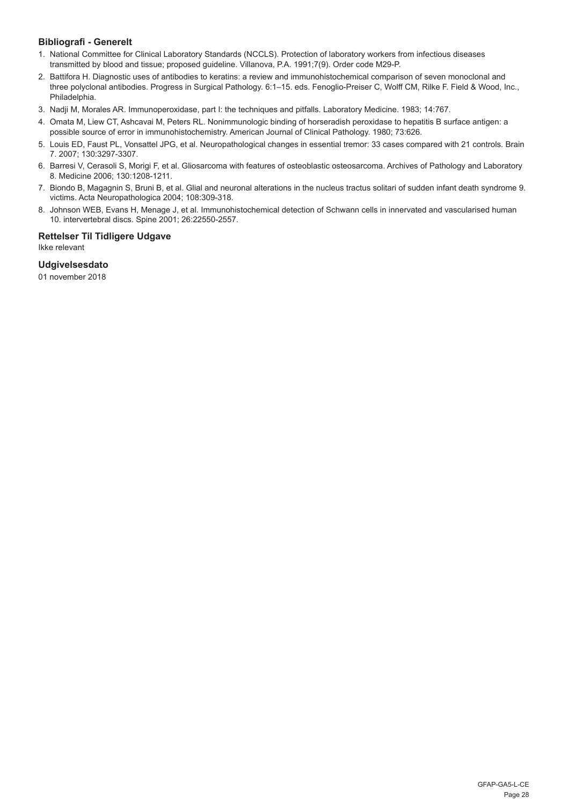# **Bibliografi - Generelt**

- 1. National Committee for Clinical Laboratory Standards (NCCLS). Protection of laboratory workers from infectious diseases transmitted by blood and tissue; proposed guideline. Villanova, P.A. 1991;7(9). Order code M29-P.
- 2. Battifora H. Diagnostic uses of antibodies to keratins: a review and immunohistochemical comparison of seven monoclonal and three polyclonal antibodies. Progress in Surgical Pathology. 6:1–15. eds. Fenoglio-Preiser C, Wolff CM, Rilke F. Field & Wood, Inc., Philadelphia.
- 3. Nadji M, Morales AR. Immunoperoxidase, part I: the techniques and pitfalls. Laboratory Medicine. 1983; 14:767.
- 4. Omata M, Liew CT, Ashcavai M, Peters RL. Nonimmunologic binding of horseradish peroxidase to hepatitis B surface antigen: a possible source of error in immunohistochemistry. American Journal of Clinical Pathology. 1980; 73:626.
- 5. Louis ED, Faust PL, Vonsattel JPG, et al. Neuropathological changes in essential tremor: 33 cases compared with 21 controls. Brain 7. 2007; 130:3297-3307.
- 6. Barresi V, Cerasoli S, Morigi F, et al. Gliosarcoma with features of osteoblastic osteosarcoma. Archives of Pathology and Laboratory 8. Medicine 2006; 130:1208-1211.
- 7. Biondo B, Magagnin S, Bruni B, et al. Glial and neuronal alterations in the nucleus tractus solitari of sudden infant death syndrome 9. victims. Acta Neuropathologica 2004; 108:309-318.
- 8. Johnson WEB, Evans H, Menage J, et al. Immunohistochemical detection of Schwann cells in innervated and vascularised human 10. intervertebral discs. Spine 2001; 26:22550-2557.

# **Rettelser Til Tidligere Udgave**

Ikke relevant

# **Udgivelsesdato**

01 november 2018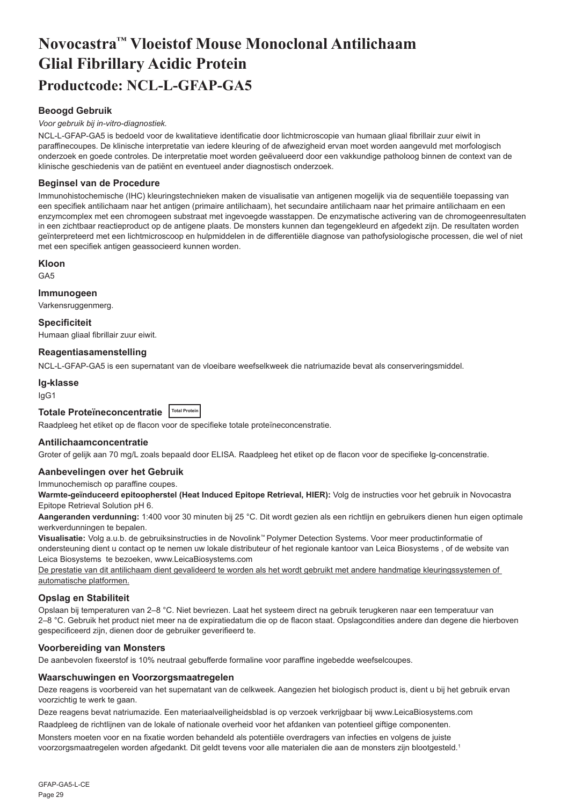# <span id="page-29-0"></span>**Novocastra™ Vloeistof Mouse Monoclonal Antilichaam Glial Fibrillary Acidic Protein Productcode: NCL-L-GFAP-GA5**

# **Beoogd Gebruik**

#### *Voor gebruik bij in-vitro-diagnostiek.*

NCL-L-GFAP-GA5 is bedoeld voor de kwalitatieve identificatie door lichtmicroscopie van humaan gliaal fibrillair zuur eiwit in paraffinecoupes. De klinische interpretatie van iedere kleuring of de afwezigheid ervan moet worden aangevuld met morfologisch onderzoek en goede controles. De interpretatie moet worden geëvalueerd door een vakkundige patholoog binnen de context van de klinische geschiedenis van de patiënt en eventueel ander diagnostisch onderzoek.

#### **Beginsel van de Procedure**

Immunohistochemische (IHC) kleuringstechnieken maken de visualisatie van antigenen mogelijk via de sequentiële toepassing van een specifiek antilichaam naar het antigen (primaire antilichaam), het secundaire antilichaam naar het primaire antilichaam en een enzymcomplex met een chromogeen substraat met ingevoegde wasstappen. De enzymatische activering van de chromogeenresultaten in een zichtbaar reactieproduct op de antigene plaats. De monsters kunnen dan tegengekleurd en afgedekt zijn. De resultaten worden geïnterpreteerd met een lichtmicroscoop en hulpmiddelen in de differentiële diagnose van pathofysiologische processen, die wel of niet met een specifiek antigen geassocieerd kunnen worden.

#### **Kloon**

G<sub>A5</sub>

### **Immunogeen**

Varkensruggenmerg.

# **Specificiteit**

Humaan gliaal fibrillair zuur eiwit.

#### **Reagentiasamenstelling**

NCL-L-GFAP-GA5 is een supernatant van de vloeibare weefselkweek die natriumazide bevat als conserveringsmiddel.

# **Ig-klasse**

IgG1

# **Totale Proteïneconcentratie Total Protein**

Raadpleeg het etiket op de flacon voor de specifieke totale proteïneconcenstratie.

#### **Antilichaamconcentratie**

Groter of gelijk aan 70 mg/L zoals bepaald door ELISA. Raadpleeg het etiket op de flacon voor de specifieke lg-concenstratie.

#### **Aanbevelingen over het Gebruik**

Immunochemisch op paraffine coupes.

**Warmte-geïnduceerd epitoopherstel (Heat Induced Epitope Retrieval, HIER):** Volg de instructies voor het gebruik in Novocastra Epitope Retrieval Solution pH 6.

**Aangeranden verdunning:** 1:400 voor 30 minuten bij 25 °C. Dit wordt gezien als een richtlijn en gebruikers dienen hun eigen optimale werkverdunningen te bepalen.

**Visualisatie:** Volg a.u.b. de gebruiksinstructies in de Novolink™ Polymer Detection Systems. Voor meer productinformatie of ondersteuning dient u contact op te nemen uw lokale distributeur of het regionale kantoor van Leica Biosystems , of de website van Leica Biosystems te bezoeken, www.LeicaBiosystems.com

De prestatie van dit antilichaam dient gevalideerd te worden als het wordt gebruikt met andere handmatige kleuringssystemen of automatische platformen.

# **Opslag en Stabiliteit**

Opslaan bij temperaturen van 2–8 °C. Niet bevriezen. Laat het systeem direct na gebruik terugkeren naar een temperatuur van 2–8 °C. Gebruik het product niet meer na de expiratiedatum die op de flacon staat. Opslagcondities andere dan degene die hierboven gespecificeerd zijn, dienen door de gebruiker geverifieerd te.

# **Voorbereiding van Monsters**

De aanbevolen fixeerstof is 10% neutraal gebufferde formaline voor paraffine ingebedde weefselcoupes.

#### **Waarschuwingen en Voorzorgsmaatregelen**

Deze reagens is voorbereid van het supernatant van de celkweek. Aangezien het biologisch product is, dient u bij het gebruik ervan voorzichtig te werk te gaan.

Deze reagens bevat natriumazide. Een materiaalveiligheidsblad is op verzoek verkrijgbaar bij www.LeicaBiosystems.com

Raadpleeg de richtlijnen van de lokale of nationale overheid voor het afdanken van potentieel giftige componenten.

Monsters moeten voor en na fixatie worden behandeld als potentiële overdragers van infecties en volgens de juiste voorzorgsmaatregelen worden afgedankt. Dit geldt tevens voor alle materialen die aan de monsters zijn blootgesteld.<sup>1</sup>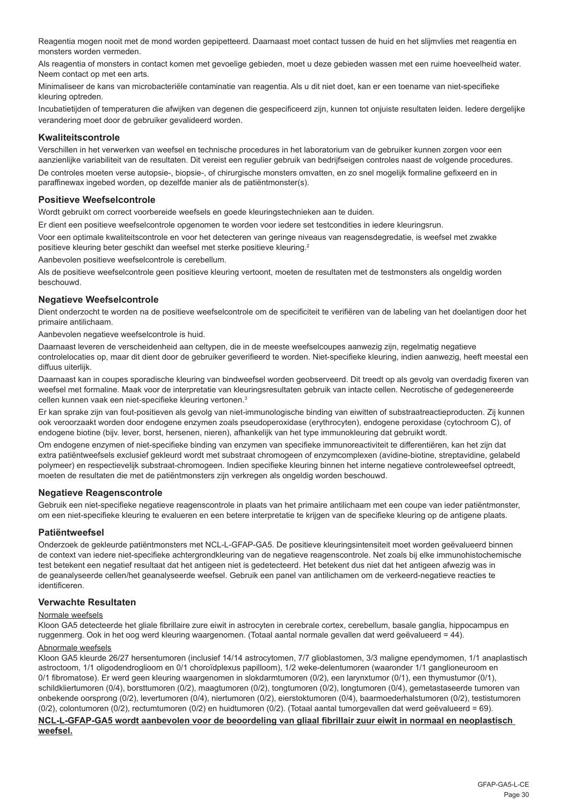Reagentia mogen nooit met de mond worden gepipetteerd. Daarnaast moet contact tussen de huid en het slijmvlies met reagentia en monsters worden vermeden.

Als reagentia of monsters in contact komen met gevoelige gebieden, moet u deze gebieden wassen met een ruime hoeveelheid water. Neem contact op met een arts.

Minimaliseer de kans van microbacteriële contaminatie van reagentia. Als u dit niet doet, kan er een toename van niet-specifieke kleuring optreden.

Incubatietijden of temperaturen die afwijken van degenen die gespecificeerd zijn, kunnen tot onjuiste resultaten leiden. Iedere dergelijke verandering moet door de gebruiker gevalideerd worden.

# **Kwaliteitscontrole**

Verschillen in het verwerken van weefsel en technische procedures in het laboratorium van de gebruiker kunnen zorgen voor een aanzienlijke variabiliteit van de resultaten. Dit vereist een regulier gebruik van bedrijfseigen controles naast de volgende procedures. De controles moeten verse autopsie-, biopsie-, of chirurgische monsters omvatten, en zo snel mogelijk formaline gefixeerd en in paraffinewax ingebed worden, op dezelfde manier als de patiëntmonster(s).

#### **Positieve Weefselcontrole**

Wordt gebruikt om correct voorbereide weefsels en goede kleuringstechnieken aan te duiden.

Er dient een positieve weefselcontrole opgenomen te worden voor iedere set testcondities in iedere kleuringsrun.

Voor een optimale kwaliteitscontrole en voor het detecteren van geringe niveaus van reagensdegredatie, is weefsel met zwakke positieve kleuring beter geschikt dan weefsel met sterke positieve kleuring.<sup>2</sup>

Aanbevolen positieve weefselcontrole is cerebellum.

Als de positieve weefselcontrole geen positieve kleuring vertoont, moeten de resultaten met de testmonsters als ongeldig worden beschouwd.

#### **Negatieve Weefselcontrole**

Dient onderzocht te worden na de positieve weefselcontrole om de specificiteit te verifiëren van de labeling van het doelantigen door het primaire antilichaam.

Aanbevolen negatieve weefselcontrole is huid.

Daarnaast leveren de verscheidenheid aan celtypen, die in de meeste weefselcoupes aanwezig zijn, regelmatig negatieve controlelocaties op, maar dit dient door de gebruiker geverifieerd te worden. Niet-specifieke kleuring, indien aanwezig, heeft meestal een diffuus uiterlijk.

Daarnaast kan in coupes sporadische kleuring van bindweefsel worden geobserveerd. Dit treedt op als gevolg van overdadig fixeren van weefsel met formaline. Maak voor de interpretatie van kleuringsresultaten gebruik van intacte cellen. Necrotische of gedegenereerde cellen kunnen vaak een niet-specifieke kleuring vertonen.<sup>3</sup>

Er kan sprake zijn van fout-positieven als gevolg van niet-immunologische binding van eiwitten of substraatreactieproducten. Zij kunnen ook veroorzaakt worden door endogene enzymen zoals pseudoperoxidase (erythrocyten), endogene peroxidase (cytochroom C), of endogene biotine (bijv. lever, borst, hersenen, nieren), afhankelijk van het type immunokleuring dat gebruikt wordt.

Om endogene enzymen of niet-specifieke binding van enzymen van specifieke immunoreactiviteit te differentiëren, kan het zijn dat extra patiëntweefsels exclusief gekleurd wordt met substraat chromogeen of enzymcomplexen (avidine-biotine, streptavidine, gelabeld polymeer) en respectievelijk substraat-chromogeen. Indien specifieke kleuring binnen het interne negatieve controleweefsel optreedt, moeten de resultaten die met de patiëntmonsters zijn verkregen als ongeldig worden beschouwd.

# **Negatieve Reagenscontrole**

Gebruik een niet-specifieke negatieve reagenscontrole in plaats van het primaire antilichaam met een coupe van ieder patiëntmonster, om een niet-specifieke kleuring te evalueren en een betere interpretatie te krijgen van de specifieke kleuring op de antigene plaats.

# **Patiëntweefsel**

Onderzoek de gekleurde patiëntmonsters met NCL-L-GFAP-GA5. De positieve kleuringsintensiteit moet worden geëvalueerd binnen de context van iedere niet-specifieke achtergrondkleuring van de negatieve reagenscontrole. Net zoals bij elke immunohistochemische test betekent een negatief resultaat dat het antigeen niet is gedetecteerd. Het betekent dus niet dat het antigeen afwezig was in de geanalyseerde cellen/het geanalyseerde weefsel. Gebruik een panel van antilichamen om de verkeerd-negatieve reacties te identificeren.

### **Verwachte Resultaten**

#### Normale weefsels

Kloon GA5 detecteerde het gliale fibrillaire zure eiwit in astrocyten in cerebrale cortex, cerebellum, basale ganglia, hippocampus en ruggenmerg. Ook in het oog werd kleuring waargenomen. (Totaal aantal normale gevallen dat werd geëvalueerd = 44).

## Abnormale weefsels

Kloon GA5 kleurde 26/27 hersentumoren (inclusief 14/14 astrocytomen, 7/7 glioblastomen, 3/3 maligne ependymomen, 1/1 anaplastisch astroctoom, 1/1 oligodendroglioom en 0/1 choroïdplexus papilloom), 1/2 weke-delentumoren (waaronder 1/1 ganglioneuroom en 0/1 fibromatose). Er werd geen kleuring waargenomen in slokdarmtumoren (0/2), een larynxtumor (0/1), een thymustumor (0/1), schildkliertumoren (0/4), borsttumoren (0/2), maagtumoren (0/2), tongtumoren (0/2), longtumoren (0/4), gemetastaseerde tumoren van onbekende oorsprong (0/2), levertumoren (0/4), niertumoren (0/2), eierstoktumoren (0/4), baarmoederhalstumoren (0/2), testistumoren (0/2), colontumoren (0/2), rectumtumoren (0/2) en huidtumoren (0/2). (Totaal aantal tumorgevallen dat werd geëvalueerd = 69).

#### **NCL-L-GFAP-GA5 wordt aanbevolen voor de beoordeling van gliaal fibrillair zuur eiwit in normaal en neoplastisch weefsel.**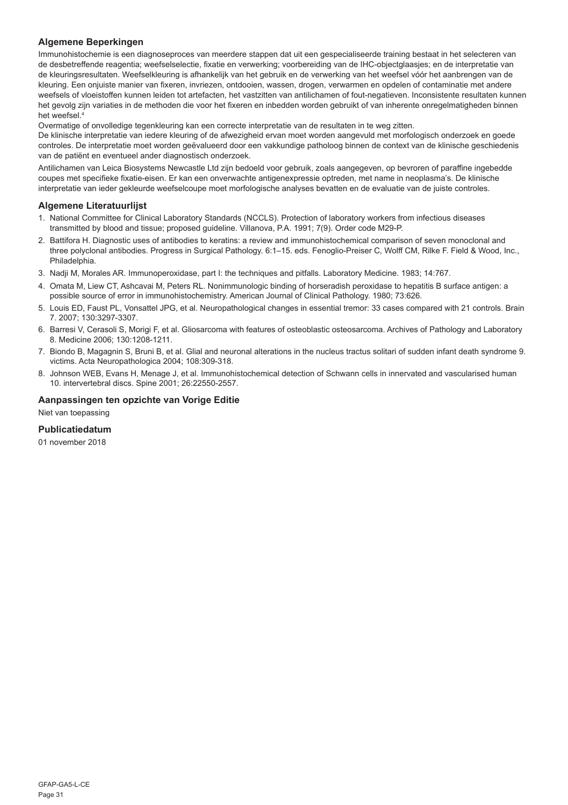# **Algemene Beperkingen**

Immunohistochemie is een diagnoseproces van meerdere stappen dat uit een gespecialiseerde training bestaat in het selecteren van de desbetreffende reagentia; weefselselectie, fixatie en verwerking; voorbereiding van de IHC-objectglaasjes; en de interpretatie van de kleuringsresultaten. Weefselkleuring is afhankelijk van het gebruik en de verwerking van het weefsel vóór het aanbrengen van de kleuring. Een onjuiste manier van fixeren, invriezen, ontdooien, wassen, drogen, verwarmen en opdelen of contaminatie met andere weefsels of vloeistoffen kunnen leiden tot artefacten, het vastzitten van antilichamen of fout-negatieven. Inconsistente resultaten kunnen het gevolg zijn variaties in de methoden die voor het fixeren en inbedden worden gebruikt of van inherente onregelmatigheden binnen het weefsel.<sup>4</sup>

Overmatige of onvolledige tegenkleuring kan een correcte interpretatie van de resultaten in te weg zitten.

De klinische interpretatie van iedere kleuring of de afwezigheid ervan moet worden aangevuld met morfologisch onderzoek en goede controles. De interpretatie moet worden geëvalueerd door een vakkundige patholoog binnen de context van de klinische geschiedenis van de patiënt en eventueel ander diagnostisch onderzoek.

Antilichamen van Leica Biosystems Newcastle Ltd zijn bedoeld voor gebruik, zoals aangegeven, op bevroren of paraffine ingebedde coupes met specifieke fixatie-eisen. Er kan een onverwachte antigenexpressie optreden, met name in neoplasma's. De klinische interpretatie van ieder gekleurde weefselcoupe moet morfologische analyses bevatten en de evaluatie van de juiste controles.

# **Algemene Literatuurlijst**

- 1. National Committee for Clinical Laboratory Standards (NCCLS). Protection of laboratory workers from infectious diseases transmitted by blood and tissue; proposed guideline. Villanova, P.A. 1991; 7(9). Order code M29-P.
- 2. Battifora H. Diagnostic uses of antibodies to keratins: a review and immunohistochemical comparison of seven monoclonal and three polyclonal antibodies. Progress in Surgical Pathology. 6:1–15. eds. Fenoglio-Preiser C, Wolff CM, Rilke F. Field & Wood, Inc., **Philadelphia**
- 3. Nadji M, Morales AR. Immunoperoxidase, part I: the techniques and pitfalls. Laboratory Medicine. 1983; 14:767.
- 4. Omata M, Liew CT, Ashcavai M, Peters RL. Nonimmunologic binding of horseradish peroxidase to hepatitis B surface antigen: a possible source of error in immunohistochemistry. American Journal of Clinical Pathology. 1980; 73:626.
- 5. Louis ED, Faust PL, Vonsattel JPG, et al. Neuropathological changes in essential tremor: 33 cases compared with 21 controls. Brain 7. 2007; 130:3297-3307.
- 6. Barresi V, Cerasoli S, Morigi F, et al. Gliosarcoma with features of osteoblastic osteosarcoma. Archives of Pathology and Laboratory 8. Medicine 2006; 130:1208-1211.
- 7. Biondo B, Magagnin S, Bruni B, et al. Glial and neuronal alterations in the nucleus tractus solitari of sudden infant death syndrome 9. victims. Acta Neuropathologica 2004; 108:309-318.
- 8. Johnson WEB, Evans H, Menage J, et al. Immunohistochemical detection of Schwann cells in innervated and vascularised human 10. intervertebral discs. Spine 2001; 26:22550-2557.

## **Aanpassingen ten opzichte van Vorige Editie**

Niet van toepassing

#### **Publicatiedatum**

01 november 2018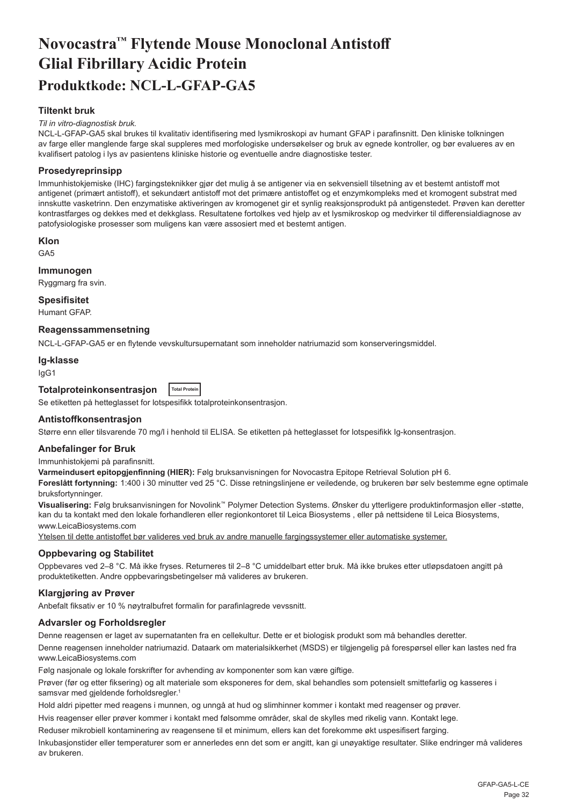# <span id="page-32-0"></span>**Novocastra™ Flytende Mouse Monoclonal Antistoff Glial Fibrillary Acidic Protein Produktkode: NCL-L-GFAP-GA5**

# **Tiltenkt bruk**

#### *Til in vitro-diagnostisk bruk.*

NCL-L-GFAP-GA5 skal brukes til kvalitativ identifisering med lysmikroskopi av humant GFAP i parafinsnitt. Den kliniske tolkningen av farge eller manglende farge skal suppleres med morfologiske undersøkelser og bruk av egnede kontroller, og bør evalueres av en kvalifisert patolog i lys av pasientens kliniske historie og eventuelle andre diagnostiske tester.

## **Prosedyreprinsipp**

Immunhistokjemiske (IHC) fargingsteknikker gjør det mulig å se antigener via en sekvensiell tilsetning av et bestemt antistoff mot antigenet (primært antistoff), et sekundært antistoff mot det primære antistoffet og et enzymkompleks med et kromogent substrat med innskutte vasketrinn. Den enzymatiske aktiveringen av kromogenet gir et synlig reaksjonsprodukt på antigenstedet. Prøven kan deretter kontrastfarges og dekkes med et dekkglass. Resultatene fortolkes ved hjelp av et lysmikroskop og medvirker til differensialdiagnose av patofysiologiske prosesser som muligens kan være assosiert med et bestemt antigen.

**Klon**

G<sub>A5</sub>

#### **Immunogen**

Ryggmarg fra svin.

#### **Spesifisitet** Humant GFAP.

# **Reagenssammensetning**

NCL-L-GFAP-GA5 er en flytende vevskultursupernatant som inneholder natriumazid som konserveringsmiddel.

#### **Ig-klasse**

IgG1

#### **Totalproteinkonsentrasjon Total Protein**

Se etiketten på hetteglasset for lotspesifikk totalproteinkonsentrasjon.

#### **Antistoffkonsentrasjon**

Større enn eller tilsvarende 70 mg/l i henhold til ELISA. Se etiketten på hetteglasset for lotspesifikk Ig-konsentrasjon.

#### **Anbefalinger for Bruk**

Immunhistokjemi på parafinsnitt.

**Varmeindusert epitopgjenfinning (HIER):** Følg bruksanvisningen for Novocastra Epitope Retrieval Solution pH 6.

**Foreslått fortynning:** 1:400 i 30 minutter ved 25 °C. Disse retningslinjene er veiledende, og brukeren bør selv bestemme egne optimale bruksfortynninger.

**Visualisering:** Følg bruksanvisningen for Novolink™ Polymer Detection Systems. Ønsker du ytterligere produktinformasjon eller -støtte, kan du ta kontakt med den lokale forhandleren eller regionkontoret til Leica Biosystems , eller på nettsidene til Leica Biosystems, www.LeicaBiosystems.com

Ytelsen til dette antistoffet bør valideres ved bruk av andre manuelle fargingssystemer eller automatiske systemer.

# **Oppbevaring og Stabilitet**

Oppbevares ved 2–8 °C. Må ikke fryses. Returneres til 2–8 °C umiddelbart etter bruk. Må ikke brukes etter utløpsdatoen angitt på produktetiketten. Andre oppbevaringsbetingelser må valideres av brukeren.

# **Klargjøring av Prøver**

Anbefalt fiksativ er 10 % nøytralbufret formalin for parafinlagrede vevssnitt.

# **Advarsler og Forholdsregler**

Denne reagensen er laget av supernatanten fra en cellekultur. Dette er et biologisk produkt som må behandles deretter. Denne reagensen inneholder natriumazid. Dataark om materialsikkerhet (MSDS) er tilgjengelig på forespørsel eller kan lastes ned fra www.LeicaBiosystems.com

Følg nasjonale og lokale forskrifter for avhending av komponenter som kan være giftige.

Prøver (før og etter fiksering) og alt materiale som eksponeres for dem, skal behandles som potensielt smittefarlig og kasseres i samsvar med gjeldende forholdsregler.<sup>1</sup>

Hold aldri pipetter med reagens i munnen, og unngå at hud og slimhinner kommer i kontakt med reagenser og prøver.

Hvis reagenser eller prøver kommer i kontakt med følsomme områder, skal de skylles med rikelig vann. Kontakt lege.

Reduser mikrobiell kontaminering av reagensene til et minimum, ellers kan det forekomme økt uspesifisert farging.

Inkubasjonstider eller temperaturer som er annerledes enn det som er angitt, kan gi unøyaktige resultater. Slike endringer må valideres av brukeren.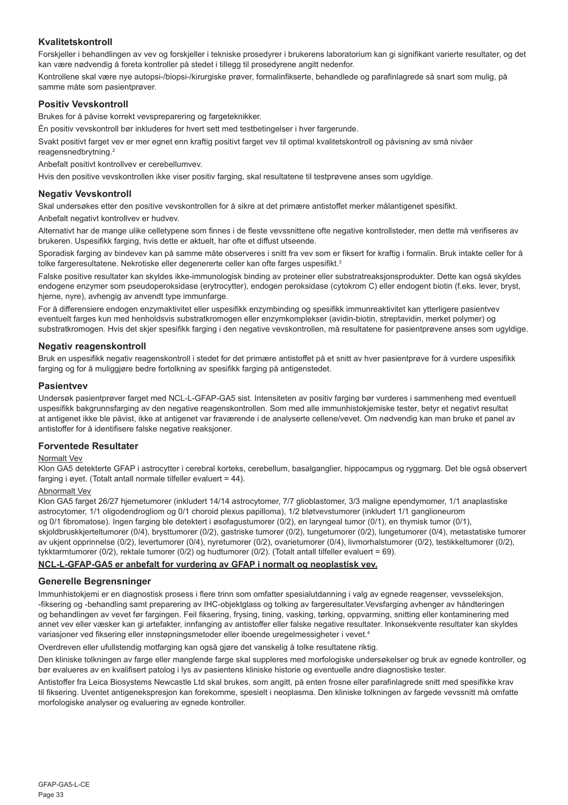# **Kvalitetskontroll**

Forskjeller i behandlingen av vev og forskjeller i tekniske prosedyrer i brukerens laboratorium kan gi signifikant varierte resultater, og det kan være nødvendig å foreta kontroller på stedet i tillegg til prosedyrene angitt nedenfor.

Kontrollene skal være nye autopsi-/biopsi-/kirurgiske prøver, formalinfikserte, behandlede og parafinlagrede så snart som mulig, på samme måte som pasientprøver.

## **Positiv Vevskontroll**

Brukes for å påvise korrekt vevspreparering og fargeteknikker.

Én positiv vevskontroll bør inkluderes for hvert sett med testbetingelser i hver fargerunde.

Svakt positivt farget vev er mer egnet enn kraftig positivt farget vev til optimal kvalitetskontroll og påvisning av små nivåer reagensnedbrytning.<sup>2</sup>

Anbefalt positivt kontrollvev er cerebellumvev.

Hvis den positive vevskontrollen ikke viser positiv farging, skal resultatene til testprøvene anses som ugyldige.

## **Negativ Vevskontroll**

Skal undersøkes etter den positive vevskontrollen for å sikre at det primære antistoffet merker målantigenet spesifikt.

Anbefalt negativt kontrollvev er hudvev.

Alternativt har de mange ulike celletypene som finnes i de fleste vevssnittene ofte negative kontrollsteder, men dette må verifiseres av brukeren. Uspesifikk farging, hvis dette er aktuelt, har ofte et diffust utseende.

Sporadisk farging av bindevev kan på samme måte observeres i snitt fra vev som er fiksert for kraftig i formalin. Bruk intakte celler for å tolke fargeresultatene. Nekrotiske eller degenererte celler kan ofte farges uspesifikt.<sup>3</sup>

Falske positive resultater kan skyldes ikke-immunologisk binding av proteiner eller substratreaksjonsprodukter. Dette kan også skyldes endogene enzymer som pseudoperoksidase (erytrocytter), endogen peroksidase (cytokrom C) eller endogent biotin (f.eks. lever, bryst, hjerne, nyre), avhengig av anvendt type immunfarge.

For å differensiere endogen enzymaktivitet eller uspesifikk enzymbinding og spesifikk immunreaktivitet kan ytterligere pasientvev eventuelt farges kun med henholdsvis substratkromogen eller enzymkomplekser (avidin-biotin, streptavidin, merket polymer) og substratkromogen. Hvis det skjer spesifikk farging i den negative vevskontrollen, må resultatene for pasientprøvene anses som ugyldige.

#### **Negativ reagenskontroll**

Bruk en uspesifikk negativ reagenskontroll i stedet for det primære antistoffet på et snitt av hver pasientprøve for å vurdere uspesifikk farging og for å muliggjøre bedre fortolkning av spesifikk farging på antigenstedet.

#### **Pasientvev**

Undersøk pasientprøver farget med NCL-L-GFAP-GA5 sist. Intensiteten av positiv farging bør vurderes i sammenheng med eventuell uspesifikk bakgrunnsfarging av den negative reagenskontrollen. Som med alle immunhistokjemiske tester, betyr et negativt resultat at antigenet ikke ble påvist, ikke at antigenet var fraværende i de analyserte cellene/vevet. Om nødvendig kan man bruke et panel av antistoffer for å identifisere falske negative reaksjoner.

#### **Forventede Resultater**

#### Normalt Vev

Klon GA5 detekterte GFAP i astrocytter i cerebral korteks, cerebellum, basalganglier, hippocampus og ryggmarg. Det ble også observert farging i øyet. (Totalt antall normale tilfeller evaluert = 44).

#### Abnormalt Vev

Klon GA5 farget 26/27 hjernetumorer (inkludert 14/14 astrocytomer, 7/7 glioblastomer, 3/3 maligne ependymomer, 1/1 anaplastiske astrocytomer, 1/1 oligodendrogliom og 0/1 choroid plexus papilloma), 1/2 bløtvevstumorer (inkludert 1/1 ganglioneurom og 0/1 fibromatose). Ingen farging ble detektert i øsofagustumorer (0/2), en laryngeal tumor (0/1), en thymisk tumor (0/1), skjoldbruskkjerteltumorer (0/4), brysttumorer (0/2), gastriske tumorer (0/2), tungetumorer (0/2), lungetumorer (0/4), metastatiske tumorer av ukjent opprinnelse (0/2), levertumorer (0/4), nyretumorer (0/2), ovarietumorer (0/4), livmorhalstumorer (0/2), testikkeltumorer (0/2), tykktarmtumorer (0/2), rektale tumorer (0/2) og hudtumorer (0/2). (Totalt antall tilfeller evaluert = 69).

### **NCL-L-GFAP-GA5 er anbefalt for vurdering av GFAP i normalt og neoplastisk vev.**

#### **Generelle Begrensninger**

Immunhistokjemi er en diagnostisk prosess i flere trinn som omfatter spesialutdanning i valg av egnede reagenser, vevsseleksjon, -fiksering og -behandling samt preparering av IHC-objektglass og tolking av fargeresultater.Vevsfarging avhenger av håndteringen og behandlingen av vevet før fargingen. Feil fiksering, frysing, tining, vasking, tørking, oppvarming, snitting eller kontaminering med annet vev eller væsker kan gi artefakter, innfanging av antistoffer eller falske negative resultater. Inkonsekvente resultater kan skyldes variasjoner ved fiksering eller innstøpningsmetoder eller iboende uregelmessigheter i vevet.<sup>4</sup>

Overdreven eller ufullstendig motfarging kan også gjøre det vanskelig å tolke resultatene riktig.

Den kliniske tolkningen av farge eller manglende farge skal suppleres med morfologiske undersøkelser og bruk av egnede kontroller, og bør evalueres av en kvalifisert patolog i lys av pasientens kliniske historie og eventuelle andre diagnostiske tester.

Antistoffer fra Leica Biosystems Newcastle Ltd skal brukes, som angitt, på enten frosne eller parafinlagrede snitt med spesifikke krav til fiksering. Uventet antigenekspresjon kan forekomme, spesielt i neoplasma. Den kliniske tolkningen av fargede vevssnitt må omfatte morfologiske analyser og evaluering av egnede kontroller.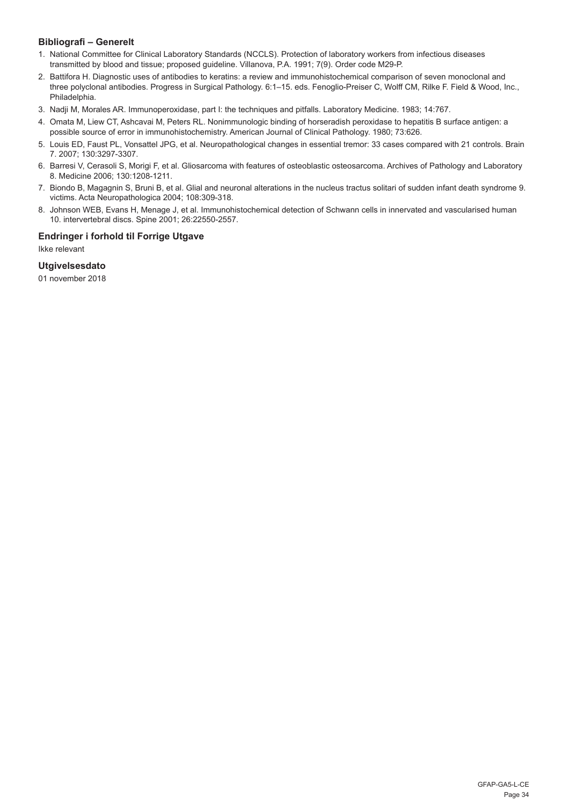# **Bibliografi – Generelt**

- 1. National Committee for Clinical Laboratory Standards (NCCLS). Protection of laboratory workers from infectious diseases transmitted by blood and tissue; proposed guideline. Villanova, P.A. 1991; 7(9). Order code M29-P.
- 2. Battifora H. Diagnostic uses of antibodies to keratins: a review and immunohistochemical comparison of seven monoclonal and three polyclonal antibodies. Progress in Surgical Pathology. 6:1–15. eds. Fenoglio-Preiser C, Wolff CM, Rilke F. Field & Wood, Inc., Philadelphia.
- 3. Nadji M, Morales AR. Immunoperoxidase, part I: the techniques and pitfalls. Laboratory Medicine. 1983; 14:767.
- 4. Omata M, Liew CT, Ashcavai M, Peters RL. Nonimmunologic binding of horseradish peroxidase to hepatitis B surface antigen: a possible source of error in immunohistochemistry. American Journal of Clinical Pathology. 1980; 73:626.
- 5. Louis ED, Faust PL, Vonsattel JPG, et al. Neuropathological changes in essential tremor: 33 cases compared with 21 controls. Brain 7. 2007; 130:3297-3307.
- 6. Barresi V, Cerasoli S, Morigi F, et al. Gliosarcoma with features of osteoblastic osteosarcoma. Archives of Pathology and Laboratory 8. Medicine 2006; 130:1208-1211.
- 7. Biondo B, Magagnin S, Bruni B, et al. Glial and neuronal alterations in the nucleus tractus solitari of sudden infant death syndrome 9. victims. Acta Neuropathologica 2004; 108:309-318.
- 8. Johnson WEB, Evans H, Menage J, et al. Immunohistochemical detection of Schwann cells in innervated and vascularised human 10. intervertebral discs. Spine 2001; 26:22550-2557.

# **Endringer i forhold til Forrige Utgave**

Ikke relevant

# **Utgivelsesdato**

01 november 2018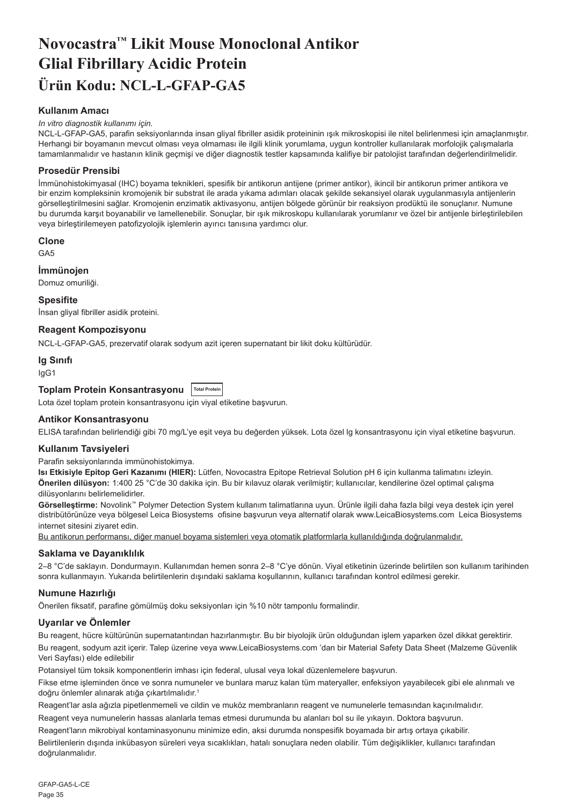# <span id="page-35-0"></span>**Novocastra™ Likit Mouse Monoclonal Antikor Glial Fibrillary Acidic Protein Ürün Kodu: NCL-L-GFAP-GA5**

# **Kullanım Amacı**

#### *In vitro diagnostik kullanımı için.*

NCL-L-GFAP-GA5, parafin seksiyonlarında insan gliyal fibriller asidik proteininin ışık mikroskopisi ile nitel belirlenmesi için amaçlanmıştır. Herhangi bir boyamanın mevcut olması veya olmaması ile ilgili klinik yorumlama, uygun kontroller kullanılarak morfolojik çalışmalarla tamamlanmalıdır ve hastanın klinik geçmişi ve diğer diagnostik testler kapsamında kalifiye bir patolojist tarafından değerlendirilmelidir.

## **Prosedür Prensibi**

İmmünohistokimyasal (IHC) boyama teknikleri, spesifik bir antikorun antijene (primer antikor), ikincil bir antikorun primer antikora ve bir enzim kompleksinin kromojenik bir substrat ile arada yıkama adımları olacak şekilde sekansiyel olarak uygulanmasıyla antijenlerin görselleştirilmesini sağlar. Kromojenin enzimatik aktivasyonu, antijen bölgede görünür bir reaksiyon prodüktü ile sonuçlanır. Numune bu durumda karşıt boyanabilir ve lamellenebilir. Sonuçlar, bir ışık mikroskopu kullanılarak yorumlanır ve özel bir antijenle birleştirilebilen veya birleştirilemeyen patofizyolojik işlemlerin ayırıcı tanısına yardımcı olur.

#### **Clone**

GA5

#### **İmmünojen**

Domuz omuriliği.

#### **Spesifite**

İnsan gliyal fibriller asidik proteini.

## **Reagent Kompozisyonu**

NCL-L-GFAP-GA5, prezervatif olarak sodyum azit içeren supernatant bir likit doku kültürüdür.

#### **Ig Sınıfı**

IgG1

# **Toplam Protein Konsantrasyonu Total Protein**

Lota özel toplam protein konsantrasyonu için viyal etiketine başvurun.

#### **Antikor Konsantrasyonu**

ELISA tarafından belirlendiği gibi 70 mg/L'ye eşit veya bu değerden yüksek. Lota özel lg konsantrasyonu için viyal etiketine başvurun.

#### **Kullanım Tavsiyeleri**

Parafin seksiyonlarında immünohistokimya.

**Isı Etkisiyle Epitop Geri Kazanımı (HIER):** Lütfen, Novocastra Epitope Retrieval Solution pH 6 için kullanma talimatını izleyin. **Önerilen dilüsyon:** 1:400 25 °C'de 30 dakika için. Bu bir kılavuz olarak verilmiştir; kullanıcılar, kendilerine özel optimal çalışma dilüsyonlarını belirlemelidirler.

**Görselleştirme:** Novolink™ Polymer Detection System kullanım talimatlarına uyun. Ürünle ilgili daha fazla bilgi veya destek için yerel distribütörünüze veya bölgesel Leica Biosystems ofisine başvurun veya alternatif olarak www.LeicaBiosystems.com Leica Biosystems internet sitesini ziyaret edin.

Bu antikorun performansı, diğer manuel boyama sistemleri veya otomatik platformlarla kullanıldığında doğrulanmalıdır.

# **Saklama ve Dayanıklılık**

2–8 °C'de saklayın. Dondurmayın. Kullanımdan hemen sonra 2–8 °C'ye dönün. Viyal etiketinin üzerinde belirtilen son kullanım tarihinden sonra kullanmayın. Yukarıda belirtilenlerin dışındaki saklama koşullarının, kullanıcı tarafından kontrol edilmesi gerekir.

# **Numune Hazırlığı**

Önerilen fiksatif, parafine gömülmüş doku seksiyonları için %10 nötr tamponlu formalindir.

# **Uyarılar ve Önlemler**

Bu reagent, hücre kültürünün supernatantından hazırlanmıştır. Bu bir biyolojik ürün olduğundan işlem yaparken özel dikkat gerektirir. Bu reagent, sodyum azit içerir. Talep üzerine veya www.LeicaBiosystems.com 'dan bir Material Safety Data Sheet (Malzeme Güvenlik Veri Sayfası) elde edilebilir

Potansiyel tüm toksik komponentlerin imhası için federal, ulusal veya lokal düzenlemelere başvurun.

Fikse etme işleminden önce ve sonra numuneler ve bunlara maruz kalan tüm materyaller, enfeksiyon yayabilecek gibi ele alınmalı ve doğru önlemler alınarak atığa çıkartılmalıdır.<sup>1</sup>

Reagent'lar asla ağızla pipetlenmemeli ve cildin ve muköz membranların reagent ve numunelerle temasından kaçınılmalıdır.

Reagent veya numunelerin hassas alanlarla temas etmesi durumunda bu alanları bol su ile yıkayın. Doktora başvurun. Reagent'ların mikrobiyal kontaminasyonunu minimize edin, aksi durumda nonspesifik boyamada bir artış ortaya çıkabilir.

Belirtilenlerin dışında inkübasyon süreleri veya sıcaklıkları, hatalı sonuçlara neden olabilir. Tüm değişiklikler, kullanıcı tarafından doğrulanmalıdır.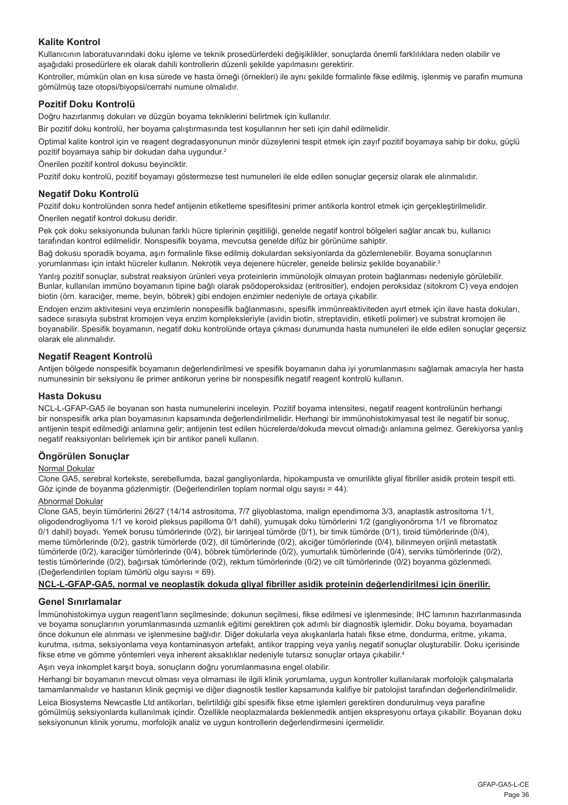# **Kalite Kontrol**

Kullanıcının laboratuvarındaki doku işleme ve teknik prosedürlerdeki değişiklikler, sonuçlarda önemli farklılıklara neden olabilir ve aşağıdaki prosedürlere ek olarak dahili kontrollerin düzenli şekilde yapılmasını gerektirir.

Kontroller, mümkün olan en kısa sürede ve hasta örneği (örnekleri) ile aynı şekilde formalinle fikse edilmiş, işlenmiş ve parafin mumuna gömülmüş taze otopsi/biyopsi/cerrahi numune olmalıdır.

## **Pozitif Doku Kontrolü**

Doğru hazırlanmış dokuları ve düzgün boyama tekniklerini belirtmek için kullanılır.

Bir pozitif doku kontrolü, her boyama çalıştırmasında test koşullarının her seti için dahil edilmelidir.

Optimal kalite kontrol için ve reagent degradasyonunun minör düzeylerini tespit etmek için zayıf pozitif boyamaya sahip bir doku, güçlü pozitif boyamaya sahip bir dokudan daha uygundur.<sup>2</sup>

Önerilen pozitif kontrol dokusu beyinciktir.

Pozitif doku kontrolü, pozitif boyamayı göstermezse test numuneleri ile elde edilen sonuçlar geçersiz olarak ele alınmalıdır.

## **Negatif Doku Kontrolü**

Pozitif doku kontrolünden sonra hedef antijenin etiketleme spesifitesini primer antikorla kontrol etmek için gerçekleştirilmelidir. Önerilen negatif kontrol dokusu deridir.

Pek çok doku seksiyonunda bulunan farklı hücre tiplerinin çeşitliliği, genelde negatif kontrol bölgeleri sağlar ancak bu, kullanıcı tarafından kontrol edilmelidir. Nonspesifik boyama, mevcutsa genelde difüz bir görünüme sahiptir.

Bağ dokusu sporadik boyama, aşırı formalinle fikse edilmiş dokulardan seksiyonlarda da gözlemlenebilir. Boyama sonuçlarının yorumlanması için intakt hücreler kullanın. Nekrotik veya dejenere hücreler, genelde belirsiz şekilde boyanabilir.<sup>3</sup>

Yanlış pozitif sonuçlar, substrat reaksiyon ürünleri veya proteinlerin immünolojik olmayan protein bağlanması nedeniyle görülebilir. Bunlar, kullanılan immüno boyamanın tipine bağlı olarak psödoperoksidaz (eritrositler), endojen peroksidaz (sitokrom C) veya endojen biotin (örn. karaciğer, meme, beyin, böbrek) gibi endojen enzimler nedeniyle de ortaya çıkabilir.

Endojen enzim aktivitesini veya enzimlerin nonspesifik bağlanmasını, spesifik immünreaktiviteden ayırt etmek için ilave hasta dokuları, sadece sırasıyla substrat kromojen veya enzim kompleksleriyle (avidin biotin, streptavidin, etiketli polimer) ve substrat kromojen ile boyanabilir. Spesifik boyamanın, negatif doku kontrolünde ortaya çıkması durumunda hasta numuneleri ile elde edilen sonuçlar geçersiz olarak ele alınmalıdır.

#### **Negatif Reagent Kontrolü**

Antijen bölgede nonspesifik boyamanın değerlendirilmesi ve spesifik boyamanın daha iyi yorumlanmasını sağlamak amacıyla her hasta numunesinin bir seksiyonu ile primer antikorun yerine bir nonspesifik negatif reagent kontrolü kullanın.

#### **Hasta Dokusu**

NCL-L-GFAP-GA5 ile boyanan son hasta numunelerini inceleyin. Pozitif boyama intensitesi, negatif reagent kontrolünün herhangi bir nonspesifik arka plan boyamasının kapsamında değerlendirilmelidir. Herhangi bir immünohistokimyasal test ile negatif bir sonuç, antijenin tespit edilmediği anlamına gelir; antijenin test edilen hücrelerde/dokuda mevcut olmadığı anlamına gelmez. Gerekiyorsa yanlış negatif reaksiyonları belirlemek için bir antikor paneli kullanın.

# **Öngörülen Sonuçlar**

#### Normal Dokular

Clone GA5, serebral kortekste, serebellumda, bazal gangliyonlarda, hipokampusta ve omurilikte gliyal fibriller asidik protein tespit etti. Göz içinde de boyanma gözlenmiştir. (Değerlendirilen toplam normal olgu sayısı = 44).

#### Abnormal Dokular

Clone GA5, beyin tümörlerini 26/27 (14/14 astrositoma, 7/7 gliyoblastoma, malign ependimoma 3/3, anaplastik astrositoma 1/1, oligodendrogliyoma 1/1 ve koroid pleksus papilloma 0/1 dahil), yumuşak doku tümörlerini 1/2 (gangliyonöroma 1/1 ve fibromatoz 0/1 dahil) boyadı. Yemek borusu tümörlerinde (0/2), bir larinjeal tümörde (0/1), bir timik tümörde (0/1), tiroid tümörlerinde (0/4), meme tümörlerinde (0/2), gastrik tümörlerde (0/2), dil tümörlerinde (0/2), akciğer tümörlerinde (0/4), bilinmeyen orijinli metastatik tümörlerde (0/2), karaciğer tümörlerinde (0/4), böbrek tümörlerinde (0/2), yumurtalık tümörlerinde (0/4), serviks tümörlerinde (0/2), testis tümörlerinde (0/2), bağırsak tümörlerinde (0/2), rektum tümörlerinde (0/2) ve cilt tümörlerinde (0/2) boyanma gözlenmedi. (Değerlendirilen toplam tümörlü olgu sayısı = 69).

#### **NCL-L-GFAP-GA5, normal ve neoplastik dokuda gliyal fibriller asidik proteinin değerlendirilmesi için önerilir.**

#### **Genel Sınırlamalar**

İmmünohistokimya uygun reagent'ların seçilmesinde; dokunun seçilmesi, fikse edilmesi ve işlenmesinde; IHC lamının hazırlanmasında ve boyama sonuçlarının yorumlanmasında uzmanlık eğitimi gerektiren çok adımlı bir diagnostik işlemidir. Doku boyama, boyamadan önce dokunun ele alınması ve işlenmesine bağlıdır. Diğer dokularla veya akışkanlarla hatalı fikse etme, dondurma, eritme, yıkama, kurutma, ısıtma, seksiyonlama veya kontaminasyon artefakt, antikor trapping veya yanlış negatif sonuçlar oluşturabilir. Doku içerisinde fikse etme ve gömme yöntemleri veya inherent aksaklıklar nedeniyle tutarsız sonuçlar ortaya çıkabilir. 4

Aşırı veya inkomplet karşıt boya, sonuçların doğru yorumlanmasına engel olabilir.

Herhangi bir boyamanın mevcut olması veya olmaması ile ilgili klinik yorumlama, uygun kontroller kullanılarak morfolojik çalışmalarla tamamlanmalıdır ve hastanın klinik geçmişi ve diğer diagnostik testler kapsamında kalifiye bir patolojist tarafından değerlendirilmelidir.

Leica Biosystems Newcastle Ltd antikorları, belirtildiği gibi spesifik fikse etme işlemleri gerektiren dondurulmuş veya parafine gömülmüş seksiyonlarda kullanılmak içindir. Özellikle neoplazmalarda beklenmedik antijen ekspresyonu ortaya çıkabilir. Boyanan doku seksiyonunun klinik yorumu, morfolojik analiz ve uygun kontrollerin değerlendirmesini içermelidir.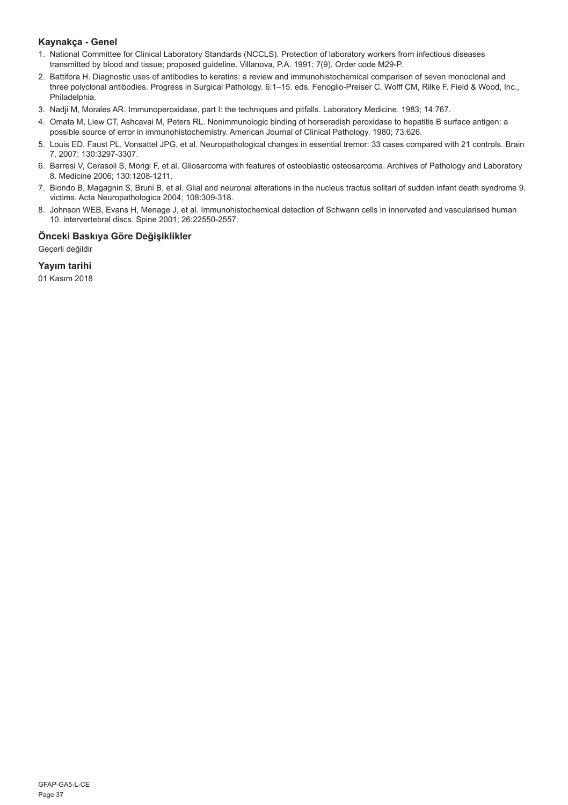# **Kaynakça - Genel**

- 1. National Committee for Clinical Laboratory Standards (NCCLS). Protection of laboratory workers from infectious diseases transmitted by blood and tissue; proposed guideline. Villanova, P.A. 1991; 7(9). Order code M29-P.
- 2. Battifora H. Diagnostic uses of antibodies to keratins: a review and immunohistochemical comparison of seven monoclonal and three polyclonal antibodies. Progress in Surgical Pathology. 6:1–15. eds. Fenoglio-Preiser C, Wolff CM, Rilke F. Field & Wood, Inc., Philadelphia.
- 3. Nadji M, Morales AR. Immunoperoxidase, part I: the techniques and pitfalls. Laboratory Medicine. 1983; 14:767.
- 4. Omata M, Liew CT, Ashcavai M, Peters RL. Nonimmunologic binding of horseradish peroxidase to hepatitis B surface antigen: a possible source of error in immunohistochemistry. American Journal of Clinical Pathology. 1980; 73:626.
- 5. Louis ED, Faust PL, Vonsattel JPG, et al. Neuropathological changes in essential tremor: 33 cases compared with 21 controls. Brain 7. 2007; 130:3297-3307.
- 6. Barresi V, Cerasoli S, Morigi F, et al. Gliosarcoma with features of osteoblastic osteosarcoma. Archives of Pathology and Laboratory 8. Medicine 2006; 130:1208-1211.
- 7. Biondo B, Magagnin S, Bruni B, et al. Glial and neuronal alterations in the nucleus tractus solitari of sudden infant death syndrome 9. victims. Acta Neuropathologica 2004; 108:309-318.
- 8. Johnson WEB, Evans H, Menage J, et al. Immunohistochemical detection of Schwann cells in innervated and vascularised human 10. intervertebral discs. Spine 2001; 26:22550-2557.

# **Önceki Baskıya Göre Değişiklikler**

Geçerli değildir

**Yayım tarihi**

01 Kasım 2018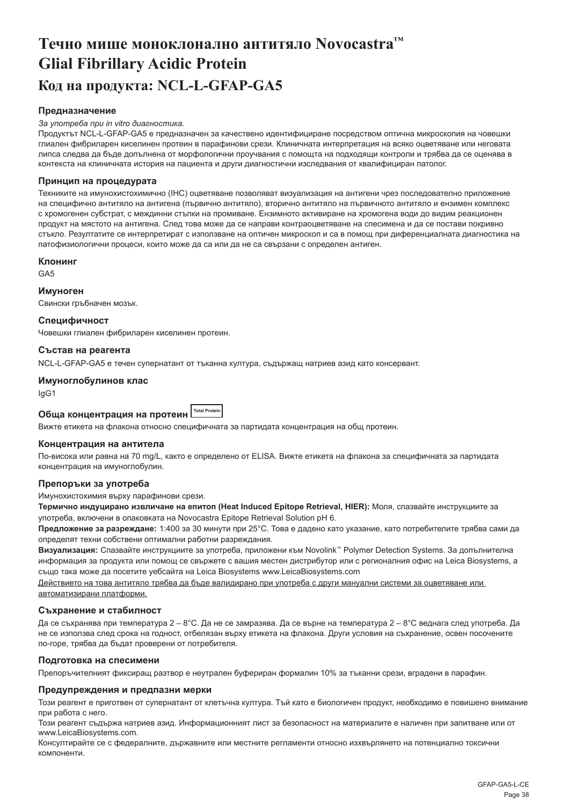# <span id="page-38-0"></span>**Течно мише моноклонално антитяло Novocastra™ Glial Fibrillary Acidic Protein Код на продукта: NCL-L-GFAP-GA5**

## **Предназначение**

#### *За употреба при in vitro диагностика.*

Продуктът NCL-L-GFAP-GA5 е предназначен за качествено идентифициране посредством оптична микроскопия на човешки глиален фибриларен киселинен протеин в парафинови срези. Клиничната интерпретация на всяко оцветяване или неговата липса следва да бъде допълнена от морфологични проучвания с помощта на подходящи контроли и трябва да се оценява в контекста на клиничната история на пациента и други диагностични изследвания от квалифициран патолог.

#### **Принцип на процедурата**

Техниките на имунохистохимично (IHC) оцветяване позволяват визуализация на антигени чрез последователно приложение на специфично антитяло на антигена (първично антитяло), вторично антитяло на първичното антитяло и ензимен комплекс с хромогенен субстрат, с междинни стъпки на промиване. Ензимното активиране на хромогена води до видим реакционен продукт на мястото на антигена. След това може да се направи контраоцветяване на спесимена и да се постави покривно стъкло. Резултатите се интерпретират с използване на оптичен микроскоп и са в помощ при диференциалната диагностика на патофизиологични процеси, които може да са или да не са свързани с определен антиген.

#### **Клонинг**

GA5

#### **Имуноген**

Свински гръбначен мозък.

### **Специфичност**

Човешки глиален фибриларен киселинен протеин.

#### **Състав на реагента**

NCL-L-GFAP-GA5 е течен супернатант от тъканна култура, съдържащ натриев азид като консервант.

## **Имуноглобулинов клас**

IgG1

# **Обща концентрация на протеин Total Protein**

Вижте етикета на флакона относно специфичната за партидата концентрация на общ протеин.

#### **Концентрация на антитела**

По-висока или равна на 70 mg/L, както е определено от ELISA. Вижте етикета на флакона за специфичната за партидата концентрация на имуноглобулин.

#### **Препоръки за употреба**

Имунохистохимия върху парафинови срези.

**Термично индуцирано извличане на епитоп (Heat Induced Epitope Retrieval, HIER):** Моля, спазвайте инструкциите за употреба, включени в опаковката на Novocastra Epitope Retrieval Solution pH 6.

**Предложение за разреждане:** 1:400 за 30 минути при 25°C. Това е дадено като указание, като потребителите трябва сами да определят техни собствени оптимални работни разреждания.

**Визуализация:** Спазвайте инструкциите за употреба, приложени към Novolink™ Polymer Detection Systems. За допълнителна информация за продукта или помощ се свържете с вашия местен дистрибутор или с регионалния офис на Leica Biosystems, а също така може да посетите уебсайта на Leica Biosystems www.LeicaBiosystems.com

Действието на това антитяло трябва да бъде валидирано при употреба с други мануални системи за оцветяване или автоматизирани платформи.

#### **Съхранение и стабилност**

Да се съхранява при температура 2 – 8°C. Да не се замразява. Да се върне на температура 2 – 8°C веднага след употреба. Да не се използва след срока на годност, отбелязан върху етикета на флакона. Други условия на съхранение, освен посочените по-горе, трябва да бъдат проверени от потребителя.

#### **Подготовка на спесимени**

Препоръчителният фиксиращ разтвор е неутрален буфериран формалин 10% за тъканни срези, вградени в парафин.

# **Предупреждения и предпазни мерки**

Този реагент е приготвен от супернатант от клетъчна култура. Тъй като е биологичен продукт, необходимо е повишено внимание при работа с него.

Този реагент съдържа натриев азид. Информационният лист за безопасност на материалите е наличен при запитване или от www.LeicaBiosystems.com.

Консултирайте се с федералните, държавните или местните регламенти относно изхвърлянето на потенциално токсични компоненти.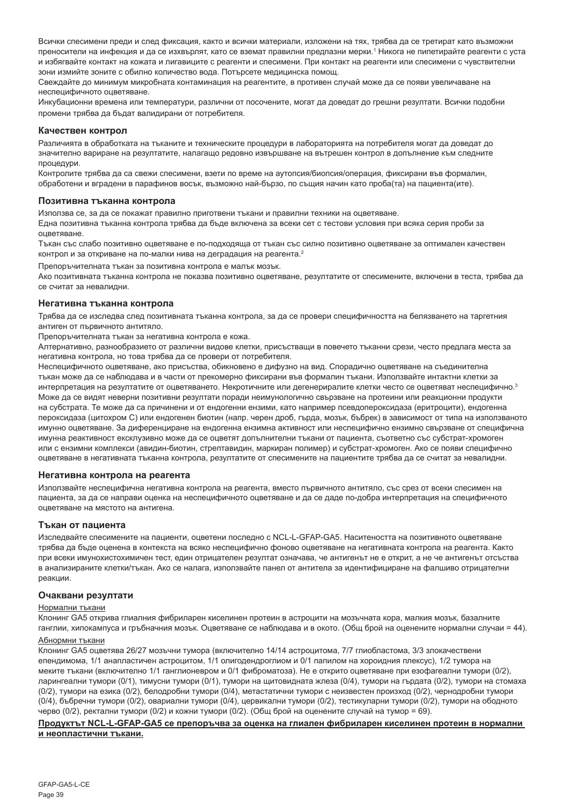Всички спесимени преди и след фиксация, както и всички материали, изложени на тях, трябва да се третират като възможни преносители на инфекция и да се изхвърлят, като се вземат правилни предпазни мерки.' Никога не пипетирайте реагенти с уста и избягвайте контакт на кожата и лигавиците с реагенти и спесимени. При контакт на реагенти или спесимени с чувствителни зони измийте зоните с обилно количество вода. Потърсете медицинска помощ.

Свеждайте до минимум микробната контаминация на реагентите, в противен случай може да се появи увеличаване на неспецифичното оцветяване.

Инкубационни времена или температури, различни от посочените, могат да доведат до грешни резултати. Всички подобни промени трябва да бъдат валидирани от потребителя.

#### **Качествен контрол**

Различията в обработката на тъканите и техническите процедури в лабораторията на потребителя могат да доведат до значително вариране на резултатите, налагащо редовно извършване на вътрешен контрол в допълнение към следните процедури.

Контролите трябва да са свежи спесимени, взети по време на аутопсия/биопсия/операция, фиксирани във формалин, обработени и вградени в парафинов восък, възможно най-бързо, по същия начин като проба(та) на пациента(ите).

#### **Позитивна тъканна контрола**

Използва се, за да се покажат правилно приготвени тъкани и правилни техники на оцветяване.

Една позитивна тъканна контрола трябва да бъде включена за всеки сет с тестови условия при всяка серия проби за оцветяване.

Тъкан със слабо позитивно оцветяване е по-подходяща от тъкан със силно позитивно оцветяване за оптимален качествен контрол и за откриване на по-малки нива на деградация на реагента.<sup>2</sup>

Препоръчителната тъкан за позитивна контрола е малък мозък.

Ако позитивната тъканна контрола не показва позитивно оцветяване, резултатите от спесимените, включени в теста, трябва да се считат за невалидни.

#### **Негативна тъканна контрола**

Трябва да се изследва след позитивната тъканна контрола, за да се провери специфичността на белязването на таргетния антиген от първичното антитяло.

Препоръчителната тъкан за негативна контрола е кожа.

Алтернативно, разнообразието от различни видове клетки, присъстващи в повечето тъканни срези, често предлага места за негативна контрола, но това трябва да се провери от потребителя.

Неспецифичното оцветяване, ако присъства, обикновено е дифузно на вид. Спорадично оцветяване на съединителна тъкан може да се наблюдава и в части от прекомерно фиксирани във формалин тъкани. Използвайте интактни клетки за интерпретация на резултатите от оцветяването. Некротичните или дегенериралите клетки често се оцветяват неспецифично.<sup>3</sup> Може да се видят неверни позитивни резултати поради неимунологично свързване на протеини или реакционни продукти на субстрата. Те може да са причинени и от ендогенни ензими, като например псевдопероксидаза (еритроцити), ендогенна пероксидаза (цитохром C) или ендогенен биотин (напр. черен дроб, гърда, мозък, бъбрек) в зависимост от типа на използваното имунно оцветяване. За диференциране на ендогенна ензимна активност или неспецифично ензимно свързване от специфична имунна реактивност ексклузивно може да се оцветят допълнителни тъкани от пациента, съответно със субстрат-хромоген или с ензимни комплекси (авидин-биотин, стрептавидин, маркиран полимер) и субстрат-хромоген. Ако се появи специфично оцветяване в негативната тъканна контрола, резултатите от спесимените на пациентите трябва да се считат за невалидни.

#### **Негативна контрола на реагента**

Използвайте неспецифична негативна контрола на реагента, вместо първичното антитяло, със срез от всеки спесимен на пациента, за да се направи оценка на неспецифичното оцветяване и да се даде по-добра интерпретация на специфичното оцветяване на мястото на антигена.

#### **Тъкан от пациента**

Изследвайте спесимените на пациенти, оцветени последно с NCL-L-GFAP-GA5. Наситеността на позитивното оцветяване трябва да бъде оценена в контекста на всяко неспецифично фоново оцветяване на негативната контрола на реагента. Както при всеки имунохистохимичен тест, един отрицателен резултат означава, че антигенът не е открит, а не че антигенът отсъства в анализираните клетки/тъкан. Ако се налага, използвайте панел от антитела за идентифициране на фалшиво отрицателни реакции.

#### **Очаквани резултати**

#### Нормални тъкани

Клонинг GA5 открива глиалния фибриларен киселинен протеин в астроцити на мозъчната кора, малкия мозък, базалните ганглии, хипокампуса и гръбначния мозък. Оцветяване се наблюдава и в окото. (Общ брой на оценените нормални случаи = 44).

### Абнормни тъкани

Клонинг GA5 оцветява 26/27 мозъчни тумора (включително 14/14 астроцитома, 7/7 глиобластома, 3/3 злокачествени епендимома, 1/1 анапластичен астроцитом, 1/1 олигодендроглиом и 0/1 папилом на хороидния плексус), 1/2 тумора на меките тъкани (включително 1/1 ганглионевром и 0/1 фиброматоза). Не е открито оцветяване при езофагеални тумори (0/2), ларингеални тумори (0/1), тимусни тумори (0/1), тумори на щитовидната жлеза (0/4), тумори на гърдата (0/2), тумори на стомаха (0/2), тумори на езика (0/2), белодробни тумори (0/4), метастатични тумори с неизвестен произход (0/2), чернодробни тумори (0/4), бъбречни тумори (0/2), овариални тумори (0/4), цервикални тумори (0/2), тестикуларни тумори (0/2), тумори на ободното черво (0/2), ректални тумори (0/2) и кожни тумори (0/2). (Общ брой на оценените случай на тумор = 69).

### **Продуктът NCL-L-GFAP-GA5 се препоръчва за оценка на глиален фибриларен киселинен протеин в нормални и неопластични тъкани.**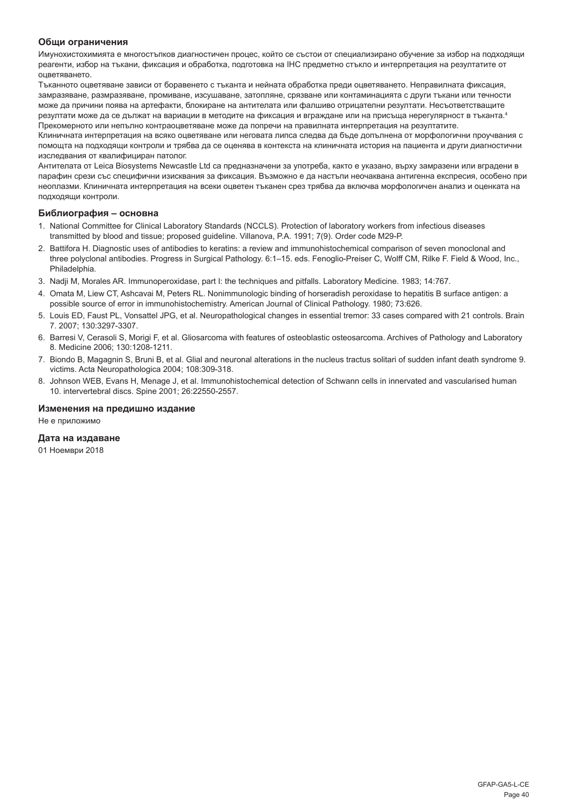# **Общи ограничения**

Имунохистохимията е многостъпков диагностичен процес, който се състои от специализирано обучение за избор на подходящи реагенти, избор на тъкани, фиксация и обработка, подготовка на IHC предметно стъкло и интерпретация на резултатите от оцветяването.

Тъканното оцветяване зависи от боравенето с тъканта и нейната обработка преди оцветяването. Неправилната фиксация, замразяване, размразяване, промиване, изсушаване, затопляне, срязване или контаминацията с други тъкани или течности може да причини поява на артефакти, блокиране на антителата или фалшиво отрицателни резултати. Несъответстващите резултати може да се дължат на вариации в методите на фиксация и вграждане или на присъща нерегулярност в тъканта.<sup>4</sup> Прекомерното или непълно контраоцветяване може да попречи на правилната интерпретация на резултатите.

Клиничната интерпретация на всяко оцветяване или неговата липса следва да бъде допълнена от морфологични проучвания с помощта на подходящи контроли и трябва да се оценява в контекста на клиничната история на пациента и други диагностични изследвания от квалифициран патолог.

Антителата от Leica Biosystems Newcastle Ltd са предназначени за употреба, както е указано, върху замразени или вградени в парафин срези със специфични изисквания за фиксация. Възможно е да настъпи неочаквана антигенна експресия, особено при неоплазми. Клиничната интерпретация на всеки оцветен тъканен срез трябва да включва морфологичен анализ и оценката на подходящи контроли.

# **Библиография – основна**

- 1. National Committee for Clinical Laboratory Standards (NCCLS). Protection of laboratory workers from infectious diseases transmitted by blood and tissue; proposed guideline. Villanova, P.A. 1991; 7(9). Order code M29-P.
- 2. Battifora H. Diagnostic uses of antibodies to keratins: a review and immunohistochemical comparison of seven monoclonal and three polyclonal antibodies. Progress in Surgical Pathology. 6:1–15. eds. Fenoglio-Preiser C, Wolff CM, Rilke F. Field & Wood, Inc., Philadelphia.
- 3. Nadji M, Morales AR. Immunoperoxidase, part I: the techniques and pitfalls. Laboratory Medicine. 1983; 14:767.
- 4. Omata M, Liew CT, Ashcavai M, Peters RL. Nonimmunologic binding of horseradish peroxidase to hepatitis B surface antigen: a possible source of error in immunohistochemistry. American Journal of Clinical Pathology. 1980; 73:626.
- 5. Louis ED, Faust PL, Vonsattel JPG, et al. Neuropathological changes in essential tremor: 33 cases compared with 21 controls. Brain 7. 2007; 130:3297-3307.
- 6. Barresi V, Cerasoli S, Morigi F, et al. Gliosarcoma with features of osteoblastic osteosarcoma. Archives of Pathology and Laboratory 8. Medicine 2006; 130:1208-1211.
- 7. Biondo B, Magagnin S, Bruni B, et al. Glial and neuronal alterations in the nucleus tractus solitari of sudden infant death syndrome 9. victims. Acta Neuropathologica 2004; 108:309-318.
- 8. Johnson WEB, Evans H, Menage J, et al. Immunohistochemical detection of Schwann cells in innervated and vascularised human 10. intervertebral discs. Spine 2001; 26:22550-2557.

# **Изменения на предишно издание**

Не е приложимо

#### **Дата на издаване**

01 Ноември 2018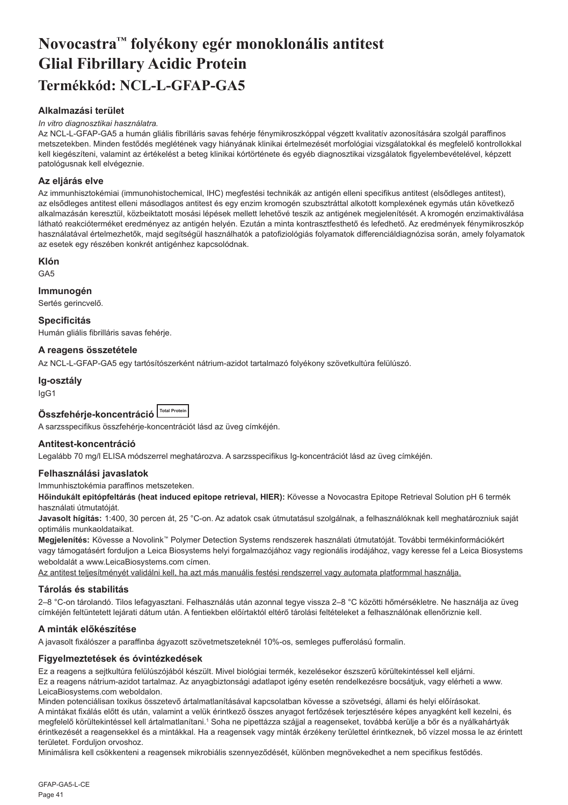# <span id="page-41-0"></span>**Novocastra™ folyékony egér monoklonális antitest Glial Fibrillary Acidic Protein Termékkód: NCL-L-GFAP-GA5**

# **Alkalmazási terület**

#### *In vitro diagnosztikai használatra.*

Az NCL-L-GFAP-GA5 a humán gliális fibrilláris savas fehérje fénymikroszkóppal végzett kvalitatív azonosítására szolgál paraffinos metszetekben. Minden festődés meglétének vagy hiányának klinikai értelmezését morfológiai vizsgálatokkal és megfelelő kontrollokkal kell kiegészíteni, valamint az értékelést a beteg klinikai kórtörténete és egyéb diagnosztikai vizsgálatok figyelembevételével, képzett patológusnak kell elvégeznie.

#### **Az eljárás elve**

Az immunhisztokémiai (immunohistochemical, IHC) megfestési technikák az antigén elleni specifikus antitest (elsődleges antitest), az elsődleges antitest elleni másodlagos antitest és egy enzim kromogén szubsztráttal alkotott komplexének egymás után következő alkalmazásán keresztül, közbeiktatott mosási lépések mellett lehetővé teszik az antigének megjelenítését. A kromogén enzimaktiválása látható reakcióterméket eredményez az antigén helyén. Ezután a minta kontrasztfesthető és lefedhető. Az eredmények fénymikroszkóp használatával értelmezhetők, majd segítségül használhatók a patofiziológiás folyamatok differenciáldiagnózisa során, amely folyamatok az esetek egy részében konkrét antigénhez kapcsolódnak.

# **Klón**

GA5

## **Immunogén**

Sertés gerincvelő.

#### **Specificitás**

Humán gliális fibrilláris savas fehérje.

# **A reagens összetétele**

Az NCL-L-GFAP-GA5 egy tartósítószerként nátrium-azidot tartalmazó folyékony szövetkultúra felülúszó.

#### **Ig-osztály**

IgG1

| Összfehérje-koncentráció Motal Protein |  |  |
|----------------------------------------|--|--|
|----------------------------------------|--|--|

A sarzsspecifikus összfehérje-koncentrációt lásd az üveg címkéjén.

# **Antitest-koncentráció**

Legalább 70 mg/l ELISA módszerrel meghatározva. A sarzsspecifikus Ig-koncentrációt lásd az üveg címkéjén.

# **Felhasználási javaslatok**

#### Immunhisztokémia paraffinos metszeteken.

**Hőindukált epitópfeltárás (heat induced epitope retrieval, HIER):** Kövesse a Novocastra Epitope Retrieval Solution pH 6 termék használati útmutatóját.

**Javasolt hígítás:** 1:400, 30 percen át, 25 °C-on. Az adatok csak útmutatásul szolgálnak, a felhasználóknak kell meghatározniuk saját optimális munkaoldataikat.

**Megjelenítés:** Kövesse a Novolink™ Polymer Detection Systems rendszerek használati útmutatóját. További termékinformációkért vagy támogatásért forduljon a Leica Biosystems helyi forgalmazójához vagy regionális irodájához, vagy keresse fel a Leica Biosystems weboldalát a www.LeicaBiosystems.com címen.

Az antitest teljesítményét validálni kell, ha azt más manuális festési rendszerrel vagy automata platformmal használja.

# **Tárolás és stabilitás**

2–8 °C-on tárolandó. Tilos lefagyasztani. Felhasználás után azonnal tegye vissza 2–8 °C közötti hőmérsékletre. Ne használja az üveg címkéjén feltüntetett lejárati dátum után. A fentiekben előírtaktól eltérő tárolási feltételeket a felhasználónak ellenőriznie kell.

# **A minták előkészítése**

A javasolt fixálószer a paraffinba ágyazott szövetmetszeteknél 10%-os, semleges pufferolású formalin.

# **Figyelmeztetések és óvintézkedések**

Ez a reagens a sejtkultúra felülúszójából készült. Mivel biológiai termék, kezelésekor észszerű körültekintéssel kell eljárni. Ez a reagens nátrium-azidot tartalmaz. Az anyagbiztonsági adatlapot igény esetén rendelkezésre bocsátjuk, vagy elérheti a www. LeicaBiosystems.com weboldalon.

Minden potenciálisan toxikus összetevő ártalmatlanításával kapcsolatban kövesse a szövetségi, állami és helyi előírásokat. A mintákat fixálás előtt és után, valamint a velük érintkező összes anyagot fertőzések terjesztésére képes anyagként kell kezelni, és megfelelő körültekintéssel kell ártalmatlanítani.1 Soha ne pipettázza szájjal a reagenseket, továbbá kerülje a bőr és a nyálkahártyák érintkezését a reagensekkel és a mintákkal. Ha a reagensek vagy minták érzékeny területtel érintkeznek, bő vízzel mossa le az érintett területet. Forduljon orvoshoz.

Minimálisra kell csökkenteni a reagensek mikrobiális szennyeződését, különben megnövekedhet a nem specifikus festődés.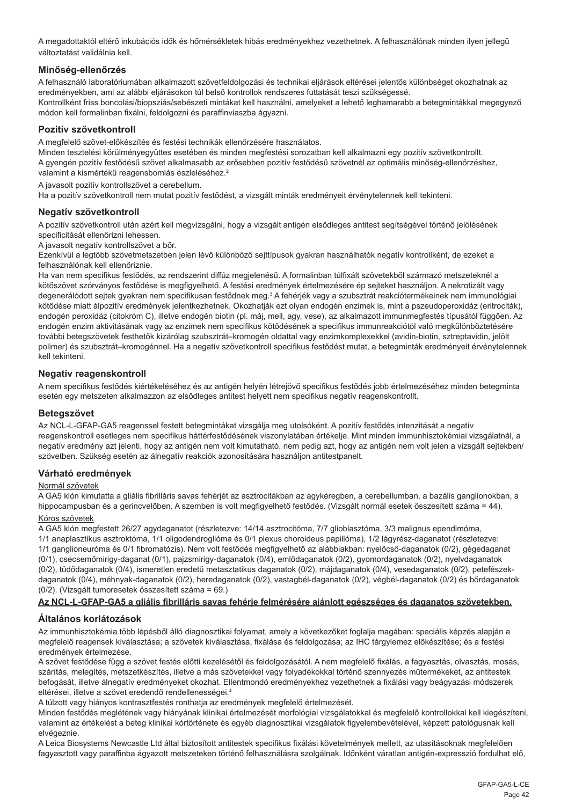A megadottaktól eltérő inkubációs idők és hőmérsékletek hibás eredményekhez vezethetnek. A felhasználónak minden ilyen jellegű változtatást validálnia kell.

# **Minőség-ellenőrzés**

A felhasználó laboratóriumában alkalmazott szövetfeldolgozási és technikai eljárások eltérései jelentős különbséget okozhatnak az eredményekben, ami az alábbi eljárásokon túl belső kontrollok rendszeres futtatását teszi szükségessé. Kontrollként friss boncolási/biopsziás/sebészeti mintákat kell használni, amelyeket a lehető leghamarabb a betegmintákkal megegyező módon kell formalinban fixálni, feldolgozni és paraffinviaszba ágyazni.

# **Pozitív szövetkontroll**

A megfelelő szövet-előkészítés és festési technikák ellenőrzésére használatos.

Minden tesztelési körülményegyüttes esetében és minden megfestési sorozatban kell alkalmazni egy pozitív szövetkontrollt. A gyengén pozitív festődésű szövet alkalmasabb az erősebben pozitív festődésű szövetnél az optimális minőség-ellenőrzéshez, valamint a kismértékű reagensbomlás észleléséhez.<sup>2</sup>

A javasolt pozitív kontrollszövet a cerebellum.

Ha a pozitív szövetkontroll nem mutat pozitív festődést, a vizsgált minták eredményeit érvénytelennek kell tekinteni.

# **Negatív szövetkontroll**

A pozitív szövetkontroll után azért kell megvizsgálni, hogy a vizsgált antigén elsődleges antitest segítségével történő jelölésének specificitását ellenőrizni lehessen.

A javasolt negatív kontrollszövet a bőr.

Ezenkívül a legtöbb szövetmetszetben jelen lévő különböző sejttípusok gyakran használhatók negatív kontrollként, de ezeket a felhasználónak kell ellenőriznie.

Ha van nem specifikus festődés, az rendszerint diffúz megjelenésű. A formalinban túlfixált szövetekből származó metszeteknél a kötőszövet szórványos festődése is megfigyelhető. A festési eredmények értelmezésére ép sejteket használjon. A nekrotizált vagy degenerálódott sejtek gyakran nem specifikusan festődnek meg.<sup>3</sup> A fehérjék vagy a szubsztrát reakciótermékeinek nem immunológiai kötődése miatt álpozitív eredmények jelentkezhetnek. Okozhatják ezt olyan endogén enzimek is, mint a pszeudoperoxidáz (eritrociták), endogén peroxidáz (citokróm C), illetve endogén biotin (pl. máj, mell, agy, vese), az alkalmazott immunmegfestés típusától függően. Az endogén enzim aktivitásának vagy az enzimek nem specifikus kötődésének a specifikus immunreakciótól való megkülönböztetésére további betegszövetek festhetők kizárólag szubsztrát–kromogén oldattal vagy enzimkomplexekkel (avidin-biotin, sztreptavidin, jelölt polimer) és szubsztrát–kromogénnel. Ha a negatív szövetkontroll specifikus festődést mutat, a betegminták eredményeit érvénytelennek kell tekinteni.

# **Negatív reagenskontroll**

A nem specifikus festődés kiértékeléséhez és az antigén helyén létrejövő specifikus festődés jobb értelmezéséhez minden betegminta esetén egy metszeten alkalmazzon az elsődleges antitest helyett nem specifikus negatív reagenskontrollt.

#### **Betegszövet**

Az NCL-L-GFAP-GA5 reagenssel festett betegmintákat vizsgálja meg utolsóként. A pozitív festődés intenzitását a negatív reagenskontroll esetleges nem specifikus háttérfestődésének viszonylatában értékelje. Mint minden immunhisztokémiai vizsgálatnál, a negatív eredmény azt jelenti, hogy az antigén nem volt kimutatható, nem pedig azt, hogy az antigén nem volt jelen a vizsgált sejtekben/ szövetben. Szükség esetén az álnegatív reakciók azonosítására használjon antitestpanelt.

#### **Várható eredmények**

#### Normál szövetek

A GA5 klón kimutatta a gliális fibrilláris savas fehérjét az asztrocitákban az agykéregben, a cerebellumban, a bazális ganglionokban, a hippocampusban és a gerincvelőben. A szemben is volt megfigyelhető festődés. (Vizsgált normál esetek összesített száma = 44).

#### Kóros szövetek

A GA5 klón megfestett 26/27 agydaganatot (részletezve: 14/14 asztrocitóma, 7/7 glioblasztóma, 3/3 malignus ependimóma,

1/1 anaplasztikus asztroktóma, 1/1 oligodendroglióma és 0/1 plexus choroideus papillóma), 1/2 lágyrész-daganatot (részletezve:

1/1 ganglioneuróma és 0/1 fibromatózis). Nem volt festődés megfigyelhető az alábbiakban: nyelőcső-daganatok (0/2), gégedaganat

(0/1), csecsemőmirigy-daganat (0/1), pajzsmirigy-daganatok (0/4), emlődaganatok (0/2), gyomordaganatok (0/2), nyelvdaganatok (0/2), tüdődaganatok (0/4), ismeretlen eredetű metasztatikus daganatok (0/2), májdaganatok (0/4), vesedaganatok (0/2), petefészekdaganatok (0/4), méhnyak-daganatok (0/2), heredaganatok (0/2), vastagbél-daganatok (0/2), végbél-daganatok (0/2) és bőrdaganatok (0/2). (Vizsgált tumoresetek összesített száma = 69.)

# **Az NCL-L-GFAP-GA5 a gliális fibrilláris savas fehérje felmérésére ajánlott egészséges és daganatos szövetekben.**

# **Általános korlátozások**

Az immunhisztokémia több lépésből álló diagnosztikai folyamat, amely a következőket foglalja magában: speciális képzés alapján a megfelelő reagensek kiválasztása; a szövetek kiválasztása, fixálása és feldolgozása; az IHC tárgylemez előkészítése; és a festési eredmények értelmezése.

A szövet festődése függ a szövet festés előtti kezelésétől és feldolgozásától. A nem megfelelő fixálás, a fagyasztás, olvasztás, mosás, szárítás, melegítés, metszetkészítés, illetve a más szövetekkel vagy folyadékokkal történő szennyezés műtermékeket, az antitestek befogását, illetve álnegatív eredményeket okozhat. Ellentmondó eredményekhez vezethetnek a fixálási vagy beágyazási módszerek eltérései, illetve a szövet eredendő rendellenességei.<sup>4</sup>

A túlzott vagy hiányos kontrasztfestés ronthatja az eredmények megfelelő értelmezését.

Minden festődés meglétének vagy hiányának klinikai értelmezését morfológiai vizsgálatokkal és megfelelő kontrollokkal kell kiegészíteni, valamint az értékelést a beteg klinikai kórtörténete és egyéb diagnosztikai vizsgálatok figyelembevételével, képzett patológusnak kell elvégeznie.

A Leica Biosystems Newcastle Ltd által biztosított antitestek specifikus fixálási követelmények mellett, az utasításoknak megfelelően fagyasztott vagy paraffinba ágyazott metszeteken történő felhasználásra szolgálnak. Időnként váratlan antigén-expresszió fordulhat elő,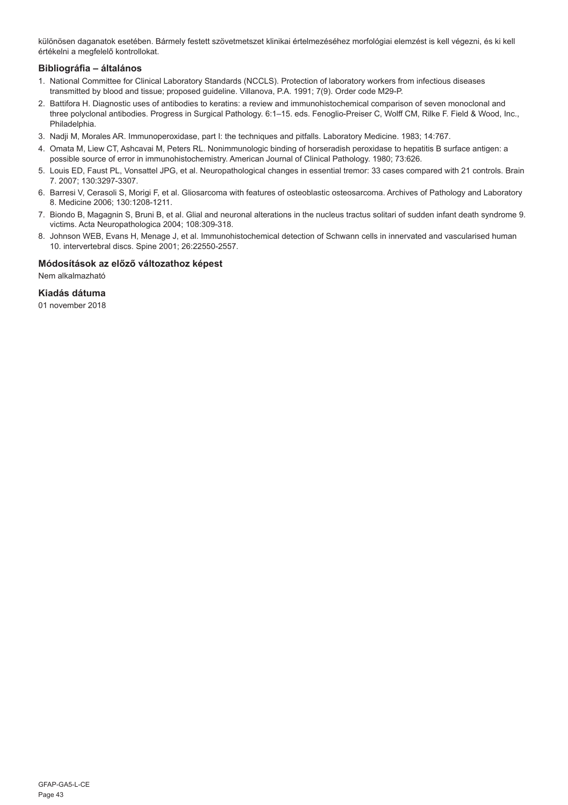különösen daganatok esetében. Bármely festett szövetmetszet klinikai értelmezéséhez morfológiai elemzést is kell végezni, és ki kell értékelni a megfelelő kontrollokat.

## **Bibliográfia – általános**

- 1. National Committee for Clinical Laboratory Standards (NCCLS). Protection of laboratory workers from infectious diseases transmitted by blood and tissue; proposed guideline. Villanova, P.A. 1991; 7(9). Order code M29-P.
- 2. Battifora H. Diagnostic uses of antibodies to keratins: a review and immunohistochemical comparison of seven monoclonal and three polyclonal antibodies. Progress in Surgical Pathology. 6:1–15. eds. Fenoglio-Preiser C, Wolff CM, Rilke F. Field & Wood, Inc., Philadelphia.
- 3. Nadji M, Morales AR. Immunoperoxidase, part I: the techniques and pitfalls. Laboratory Medicine. 1983; 14:767.
- 4. Omata M, Liew CT, Ashcavai M, Peters RL. Nonimmunologic binding of horseradish peroxidase to hepatitis B surface antigen: a possible source of error in immunohistochemistry. American Journal of Clinical Pathology. 1980; 73:626.
- 5. Louis ED, Faust PL, Vonsattel JPG, et al. Neuropathological changes in essential tremor: 33 cases compared with 21 controls. Brain 7. 2007; 130:3297-3307.
- 6. Barresi V, Cerasoli S, Morigi F, et al. Gliosarcoma with features of osteoblastic osteosarcoma. Archives of Pathology and Laboratory 8. Medicine 2006; 130:1208-1211.
- 7. Biondo B, Magagnin S, Bruni B, et al. Glial and neuronal alterations in the nucleus tractus solitari of sudden infant death syndrome 9. victims. Acta Neuropathologica 2004; 108:309-318.
- 8. Johnson WEB, Evans H, Menage J, et al. Immunohistochemical detection of Schwann cells in innervated and vascularised human 10. intervertebral discs. Spine 2001; 26:22550-2557.

#### **Módosítások az előző változathoz képest**

Nem alkalmazható

# **Kiadás dátuma**

01 november 2018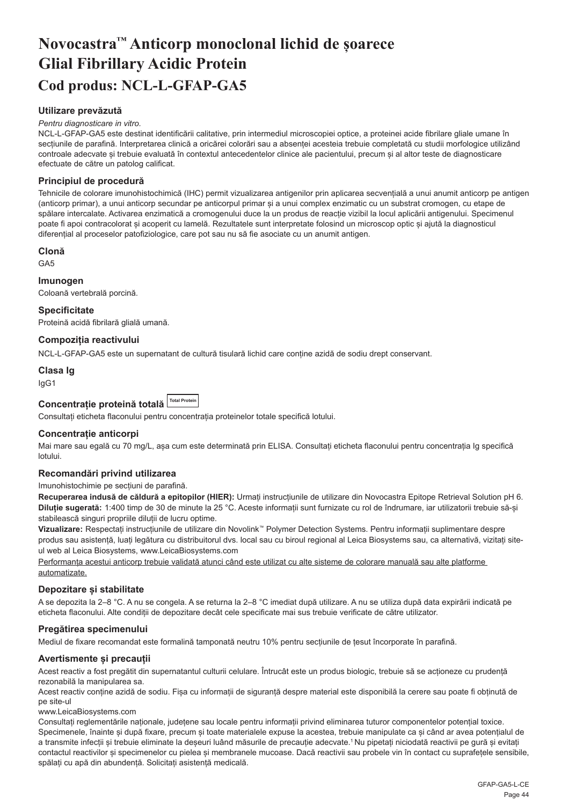# <span id="page-44-0"></span>**Novocastra™ Anticorp monoclonal lichid de șoarece Glial Fibrillary Acidic Protein Cod produs: NCL-L-GFAP-GA5**

# **Utilizare prevăzută**

#### *Pentru diagnosticare in vitro.*

NCL-L-GFAP-GA5 este destinat identificării calitative, prin intermediul microscopiei optice, a proteinei acide fibrilare gliale umane în secțiunile de parafină. Interpretarea clinică a oricărei colorări sau a absenței acesteia trebuie completată cu studii morfologice utilizând controale adecvate și trebuie evaluată în contextul antecedentelor clinice ale pacientului, precum și al altor teste de diagnosticare efectuate de către un patolog calificat.

#### **Principiul de procedură**

Tehnicile de colorare imunohistochimică (IHC) permit vizualizarea antigenilor prin aplicarea secvențială a unui anumit anticorp pe antigen (anticorp primar), a unui anticorp secundar pe anticorpul primar și a unui complex enzimatic cu un substrat cromogen, cu etape de spălare intercalate. Activarea enzimatică a cromogenului duce la un produs de reacție vizibil la locul aplicării antigenului. Specimenul poate fi apoi contracolorat și acoperit cu lamelă. Rezultatele sunt interpretate folosind un microscop optic și ajută la diagnosticul diferențial al proceselor patofiziologice, care pot sau nu să fie asociate cu un anumit antigen.

# **Clonă**

G<sub>A5</sub>

#### **Imunogen**

Coloană vertebrală porcină.

#### **Specificitate**

Proteină acidă fibrilară glială umană.

# **Compoziția reactivului**

NCL-L-GFAP-GA5 este un supernatant de cultură tisulară lichid care conține azidă de sodiu drept conservant.

# **Clasa Ig**

IgG1

| Concentrație proteină totală Total Protein |  |
|--------------------------------------------|--|
|                                            |  |

Consultați eticheta flaconului pentru concentrația proteinelor totale specifică lotului.

#### **Concentrație anticorpi**

Mai mare sau egală cu 70 mg/L, asa cum este determinată prin ELISA. Consultati eticheta flaconului pentru concentratia Ig specifică lotului.

#### **Recomandări privind utilizarea**

Imunohistochimie pe secțiuni de parafină.

**Recuperarea indusă de căldură a epitopilor (HIER):** Urmați instrucțiunile de utilizare din Novocastra Epitope Retrieval Solution pH 6. **Diluție sugerată:** 1:400 timp de 30 de minute la 25 °C. Aceste informații sunt furnizate cu rol de îndrumare, iar utilizatorii trebuie să-și stabilească singuri propriile diluții de lucru optime.

**Vizualizare:** Respectați instrucțiunile de utilizare din Novolink™ Polymer Detection Systems. Pentru informații suplimentare despre produs sau asistență, luați legătura cu distribuitorul dvs. local sau cu biroul regional al Leica Biosystems sau, ca alternativă, vizitați siteul web al Leica Biosystems, www.LeicaBiosystems.com

Performanța acestui anticorp trebuie validată atunci când este utilizat cu alte sisteme de colorare manuală sau alte platforme automatizate.

#### **Depozitare și stabilitate**

A se depozita la 2–8 °C. A nu se congela. A se returna la 2–8 °C imediat după utilizare. A nu se utiliza după data expirării indicată pe eticheta flaconului. Alte condiții de depozitare decât cele specificate mai sus trebuie verificate de către utilizator.

# **Pregătirea specimenului**

Mediul de fixare recomandat este formalină tamponată neutru 10% pentru secțiunile de țesut încorporate în parafină.

# **Avertismente și precauții**

Acest reactiv a fost pregătit din supernatantul culturii celulare. Întrucât este un produs biologic, trebuie să se acționeze cu prudență rezonabilă la manipularea sa.

Acest reactiv conține azidă de sodiu. Fișa cu informații de siguranță despre material este disponibilă la cerere sau poate fi obținută de pe site-ul

# www.LeicaBiosystems.com

Consultați reglementările naționale, județene sau locale pentru informații privind eliminarea tuturor componentelor potențial toxice. Specimenele, înainte și după fixare, precum și toate materialele expuse la acestea, trebuie manipulate ca și când ar avea potențialul de a transmite infectii și trebuie eliminate la deșeuri luând măsurile de precautie adecvate.<sup>1</sup>Nu pipetati niciodată reactivii pe qură și evitati contactul reactivilor și specimenelor cu pielea și membranele mucoase. Dacă reactivii sau probele vin în contact cu suprafețele sensibile, spălați cu apă din abundență. Solicitați asistență medicală.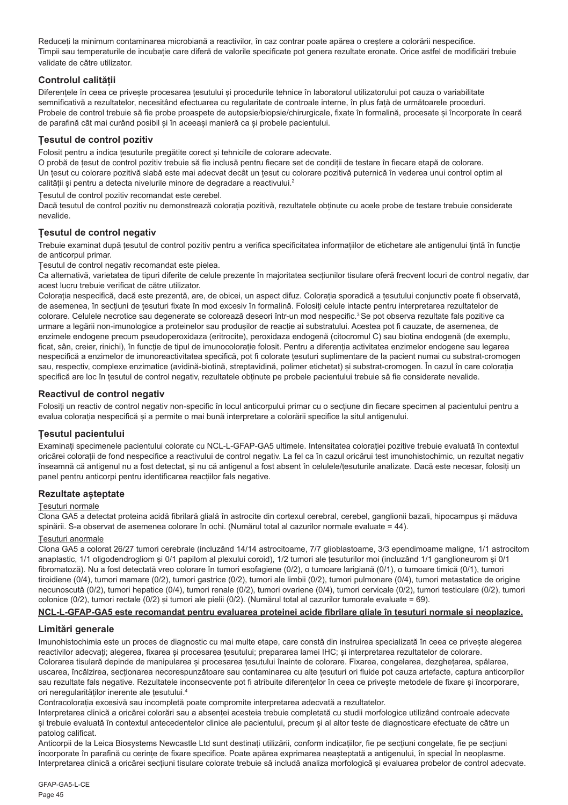Reduceți la minimum contaminarea microbiană a reactivilor, în caz contrar poate apărea o creștere a colorării nespecifice. Timpii sau temperaturile de incubație care diferă de valorile specificate pot genera rezultate eronate. Orice astfel de modificări trebuie validate de către utilizator.

# **Controlul calității**

Diferentele în ceea ce priveste procesarea tesutului si procedurile tehnice în laboratorul utilizatorului pot cauza o variabilitate semnificativă a rezultatelor, necesitând efectuarea cu regularitate de controale interne, în plus față de următoarele proceduri. Probele de control trebuie să fie probe proaspete de autopsie/biopsie/chirurgicale, fixate în formalină, procesate și încorporate în ceară de parafină cât mai curând posibil și în aceeași manieră ca și probele pacientului.

# **Țesutul de control pozitiv**

Folosit pentru a indica țesuturile pregătite corect și tehnicile de colorare adecvate.

O probă de țesut de control pozitiv trebuie să fie inclusă pentru fiecare set de condiții de testare în fiecare etapă de colorare. Un țesut cu colorare pozitivă slabă este mai adecvat decât un țesut cu colorare pozitivă puternică în vederea unui control optim al calității și pentru a detecta nivelurile minore de degradare a reactivului.<sup>2</sup>

Țesutul de control pozitiv recomandat este cerebel.

Dacă țesutul de control pozitiv nu demonstrează colorația pozitivă, rezultatele obținute cu acele probe de testare trebuie considerate nevalide.

# **Țesutul de control negativ**

Trebuie examinat după țesutul de control pozitiv pentru a verifica specificitatea informațiilor de etichetare ale antigenului țintă în funcție de anticorpul primar.

Țesutul de control negativ recomandat este pielea.

Ca alternativă, varietatea de tipuri diferite de celule prezente în majoritatea secțiunilor tisulare oferă frecvent locuri de control negativ, dar acest lucru trebuie verificat de către utilizator.

Colorația nespecifică, dacă este prezentă, are, de obicei, un aspect difuz. Colorația sporadică a țesutului conjunctiv poate fi observată, de asemenea, în secțiuni de țesuturi fixate în mod excesiv în formalină. Folosiți celule intacte pentru interpretarea rezultatelor de colorare. Celulele necrotice sau degenerate se colorează deseori într-un mod nespecific.<sup>3</sup> Se pot observa rezultate fals pozitive ca urmare a legării non-imunologice a proteinelor sau produșilor de reacție ai substratului. Acestea pot fi cauzate, de asemenea, de enzimele endogene precum pseudoperoxidaza (eritrocite), peroxidaza endogenă (citocromul C) sau biotina endogenă (de exemplu, ficat, sân, creier, rinichi), în funcție de tipul de imunocolorație folosit. Pentru a diferenția activitatea enzimelor endogene sau legarea nespecifică a enzimelor de imunoreactivitatea specifică, pot fi colorate țesuturi suplimentare de la pacient numai cu substrat-cromogen sau, respectiv, complexe enzimatice (avidină-biotină, streptavidină, polimer etichetat) și substrat-cromogen. În cazul în care colorația specifică are loc în țesutul de control negativ, rezultatele obținute pe probele pacientului trebuie să fie considerate nevalide.

# **Reactivul de control negativ**

Folosiți un reactiv de control negativ non-specific în locul anticorpului primar cu o secțiune din fiecare specimen al pacientului pentru a evalua colorația nespecifică și a permite o mai bună interpretare a colorării specifice la situl antigenului.

# **Țesutul pacientului**

Examinați specimenele pacientului colorate cu NCL-L-GFAP-GA5 ultimele. Intensitatea colorației pozitive trebuie evaluată în contextul oricărei colorații de fond nespecifice a reactivului de control negativ. La fel ca în cazul oricărui test imunohistochimic, un rezultat negativ înseamnă că antigenul nu a fost detectat, și nu că antigenul a fost absent în celulele/țesuturile analizate. Dacă este necesar, folosiți un panel pentru anticorpi pentru identificarea reacțiilor fals negative.

# **Rezultate așteptate**

# Țesuturi normale

Clona GA5 a detectat proteina acidă fibrilară glială în astrocite din cortexul cerebral, cerebel, ganglionii bazali, hipocampus și măduva spinării. S-a observat de asemenea colorare în ochi. (Numărul total al cazurilor normale evaluate = 44).

#### Țesuturi anormale

Clona GA5 a colorat 26/27 tumori cerebrale (incluzând 14/14 astrocitoame, 7/7 glioblastoame, 3/3 ependimoame maligne, 1/1 astrocitom anaplastic, 1/1 oligodendrogliom și 0/1 papilom al plexului coroid), 1/2 tumori ale țesuturilor moi (incluzând 1/1 ganglioneurom și 0/1 fibromatoză). Nu a fost detectată vreo colorare în tumori esofagiene (0/2), o tumoare larigiană (0/1), o tumoare timică (0/1), tumori tiroidiene (0/4), tumori mamare (0/2), tumori gastrice (0/2), tumori ale limbii (0/2), tumori pulmonare (0/4), tumori metastatice de origine necunoscută (0/2), tumori hepatice (0/4), tumori renale (0/2), tumori ovariene (0/4), tumori cervicale (0/2), tumori testiculare (0/2), tumori colonice (0/2), tumori rectale (0/2) și tumori ale pielii (0/2). (Numărul total al cazurilor tumorale evaluate = 69).

#### **NCL-L-GFAP-GA5 este recomandat pentru evaluarea proteinei acide fibrilare gliale în țesuturi normale și neoplazice.**

# **Limitări generale**

Imunohistochimia este un proces de diagnostic cu mai multe etape, care constă din instruirea specializată în ceea ce privește alegerea reactivilor adecvati; alegerea, fixarea și procesarea tesutului; prepararea lamei IHC; și interpretarea rezultatelor de colorare. Colorarea tisulară depinde de manipularea și procesarea tesutului înainte de colorare. Fixarea, congelarea, dezghetarea, spălarea, uscarea, încălzirea, secționarea necorespunzătoare sau contaminarea cu alte țesuturi ori fluide pot cauza artefacte, captura anticorpilor sau rezultate fals negative. Rezultatele inconsecvente pot fi atribuite diferentelor în ceea ce priveste metodele de fixare și încorporare, ori neregularităților inerente ale țesutului.<sup>4</sup>

Contracolorația excesivă sau incompletă poate compromite interpretarea adecvată a rezultatelor.

Interpretarea clinică a oricărei colorări sau a absenței acesteia trebuie completată cu studii morfologice utilizând controale adecvate si trebuie evaluată în contextul antecedentelor clinice ale pacientului, precum și al altor teste de diagnosticare efectuate de către un patolog calificat.

Anticorpii de la Leica Biosystems Newcastle Ltd sunt destinați utilizării, conform indicațiilor, fie pe secțiuni congelate, fie pe secțiuni încorporate în parafină cu cerințe de fixare specifice. Poate apărea exprimarea neașteptată a antigenului, în special în neoplasme. Interpretarea clinică a oricărei secțiuni tisulare colorate trebuie să includă analiza morfologică și evaluarea probelor de control adecvate.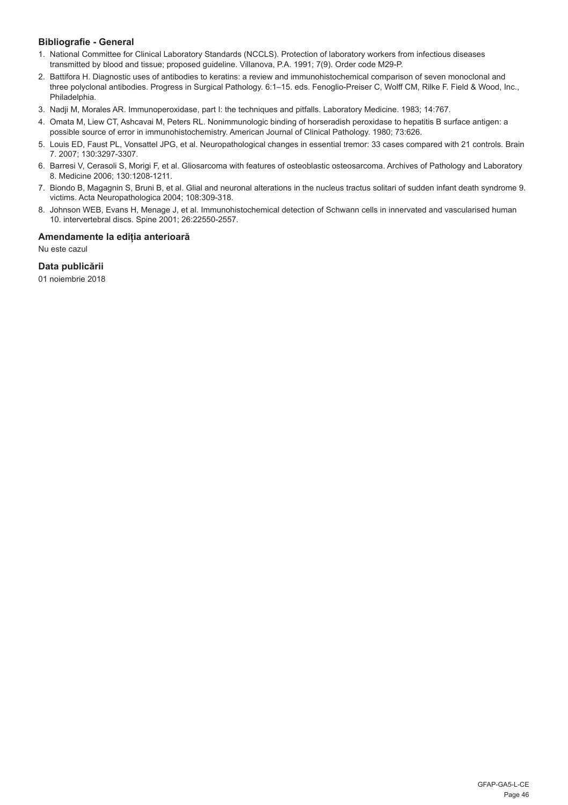# **Bibliografie - General**

- 1. National Committee for Clinical Laboratory Standards (NCCLS). Protection of laboratory workers from infectious diseases transmitted by blood and tissue; proposed guideline. Villanova, P.A. 1991; 7(9). Order code M29-P.
- 2. Battifora H. Diagnostic uses of antibodies to keratins: a review and immunohistochemical comparison of seven monoclonal and three polyclonal antibodies. Progress in Surgical Pathology. 6:1–15. eds. Fenoglio-Preiser C, Wolff CM, Rilke F. Field & Wood, Inc., Philadelphia.
- 3. Nadji M, Morales AR. Immunoperoxidase, part I: the techniques and pitfalls. Laboratory Medicine. 1983; 14:767.
- 4. Omata M, Liew CT, Ashcavai M, Peters RL. Nonimmunologic binding of horseradish peroxidase to hepatitis B surface antigen: a possible source of error in immunohistochemistry. American Journal of Clinical Pathology. 1980; 73:626.
- 5. Louis ED, Faust PL, Vonsattel JPG, et al. Neuropathological changes in essential tremor: 33 cases compared with 21 controls. Brain 7. 2007; 130:3297-3307.
- 6. Barresi V, Cerasoli S, Morigi F, et al. Gliosarcoma with features of osteoblastic osteosarcoma. Archives of Pathology and Laboratory 8. Medicine 2006; 130:1208-1211.
- 7. Biondo B, Magagnin S, Bruni B, et al. Glial and neuronal alterations in the nucleus tractus solitari of sudden infant death syndrome 9. victims. Acta Neuropathologica 2004; 108:309-318.
- 8. Johnson WEB, Evans H, Menage J, et al. Immunohistochemical detection of Schwann cells in innervated and vascularised human 10. intervertebral discs. Spine 2001; 26:22550-2557.

# **Amendamente la ediția anterioară**

Nu este cazul

# **Data publicării**

01 noiembrie 2018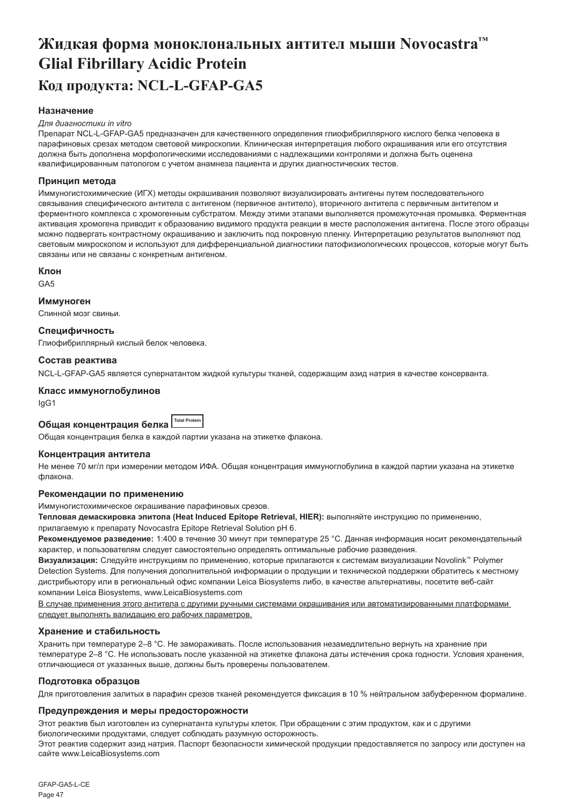# <span id="page-47-0"></span>**Жидкая форма моноклональных антител мыши Novocastra™ Glial Fibrillary Acidic Protein Код продукта: NCL-L-GFAP-GA5**

# **Назначение**

#### *Для диагностики in vitro*

Препарат NCL-L-GFAP-GA5 предназначен для качественного определения глиофибриллярного кислого белка человека в парафиновых срезах методом световой микроскопии. Клиническая интерпретация любого окрашивания или его отсутствия должна быть дополнена морфологическими исследованиями с надлежащими контролями и должна быть оценена квалифицированным патологом с учетом анамнеза пациента и других диагностических тестов.

#### **Принцип метода**

Иммуногистохимические (ИГХ) методы окрашивания позволяют визуализировать антигены путем последовательного связывания специфического антитела с антигеном (первичное антитело), вторичного антитела с первичным антителом и ферментного комплекса с хромогенным субстратом. Между этими этапами выполняется промежуточная промывка. Ферментная активация хромогена приводит к образованию видимого продукта реакции в месте расположения антигена. После этого образцы можно подвергать контрастному окрашиванию и заключить под покровную пленку. Интерпретацию результатов выполняют под световым микроскопом и используют для дифференциальной диагностики патофизиологических процессов, которые могут быть связаны или не связаны с конкретным антигеном.

# **Клон**

 $G\Delta$ 5

#### **Иммуноген**

Спинной мозг свиньи.

# **Специфичность**

Глиофибриллярный кислый белок человека.

#### **Состав реактива**

NCL-L-GFAP-GA5 является супернатантом жидкой культуры тканей, содержащим азид натрия в качестве консерванта.

# **Класс иммуноглобулинов**

IgG1

# **Общая концентрация белка Total Protein**

Общая концентрация белка в каждой партии указана на этикетке флакона.

#### **Концентрация антитела**

Не менее 70 мг/л при измерении методом ИФА. Общая концентрация иммуноглобулина в каждой партии указана на этикетке флакона.

#### **Рекомендации по применению**

Иммуногистохимическое окрашивание парафиновых срезов.

**Тепловая демаскировка эпитопа (Heat Induced Epitope Retrieval, HIER):** выполняйте инструкцию по применению,

прилагаемую к препарату Novocastra Epitope Retrieval Solution pH 6.

**Рекомендуемое разведение:** 1:400 в течение 30 минут при температуре 25 °C. Данная информация носит рекомендательный характер, и пользователям следует самостоятельно определять оптимальные рабочие разведения.

**Визуализация:** Следуйте инструкциям по применению, которые прилагаются к системам визуализации Novolink™ Polymer Detection Systems. Для получения дополнительной информации о продукции и технической поддержки обратитесь к местному дистрибьютору или в региональный офис компании Leica Biosystems либо, в качестве альтернативы, посетите веб-сайт компании Leica Biosystems, www.LeicaBiosystems.com

В случае применения этого антитела с другими ручными системами окрашивания или автоматизированными платформами следует выполнять валидацию его рабочих параметров.

# **Хранение и стабильность**

Хранить при температуре 2–8 °C. Не замораживать. После использования незамедлительно вернуть на хранение при температуре 2–8 °C. Не использовать после указанной на этикетке флакона даты истечения срока годности. Условия хранения, отличающиеся от указанных выше, должны быть проверены пользователем.

# **Подготовка образцов**

Для приготовления залитых в парафин срезов тканей рекомендуется фиксация в 10 % нейтральном забуференном формалине.

#### **Предупреждения и меры предосторожности**

Этот реактив был изготовлен из супернатанта культуры клеток. При обращении с этим продуктом, как и с другими биологическими продуктами, следует соблюдать разумную осторожность.

Этот реактив содержит азид натрия. Паспорт безопасности химической продукции предоставляется по запросу или доступен на сайте www.LeicaBiosystems.com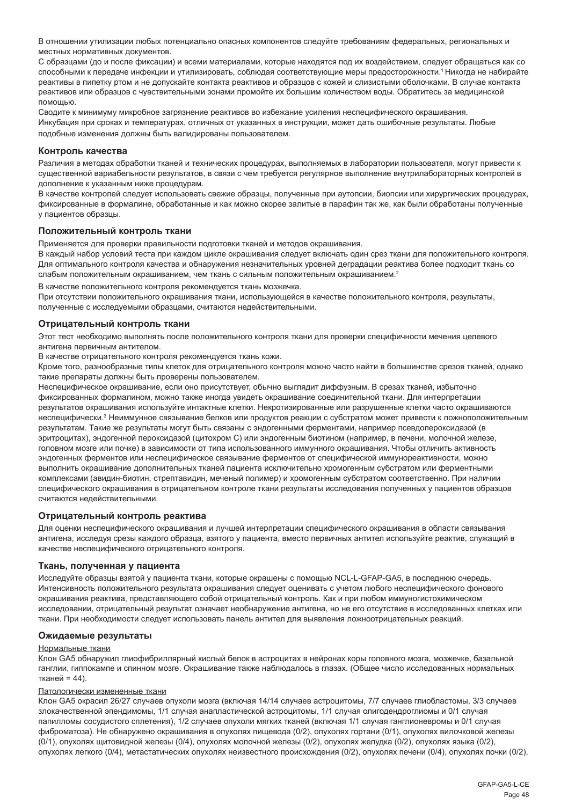В отношении утилизации любых потенциально опасных компонентов следуйте требованиям федеральных, региональных и местных нормативных документов.

С образцами (до и после фиксации) и всеми материалами, которые находятся под их воздействием, следует обращаться как со способными к передаче инфекции и утилизировать, соблюдая соответствующие меры предосторожности.<sup>1</sup>Никогда не набирайте реактивы в пипетку ртом и не допускайте контакта реактивов и образцов с кожей и слизистыми оболочками. В случае контакта реактивов или образцов с чувствительными зонами промойте их большим количеством воды. Обратитесь за медицинской помощью.

Сводите к минимуму микробное загрязнение реактивов во избежание усиления неспецифического окрашивания. Инкубация при сроках и температурах, отличных от указанных в инструкции, может дать ошибочные результаты. Любые подобные изменения должны быть валидированы пользователем.

#### **Контроль качества**

Различия в методах обработки тканей и технических процедурах, выполняемых в лаборатории пользователя, могут привести к существенной вариабельности результатов, в связи с чем требуется регулярное выполнение внутрилабораторных контролей в дополнение к указанным ниже процедурам.

В качестве контролей следует использовать свежие образцы, полученные при аутопсии, биопсии или хирургических процедурах, фиксированные в формалине, обработанные и как можно скорее залитые в парафин так же, как были обработаны полученные у пациентов образцы.

#### **Положительный контроль ткани**

Применяется для проверки правильности подготовки тканей и методов окрашивания.

В каждый набор условий теста при каждом цикле окрашивания следует включать один срез ткани для положительного контроля. Для оптимального контроля качества и обнаружения незначительных уровней деградации реактива более подходит ткань со слабым положительным окрашиванием, чем ткань с сильным положительным окрашиванием.<sup>2</sup>

В качестве положительного контроля рекомендуется ткань мозжечка.

При отсутствии положительного окрашивания ткани, использующейся в качестве положительного контроля, результаты, полученные с исследуемыми образцами, считаются недействительными.

#### **Отрицательный контроль ткани**

Этот тест необходимо выполнять после положительного контроля ткани для проверки специфичности мечения целевого антигена первичным антителом.

В качестве отрицательного контроля рекомендуется ткань кожи.

Кроме того, разнообразные типы клеток для отрицательного контроля можно часто найти в большинстве срезов тканей, однако такие препараты должны быть проверены пользователем.

Неспецифическое окрашивание, если оно присутствует, обычно выглядит диффузным. В срезах тканей, избыточно фиксированных формалином, можно также иногда увидеть окрашивание соединительной ткани. Для интерпретации результатов окрашивания используйте интактные клетки. Некротизированные или разрушенные клетки часто окрашиваются неспецифически.<sup>з</sup> Неиммунное связывание белков или продуктов реакции с субстратом может привести к ложноположительным результатам. Такие же результаты могут быть связаны с эндогенными ферментами, например псевдопероксидазой (в эритроцитах), эндогенной пероксидазой (цитохром C) или эндогенным биотином (например, в печени, молочной железе, головном мозге или почке) в зависимости от типа использованного иммунного окрашивания. Чтобы отличить активность эндогенных ферментов или неспецифическое связывание ферментов от специфической иммунореактивности, можно выполнить окрашивание дополнительных тканей пациента исключительно хромогенным субстратом или ферментными комплексами (авидин-биотин, стрептавидин, меченый полимер) и хромогенным субстратом соответственно. При наличии специфического окрашивания в отрицательном контроле ткани результаты исследования полученных у пациентов образцов считаются недействительными.

#### **Отрицательный контроль реактива**

Для оценки неспецифического окрашивания и лучшей интерпретации специфического окрашивания в области связывания антигена, исследуя срезы каждого образца, взятого у пациента, вместо первичных антител используйте реактив, служащий в качестве неспецифического отрицательного контроля.

#### **Ткань, полученная у пациента**

Исследуйте образцы взятой у пациента ткани, которые окрашены с помощью NCL-L-GFAP-GA5, в последнюю очередь. Интенсивность положительного результата окрашивания следует оценивать с учетом любого неспецифического фонового окрашивания реактива, представляющего собой отрицательный контроль. Как и при любом иммуногистохимическом исследовании, отрицательный результат означает необнаружение антигена, но не его отсутствие в исследованных клетках или ткани. При необходимости следует использовать панель антител для выявления ложноотрицательных реакций.

#### **Ожидаемые результаты**

#### Нормальные ткани

Клон GA5 обнаружил глиофибриллярный кислый белок в астроцитах в нейронах коры головного мозга, мозжечке, базальной ганглии, гиппокампе и спинном мозге. Окрашивание также наблюдалось в глазах. (Общее число исследованных нормальных тканей = 44).

# Патологически измененные ткани

Клон GA5 окрасил 26/27 случаев опухоли мозга (включая 14/14 случаев астроцитомы, 7/7 случаев глиобластомы, 3/3 случаев злокачественной эпендимомы, 1/1 случая анапластической астроцитомы, 1/1 случая олигодендроглиомы и 0/1 случая папилломы сосудистого сплетения), 1/2 случаев опухоли мягких тканей (включая 1/1 случая ганглионевромы и 0/1 случая фиброматоза). Не обнаружено окрашивания в опухолях пищевода (0/2), опухолях гортани (0/1), опухолях вилочковой железы (0/1), опухолях щитовидной железы (0/4), опухолях молочной железы (0/2), опухолях желудка (0/2), опухолях языка (0/2), опухолях легкого (0/4), метастатических опухолях неизвестного происхождения (0/2), опухолях печени (0/4), опухолях почки (0/2),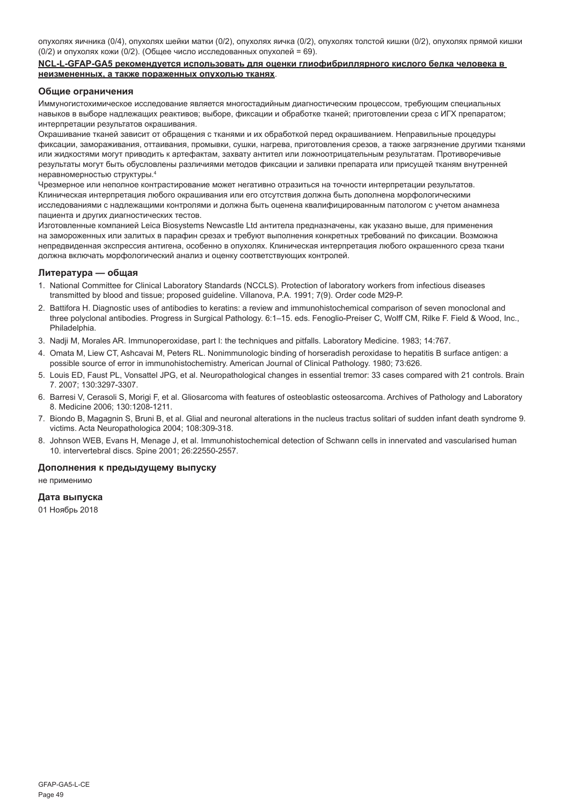опухолях яичника (0/4), опухолях шейки матки (0/2), опухолях яичка (0/2), опухолях толстой кишки (0/2), опухолях прямой кишки (0/2) и опухолях кожи (0/2). (Общее число исследованных опухолей = 69).

#### **NCL-L-GFAP-GA5 рекомендуется использовать для оценки глиофибриллярного кислого белка человека в неизмененных, а также пораженных опухолью тканях**.

#### **Общие ограничения**

Иммуногистохимическое исследование является многостадийным диагностическим процессом, требующим специальных навыков в выборе надлежащих реактивов; выборе, фиксации и обработке тканей; приготовлении среза с ИГХ препаратом; интерпретации результатов окрашивания.

Окрашивание тканей зависит от обращения с тканями и их обработкой перед окрашиванием. Неправильные процедуры фиксации, замораживания, оттаивания, промывки, сушки, нагрева, приготовления срезов, а также загрязнение другими тканями или жидкостями могут приводить к артефактам, захвату антител или ложноотрицательным результатам. Противоречивые результаты могут быть обусловлены различиями методов фиксации и заливки препарата или присущей тканям внутренней неравномерностью структуры.<sup>4</sup>

Чрезмерное или неполное контрастирование может негативно отразиться на точности интерпретации результатов. Клиническая интерпретация любого окрашивания или его отсутствия должна быть дополнена морфологическими исследованиями с надлежащими контролями и должна быть оценена квалифицированным патологом с учетом анамнеза пациента и других диагностических тестов.

Изготовленные компанией Leica Biosystems Newcastle Ltd антитела предназначены, как указано выше, для применения на замороженных или залитых в парафин срезах и требуют выполнения конкретных требований по фиксации. Возможна непредвиденная экспрессия антигена, особенно в опухолях. Клиническая интерпретация любого окрашенного среза ткани должна включать морфологический анализ и оценку соответствующих контролей.

#### **Литература — общая**

- 1. National Committee for Clinical Laboratory Standards (NCCLS). Protection of laboratory workers from infectious diseases transmitted by blood and tissue; proposed guideline. Villanova, P.A. 1991; 7(9). Order code M29-P.
- 2. Battifora H. Diagnostic uses of antibodies to keratins: a review and immunohistochemical comparison of seven monoclonal and three polyclonal antibodies. Progress in Surgical Pathology. 6:1–15. eds. Fenoglio-Preiser C, Wolff CM, Rilke F. Field & Wood, Inc., Philadelphia.
- 3. Nadji M, Morales AR. Immunoperoxidase, part I: the techniques and pitfalls. Laboratory Medicine. 1983; 14:767.
- 4. Omata M, Liew CT, Ashcavai M, Peters RL. Nonimmunologic binding of horseradish peroxidase to hepatitis B surface antigen: a possible source of error in immunohistochemistry. American Journal of Clinical Pathology. 1980; 73:626.
- 5. Louis ED, Faust PL, Vonsattel JPG, et al. Neuropathological changes in essential tremor: 33 cases compared with 21 controls. Brain 7. 2007; 130:3297-3307.
- 6. Barresi V, Cerasoli S, Morigi F, et al. Gliosarcoma with features of osteoblastic osteosarcoma. Archives of Pathology and Laboratory 8. Medicine 2006; 130:1208-1211.
- 7. Biondo B, Magagnin S, Bruni B, et al. Glial and neuronal alterations in the nucleus tractus solitari of sudden infant death syndrome 9. victims. Acta Neuropathologica 2004; 108:309-318.
- 8. Johnson WEB, Evans H, Menage J, et al. Immunohistochemical detection of Schwann cells in innervated and vascularised human 10. intervertebral discs. Spine 2001; 26:22550-2557.

### **Дополнения к предыдущему выпуску**

не применимо

# **Дата выпуска**

01 Ноябрь 2018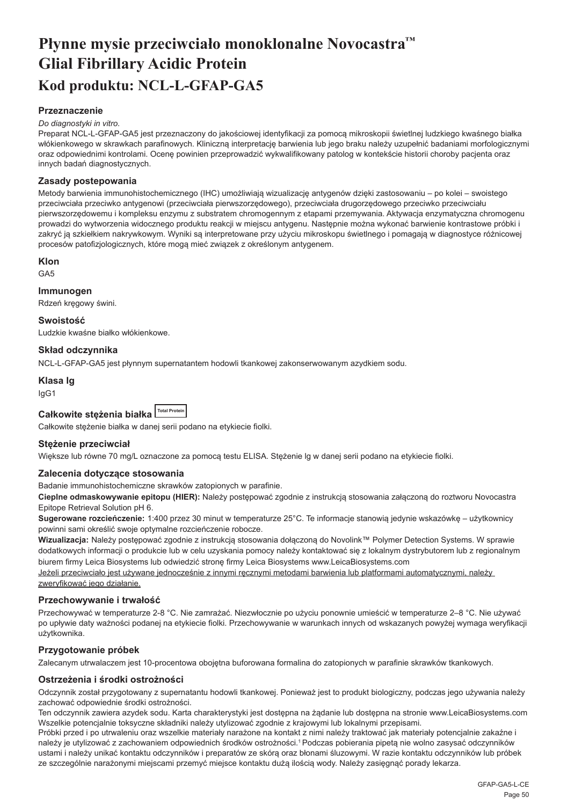# <span id="page-50-0"></span>**Płynne mysie przeciwciało monoklonalne Novocastra™ Glial Fibrillary Acidic Protein Kod produktu: NCL-L-GFAP-GA5**

# **Przeznaczenie**

#### *Do diagnostyki in vitro.*

Preparat NCL-L-GFAP-GA5 jest przeznaczony do jakościowej identyfikacji za pomocą mikroskopii świetlnej ludzkiego kwaśnego białka włókienkowego w skrawkach parafinowych. Kliniczną interpretację barwienia lub jego braku należy uzupełnić badaniami morfologicznymi oraz odpowiednimi kontrolami. Ocenę powinien przeprowadzić wykwalifikowany patolog w kontekście historii choroby pacjenta oraz innych badań diagnostycznych.

#### **Zasady postepowania**

Metody barwienia immunohistochemicznego (IHC) umożliwiają wizualizację antygenów dzięki zastosowaniu – po kolei – swoistego przeciwciała przeciwko antygenowi (przeciwciała pierwszorzędowego), przeciwciała drugorzędowego przeciwko przeciwciału pierwszorzędowemu i kompleksu enzymu z substratem chromogennym z etapami przemywania. Aktywacja enzymatyczna chromogenu prowadzi do wytworzenia widocznego produktu reakcji w miejscu antygenu. Następnie można wykonać barwienie kontrastowe próbki i zakryć ją szkiełkiem nakrywkowym. Wyniki są interpretowane przy użyciu mikroskopu świetlnego i pomagają w diagnostyce różnicowej procesów patofizjologicznych, które mogą mieć związek z określonym antygenem.

#### **Klon**

GA5

## **Immunogen**

Rdzeń kręgowy świni.

# **Swoistość**

Ludzkie kwaśne białko włókienkowe.

# **Skład odczynnika**

NCL-L-GFAP-GA5 jest płynnym supernatantem hodowli tkankowej zakonserwowanym azydkiem sodu.

#### **Klasa Ig**

IgG1

| Całkowite stężenia białka <b>Motein</b> |  |  |
|-----------------------------------------|--|--|
|                                         |  |  |

Całkowite stężenie białka w danej serii podano na etykiecie fiolki.

# **Stężenie przeciwciał**

Większe lub równe 70 mg/L oznaczone za pomocą testu ELISA. Stężenie lg w danej serii podano na etykiecie fiolki.

#### **Zalecenia dotyczące stosowania**

Badanie immunohistochemiczne skrawków zatopionych w parafinie.

**Cieplne odmaskowywanie epitopu (HIER):** Należy postępować zgodnie z instrukcją stosowania załączoną do roztworu Novocastra Epitope Retrieval Solution pH 6.

**Sugerowane rozcieńczenie:** 1:400 przez 30 minut w temperaturze 25°C. Te informacje stanowią jedynie wskazówkę – użytkownicy powinni sami określić swoje optymalne rozcieńczenie robocze.

**Wizualizacja:** Należy postępować zgodnie z instrukcją stosowania dołączoną do Novolink™ Polymer Detection Systems. W sprawie dodatkowych informacji o produkcie lub w celu uzyskania pomocy należy kontaktować się z lokalnym dystrybutorem lub z regionalnym biurem firmy Leica Biosystems lub odwiedzić stronę firmy Leica Biosystems www.LeicaBiosystems.com

Jeżeli przeciwciało jest używane jednocześnie z innymi ręcznymi metodami barwienia lub platformami automatycznymi, należy zweryfikować jego działanie.

#### **Przechowywanie i trwałość**

Przechowywać w temperaturze 2-8 °C. Nie zamrażać. Niezwłocznie po użyciu ponownie umieścić w temperaturze 2–8 °C. Nie używać po upływie daty ważności podanej na etykiecie fiolki. Przechowywanie w warunkach innych od wskazanych powyżej wymaga weryfikacji użytkownika.

# **Przygotowanie próbek**

Zalecanym utrwalaczem jest 10-procentowa obojętna buforowana formalina do zatopionych w parafinie skrawków tkankowych.

# **Ostrzeżenia i środki ostrożności**

Odczynnik został przygotowany z supernatantu hodowli tkankowej. Ponieważ jest to produkt biologiczny, podczas jego używania należy zachować odpowiednie środki ostrożności.

Ten odczynnik zawiera azydek sodu. Karta charakterystyki jest dostępna na żądanie lub dostępna na stronie www.LeicaBiosystems.com Wszelkie potencjalnie toksyczne składniki należy utylizować zgodnie z krajowymi lub lokalnymi przepisami.

Próbki przed i po utrwaleniu oraz wszelkie materiały narażone na kontakt z nimi należy traktować jak materiały potencjalnie zakaźne i należy je utylizować z zachowaniem odpowiednich środków ostrożności.<sup>1</sup> Podczas pobierania pipetą nie wolno zasysać odczynników ustami i należy unikać kontaktu odczynników i preparatów ze skórą oraz błonami śluzowymi. W razie kontaktu odczynników lub próbek ze szczególnie narażonymi miejscami przemyć miejsce kontaktu dużą ilością wody. Należy zasięgnąć porady lekarza.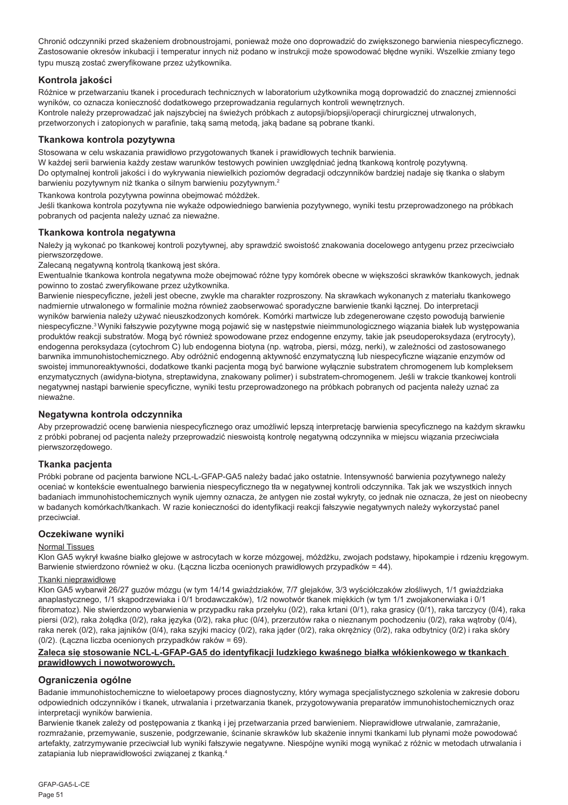Chronić odczynniki przed skażeniem drobnoustrojami, ponieważ może ono doprowadzić do zwiększonego barwienia niespecyficznego. Zastosowanie okresów inkubacji i temperatur innych niż podano w instrukcji może spowodować błędne wyniki. Wszelkie zmiany tego typu muszą zostać zweryfikowane przez użytkownika.

# **Kontrola jakości**

Różnice w przetwarzaniu tkanek i procedurach technicznych w laboratorium użytkownika mogą doprowadzić do znacznej zmienności wyników, co oznacza konieczność dodatkowego przeprowadzania regularnych kontroli wewnętrznych. Kontrole należy przeprowadzać jak najszybciej na świeżych próbkach z autopsji/biopsji/operacji chirurgicznej utrwalonych, przetworzonych i zatopionych w parafinie, taką samą metodą, jaką badane są pobrane tkanki.

# **Tkankowa kontrola pozytywna**

Stosowana w celu wskazania prawidłowo przygotowanych tkanek i prawidłowych technik barwienia.

W każdej serii barwienia każdy zestaw warunków testowych powinien uwzględniać jedną tkankową kontrolę pozytywną. Do optymalnej kontroli jakości i do wykrywania niewielkich poziomów degradacji odczynników bardziej nadaje się tkanka o słabym barwieniu pozytywnym niż tkanka o silnym barwieniu pozytywnym.<sup>2</sup>

Tkankowa kontrola pozytywna powinna obejmować móżdżek.

Jeśli tkankowa kontrola pozytywna nie wykaże odpowiedniego barwienia pozytywnego, wyniki testu przeprowadzonego na próbkach pobranych od pacjenta należy uznać za nieważne.

# **Tkankowa kontrola negatywna**

Należy ją wykonać po tkankowej kontroli pozytywnej, aby sprawdzić swoistość znakowania docelowego antygenu przez przeciwciało pierwszorzędowe.

Zalecaną negatywną kontrolą tkankową jest skóra.

Ewentualnie tkankowa kontrola negatywna może obejmować różne typy komórek obecne w większości skrawków tkankowych, jednak powinno to zostać zweryfikowane przez użytkownika.

Barwienie niespecyficzne, jeżeli jest obecne, zwykle ma charakter rozproszony. Na skrawkach wykonanych z materiału tkankowego nadmiernie utrwalonego w formalinie można również zaobserwować sporadyczne barwienie tkanki łącznej. Do interpretacji wyników barwienia należy używać nieuszkodzonych komórek. Komórki martwicze lub zdegenerowane często powodują barwienie niespecyficzne.<sup>3</sup>Wyniki fałszywie pozytywne mogą pojawić się w następstwie nieimmunologicznego wiązania białek lub występowania produktów reakcji substratów. Mogą być również spowodowane przez endogenne enzymy, takie jak pseudoperoksydaza (erytrocyty), endogenna peroksydaza (cytochrom C) lub endogenna biotyna (np. wątroba, piersi, mózg, nerki), w zależności od zastosowanego barwnika immunohistochemicznego. Aby odróżnić endogenną aktywność enzymatyczną lub niespecyficzne wiązanie enzymów od swoistej immunoreaktywności, dodatkowe tkanki pacjenta mogą być barwione wyłącznie substratem chromogenem lub kompleksem enzymatycznych (awidyna-biotyna, streptawidyna, znakowany polimer) i substratem-chromogenem. Jeśli w trakcie tkankowej kontroli negatywnej nastąpi barwienie specyficzne, wyniki testu przeprowadzonego na próbkach pobranych od pacjenta należy uznać za nieważne.

# **Negatywna kontrola odczynnika**

Aby przeprowadzić ocenę barwienia niespecyficznego oraz umożliwić lepszą interpretację barwienia specyficznego na każdym skrawku z próbki pobranej od pacjenta należy przeprowadzić nieswoistą kontrolę negatywną odczynnika w miejscu wiązania przeciwciała pierwszorzędowego.

# **Tkanka pacjenta**

Próbki pobrane od pacjenta barwione NCL-L-GFAP-GA5 należy badać jako ostatnie. Intensywność barwienia pozytywnego należy oceniać w kontekście ewentualnego barwienia niespecyficznego tła w negatywnej kontroli odczynnika. Tak jak we wszystkich innych badaniach immunohistochemicznych wynik ujemny oznacza, że antygen nie został wykryty, co jednak nie oznacza, że jest on nieobecny w badanych komórkach/tkankach. W razie konieczności do identyfikacji reakcji fałszywie negatywnych należy wykorzystać panel przeciwciał.

# **Oczekiwane wyniki**

# Normal Tissues

Klon GA5 wykrył kwaśne białko glejowe w astrocytach w korze mózgowej, móżdżku, zwojach podstawy, hipokampie i rdzeniu kręgowym. Barwienie stwierdzono również w oku. (Łączna liczba ocenionych prawidłowych przypadków = 44).

# Tkanki nieprawidłowe

Klon GA5 wybarwił 26/27 guzów mózgu (w tym 14/14 gwiaździaków, 7/7 glejaków, 3/3 wyściółczaków złośliwych, 1/1 gwiaździaka anaplastycznego, 1/1 skąpodrzewiaka i 0/1 brodawczaków), 1/2 nowotwór tkanek miękkich (w tym 1/1 zwojakonerwiaka i 0/1 fibromatoz). Nie stwierdzono wybarwienia w przypadku raka przełyku (0/2), raka krtani (0/1), raka grasicy (0/1), raka tarczycy (0/4), raka piersi (0/2), raka żołądka (0/2), raka języka (0/2), raka płuc (0/4), przerzutów raka o nieznanym pochodzeniu (0/2), raka wątroby (0/4), raka nerek (0/2), raka jajników (0/4), raka szyjki macicy (0/2), raka jąder (0/2), raka okrężnicy (0/2), raka odbytnicy (0/2) i raka skóry (0/2). (Łączna liczba ocenionych przypadków raków = 69).

## **Zaleca się stosowanie NCL-L-GFAP-GA5 do identyfikacji ludzkiego kwaśnego białka włókienkowego w tkankach prawidłowych i nowotworowych.**

# **Ograniczenia ogólne**

Badanie immunohistochemiczne to wieloetapowy proces diagnostyczny, który wymaga specjalistycznego szkolenia w zakresie doboru odpowiednich odczynników i tkanek, utrwalania i przetwarzania tkanek, przygotowywania preparatów immunohistochemicznych oraz interpretacji wyników barwienia.

Barwienie tkanek zależy od postępowania z tkanką i jej przetwarzania przed barwieniem. Nieprawidłowe utrwalanie, zamrażanie, rozmrażanie, przemywanie, suszenie, podgrzewanie, ścinanie skrawków lub skażenie innymi tkankami lub płynami może powodować artefakty, zatrzymywanie przeciwciał lub wyniki fałszywie negatywne. Niespójne wyniki mogą wynikać z różnic w metodach utrwalania i zatapiania lub nieprawidłowości związanej z tkanką.4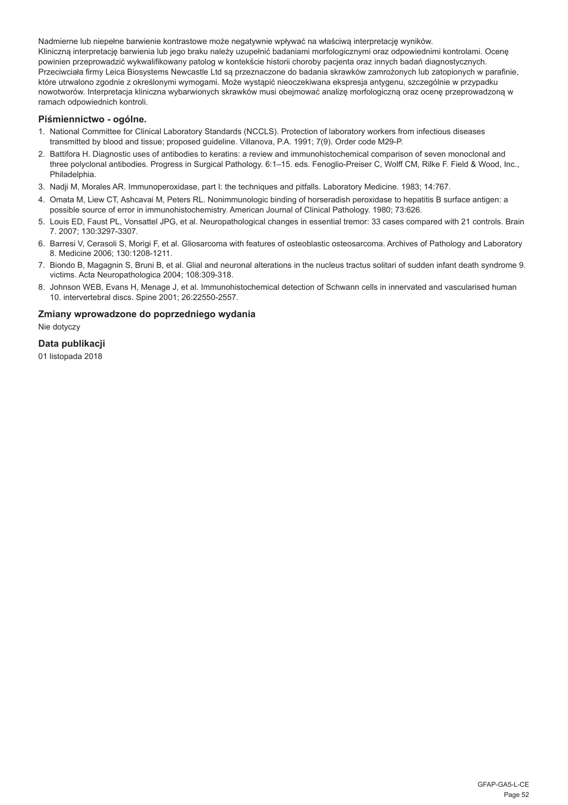Nadmierne lub niepełne barwienie kontrastowe może negatywnie wpływać na właściwą interpretację wyników. Kliniczną interpretację barwienia lub jego braku należy uzupełnić badaniami morfologicznymi oraz odpowiednimi kontrolami. Ocenę powinien przeprowadzić wykwalifikowany patolog w kontekście historii choroby pacjenta oraz innych badań diagnostycznych. Przeciwciała firmy Leica Biosystems Newcastle Ltd są przeznaczone do badania skrawków zamrożonych lub zatopionych w parafinie, które utrwalono zgodnie z określonymi wymogami. Może wystąpić nieoczekiwana ekspresja antygenu, szczególnie w przypadku nowotworów. Interpretacja kliniczna wybarwionych skrawków musi obejmować analizę morfologiczną oraz ocenę przeprowadzoną w ramach odpowiednich kontroli.

# **Piśmiennictwo - ogólne.**

- 1. National Committee for Clinical Laboratory Standards (NCCLS). Protection of laboratory workers from infectious diseases transmitted by blood and tissue; proposed guideline. Villanova, P.A. 1991; 7(9). Order code M29-P.
- 2. Battifora H. Diagnostic uses of antibodies to keratins: a review and immunohistochemical comparison of seven monoclonal and three polyclonal antibodies. Progress in Surgical Pathology. 6:1–15. eds. Fenoglio-Preiser C, Wolff CM, Rilke F. Field & Wood, Inc., Philadelphia.
- 3. Nadji M, Morales AR. Immunoperoxidase, part I: the techniques and pitfalls. Laboratory Medicine. 1983; 14:767.
- 4. Omata M, Liew CT, Ashcavai M, Peters RL. Nonimmunologic binding of horseradish peroxidase to hepatitis B surface antigen: a possible source of error in immunohistochemistry. American Journal of Clinical Pathology. 1980; 73:626.
- 5. Louis ED, Faust PL, Vonsattel JPG, et al. Neuropathological changes in essential tremor: 33 cases compared with 21 controls. Brain 7. 2007; 130:3297-3307.
- 6. Barresi V, Cerasoli S, Morigi F, et al. Gliosarcoma with features of osteoblastic osteosarcoma. Archives of Pathology and Laboratory 8. Medicine 2006; 130:1208-1211.
- 7. Biondo B, Magagnin S, Bruni B, et al. Glial and neuronal alterations in the nucleus tractus solitari of sudden infant death syndrome 9. victims. Acta Neuropathologica 2004; 108:309-318.
- 8. Johnson WEB, Evans H, Menage J, et al. Immunohistochemical detection of Schwann cells in innervated and vascularised human 10. intervertebral discs. Spine 2001; 26:22550-2557.

# **Zmiany wprowadzone do poprzedniego wydania**

Nie dotyczy

# **Data publikacji**

01 listopada 2018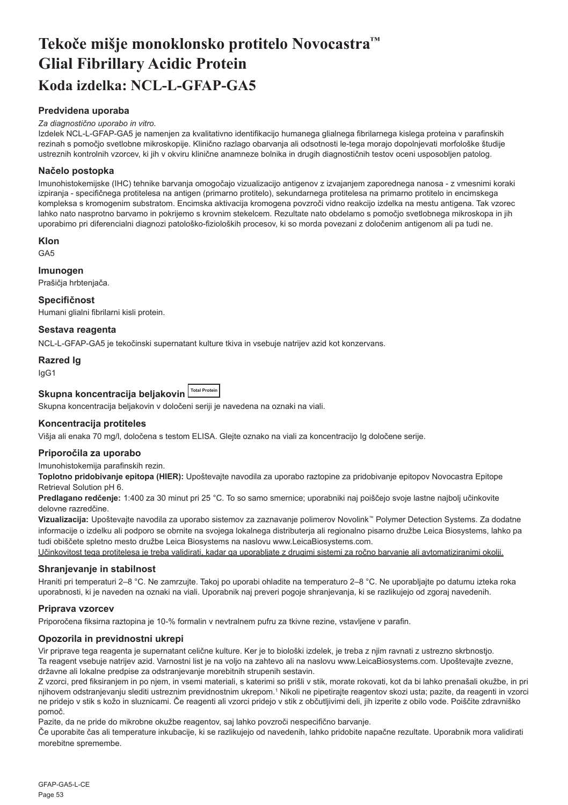# <span id="page-53-0"></span>**Tekoče mišje monoklonsko protitelo Novocastra™ Glial Fibrillary Acidic Protein Koda izdelka: NCL-L-GFAP-GA5**

# **Predvidena uporaba**

#### *Za diagnostično uporabo in vitro.*

Izdelek NCL-L-GFAP-GA5 je namenjen za kvalitativno identifikacijo humanega glialnega fibrilarnega kislega proteina v parafinskih rezinah s pomočjo svetlobne mikroskopije. Klinično razlago obarvanja ali odsotnosti le-tega morajo dopolnjevati morfološke študije ustreznih kontrolnih vzorcev, ki jih v okviru klinične anamneze bolnika in drugih diagnostičnih testov oceni usposobljen patolog.

# **Načelo postopka**

Imunohistokemijske (IHC) tehnike barvanja omogočajo vizualizacijo antigenov z izvajanjem zaporednega nanosa - z vmesnimi koraki izpiranja - specifičnega protitelesa na antigen (primarno protitelo), sekundarnega protitelesa na primarno protitelo in encimskega kompleksa s kromogenim substratom. Encimska aktivacija kromogena povzroči vidno reakcijo izdelka na mestu antigena. Tak vzorec lahko nato nasprotno barvamo in pokrijemo s krovnim stekelcem. Rezultate nato obdelamo s pomočjo svetlobnega mikroskopa in jih uporabimo pri diferencialni diagnozi patološko-fizioloških procesov, ki so morda povezani z določenim antigenom ali pa tudi ne.

# **Klon**

G<sub>A5</sub>

# **Imunogen**

Prašičja hrbtenjača.

# **Specifičnost**

Humani glialni fibrilarni kisli protein.

#### **Sestava reagenta**

NCL-L-GFAP-GA5 je tekočinski supernatant kulture tkiva in vsebuje natrijev azid kot konzervans.

# **Razred Ig**

IgG1

# **Skupna koncentracija beljakovin Total Protein**

Skupna koncentracija beljakovin v določeni seriji je navedena na oznaki na viali.

# **Koncentracija protiteles**

Višja ali enaka 70 mg/l, določena s testom ELISA. Glejte oznako na viali za koncentracijo Ig določene serije.

#### **Priporočila za uporabo**

Imunohistokemija parafinskih rezin.

**Toplotno pridobivanje epitopa (HIER):** Upoštevajte navodila za uporabo raztopine za pridobivanje epitopov Novocastra Epitope Retrieval Solution pH 6.

**Predlagano redčenje:** 1:400 za 30 minut pri 25 °C. To so samo smernice; uporabniki naj poiščejo svoje lastne najbolj učinkovite delovne razredčine.

**Vizualizacija:** Upoštevajte navodila za uporabo sistemov za zaznavanje polimerov Novolink™ Polymer Detection Systems. Za dodatne informacije o izdelku ali podporo se obrnite na svojega lokalnega distributerja ali regionalno pisarno družbe Leica Biosystems, lahko pa tudi obiščete spletno mesto družbe Leica Biosystems na naslovu www.LeicaBiosystems.com.

Učinkovitost tega protitelesa je treba validirati, kadar ga uporabljate z drugimi sistemi za ročno barvanje ali avtomatiziranimi okolji.

# **Shranjevanje in stabilnost**

Hraniti pri temperaturi 2–8 °C. Ne zamrzujte. Takoj po uporabi ohladite na temperaturo 2–8 °C. Ne uporabljajte po datumu izteka roka uporabnosti, ki je naveden na oznaki na viali. Uporabnik naj preveri pogoje shranjevanja, ki se razlikujejo od zgoraj navedenih.

# **Priprava vzorcev**

Priporočena fiksirna raztopina je 10-% formalin v nevtralnem pufru za tkivne rezine, vstavljene v parafin.

# **Opozorila in previdnostni ukrepi**

Vir priprave tega reagenta je supernatant celične kulture. Ker je to biološki izdelek, je treba z njim ravnati z ustrezno skrbnostjo. Ta reagent vsebuje natrijev azid. Varnostni list je na voljo na zahtevo ali na naslovu www.LeicaBiosystems.com. Upoštevajte zvezne, državne ali lokalne predpise za odstranjevanje morebitnih strupenih sestavin.

Z vzorci, pred fiksiranjem in po njem, in vsemi materiali, s katerimi so prišli v stik, morate rokovati, kot da bi lahko prenašali okužbe, in pri njihovem odstranjevanju slediti ustreznim previdnostnim ukrepom.1 Nikoli ne pipetirajte reagentov skozi usta; pazite, da reagenti in vzorci ne pridejo v stik s kožo in sluznicami. Če reagenti ali vzorci pridejo v stik z občutljivimi deli, jih izperite z obilo vode. Poiščite zdravniško pomoč.

Pazite, da ne pride do mikrobne okužbe reagentov, saj lahko povzroči nespecifično barvanje.

Če uporabite čas ali temperature inkubacije, ki se razlikujejo od navedenih, lahko pridobite napačne rezultate. Uporabnik mora validirati morebitne spremembe.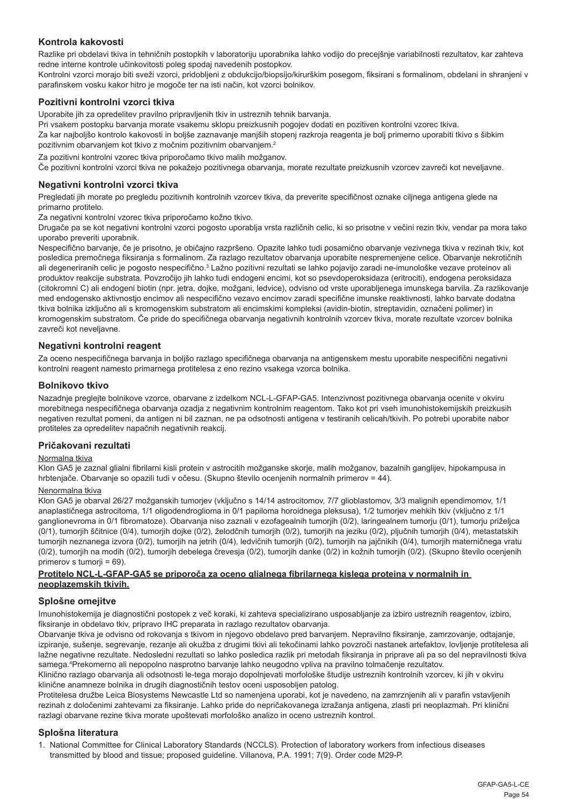# **Kontrola kakovosti**

Razlike pri obdelavi tkiva in tehničnih postopkih v laboratoriju uporabnika lahko vodijo do precejšnje variabilnosti rezultatov, kar zahteva redne interne kontrole učinkovitosti poleg spodaj navedenih postopkov.

Kontrolni vzorci morajo biti sveži vzorci, pridobljeni z obdukcijo/biopsijo/kirurškim posegom, fiksirani s formalinom, obdelani in shranjeni v parafinskem vosku kakor hitro je mogoče ter na isti način, kot vzorci bolnikov.

## **Pozitivni kontrolni vzorci tkiva**

Uporabite jih za opredelitev pravilno pripravljenih tkiv in ustreznih tehnik barvanja.

Pri vsakem postopku barvanja morate vsakemu sklopu preizkusnih pogojev dodati en pozitiven kontrolni vzorec tkiva.

Za kar najboljšo kontrolo kakovosti in boljše zaznavanje manjših stopenj razkroja reagenta je bolj primerno uporabiti tkivo s šibkim pozitivnim obarvanjem kot tkivo z močnim pozitivnim obarvanjem.<sup>2</sup>

Za pozitivni kontrolni vzorec tkiva priporočamo tkivo malih možganov.

Če pozitivni kontrolni vzorci tkiva ne pokažejo pozitivnega obarvanja, morate rezultate preizkusnih vzorcev zavreči kot neveljavne.

#### **Negativni kontrolni vzorci tkiva**

Pregledati jih morate po pregledu pozitivnih kontrolnih vzorcev tkiva, da preverite specifičnost oznake ciljnega antigena glede na primarno protitelo.

Za negativni kontrolni vzorec tkiva priporočamo kožno tkivo.

Drugače pa se kot negativni kontrolni vzorci pogosto uporablja vrsta različnih celic, ki so prisotne v večini rezin tkiv, vendar pa mora tako uporabo preveriti uporabnik.

Nespecifično barvanje, če je prisotno, je običajno razpršeno. Opazite lahko tudi posamično obarvanje vezivnega tkiva v rezinah tkiv, kot posledica premočnega fiksiranja s formalinom. Za razlago rezultatov obarvanja uporabite nespremenjene celice. Obarvanje nekrotičnih ali degeneriranih celic je pogosto nespecifično.<sup>3</sup> Lažno pozitivni rezultati se lahko pojavijo zaradi ne-imunološke vezave proteinov ali produktov reakcije substrata. Povzročijo jih lahko tudi endogeni encimi, kot so psevdoperoksidaza (eritrociti), endogena peroksidaza (citokromni C) ali endogeni biotin (npr. jetra, dojke, možgani, ledvice), odvisno od vrste uporabljenega imunskega barvila. Za razlikovanje med endogensko aktivnostjo encimov ali nespecifično vezavo encimov zaradi specifične imunske reaktivnosti, lahko barvate dodatna tkiva bolnika izključno ali s kromogenskim substratom ali encimskimi kompleksi (avidin-biotin, streptavidin, označeni polimer) in kromogenskim substratom. Če pride do specifičnega obarvanja negativnih kontrolnih vzorcev tkiva, morate rezultate vzorcev bolnika zavreči kot neveljavne.

#### **Negativni kontrolni reagent**

Za oceno nespecifičnega barvanja in boljšo razlago specifičnega obarvanja na antigenskem mestu uporabite nespecifični negativni kontrolni reagent namesto primarnega protitelesa z eno rezino vsakega vzorca bolnika.

#### **Bolnikovo tkivo**

Nazadnje preglejte bolnikove vzorce, obarvane z izdelkom NCL-L-GFAP-GA5. Intenzivnost pozitivnega obarvanja ocenite v okviru morebitnega nespecifičnega obarvanja ozadja z negativnim kontrolnim reagentom. Tako kot pri vseh imunohistokemijskih preizkusih negativen rezultat pomeni, da antigen ni bil zaznan, ne pa odsotnosti antigena v testiranih celicah/tkivih. Po potrebi uporabite nabor protiteles za opredelitev napačnih negativnih reakcij.

#### **Pričakovani rezultati**

#### Normalna tkiva

Klon GA5 je zaznal glialni fibrilarni kisli protein v astrocitih možganske skorje, malih možganov, bazalnih ganglijev, hipokampusa in hrbtenjače. Obarvanje so opazili tudi v očesu. (Skupno število ocenjenih normalnih primerov = 44).

#### Nenormalna tkiva

Klon GA5 je obarval 26/27 možganskih tumorjev (vključno s 14/14 astrocitomov, 7/7 glioblastomov, 3/3 malignih ependimomov, 1/1 anaplastičnega astrocitoma, 1/1 oligodendroglioma in 0/1 papiloma horoidnega pleksusa), 1/2 tumorjev mehkih tkiv (vključno z 1/1 ganglionevroma in 0/1 fibromatoze). Obarvanja niso zaznali v ezofagealnih tumorjih (0/2), laringealnem tumorju (0/1), tumorju priželjca (0/1), tumorjih ščitnice (0/4), tumorjih dojke (0/2), želodčnih tumorjih (0/2), tumorjih na jeziku (0/2), pljučnih tumorjih (0/4), metastatskih tumorjih neznanega izvora (0/2), tumorjih na jetrih (0/4), ledvičnih tumorjih (0/2), tumorjih na jajčnikih (0/4), tumorjih materničnega vratu (0/2), tumorjih na modih (0/2), tumorjih debelega črevesja (0/2), tumorjih danke (0/2) in kožnih tumorjih (0/2). (Skupno število ocenjenih primerov s tumorji = 69).

### **Protitelo NCL-L-GFAP-GA5 se priporoča za oceno glialnega fibrilarnega kislega proteina v normalnih in neoplazemskih tkivih.**

#### **Splošne omejitve**

Imunohistokemija je diagnostični postopek z več koraki, ki zahteva specializirano usposabljanje za izbiro ustreznih reagentov, izbiro, fiksiranje in obdelavo tkiv, pripravo IHC preparata in razlago rezultatov obarvanja.

Obarvanje tkiva je odvisno od rokovanja s tkivom in njegovo obdelavo pred barvanjem. Nepravilno fiksiranje, zamrzovanje, odtajanje, izpiranje, sušenje, segrevanje, rezanje ali okužba z drugimi tkivi ali tekočinami lahko povzroči nastanek artefaktov, lovljenje protitelesa ali lažne negativne rezultate. Nedosledni rezultati so lahko posledica razlik pri metodah fiksiranja in priprave ali pa so del nepravilnosti tkiva samega.<sup>4</sup> Prekomerno ali nepopolno nasprotno barvanje lahko neugodno vpliva na pravilno tolmačenje rezultatov.

Klinično razlago obarvanja ali odsotnosti le-tega morajo dopolnjevati morfološke študije ustreznih kontrolnih vzorcev, ki jih v okviru klinične anamneze bolnika in drugih diagnostičnih testov oceni usposobljen patolog.

Protitelesa družbe Leica Biosystems Newcastle Ltd so namenjena uporabi, kot je navedeno, na zamrznjenih ali v parafin vstavljenih rezinah z določenimi zahtevami za fiksiranje. Lahko pride do nepričakovanega izražanja antigena, zlasti pri neoplazmah. Pri klinični razlagi obarvane rezine tkiva morate upoštevati morfološko analizo in oceno ustreznih kontrol.

# **Splošna literatura**

1. National Committee for Clinical Laboratory Standards (NCCLS). Protection of laboratory workers from infectious diseases transmitted by blood and tissue; proposed guideline. Villanova, P.A. 1991; 7(9). Order code M29-P.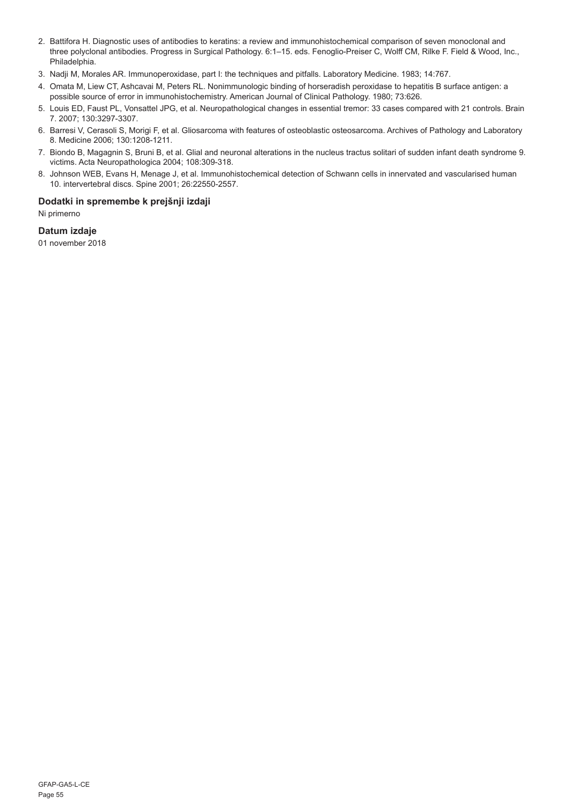- 2. Battifora H. Diagnostic uses of antibodies to keratins: a review and immunohistochemical comparison of seven monoclonal and three polyclonal antibodies. Progress in Surgical Pathology. 6:1–15. eds. Fenoglio-Preiser C, Wolff CM, Rilke F. Field & Wood, Inc., Philadelphia.
- 3. Nadji M, Morales AR. Immunoperoxidase, part I: the techniques and pitfalls. Laboratory Medicine. 1983; 14:767.
- 4. Omata M, Liew CT, Ashcavai M, Peters RL. Nonimmunologic binding of horseradish peroxidase to hepatitis B surface antigen: a possible source of error in immunohistochemistry. American Journal of Clinical Pathology. 1980; 73:626.
- 5. Louis ED, Faust PL, Vonsattel JPG, et al. Neuropathological changes in essential tremor: 33 cases compared with 21 controls. Brain 7. 2007; 130:3297-3307.
- 6. Barresi V, Cerasoli S, Morigi F, et al. Gliosarcoma with features of osteoblastic osteosarcoma. Archives of Pathology and Laboratory 8. Medicine 2006; 130:1208-1211.
- 7. Biondo B, Magagnin S, Bruni B, et al. Glial and neuronal alterations in the nucleus tractus solitari of sudden infant death syndrome 9. victims. Acta Neuropathologica 2004; 108:309-318.
- 8. Johnson WEB, Evans H, Menage J, et al. Immunohistochemical detection of Schwann cells in innervated and vascularised human 10. intervertebral discs. Spine 2001; 26:22550-2557.

# **Dodatki in spremembe k prejšnji izdaji**

Ni primerno

# **Datum izdaje**

01 november 2018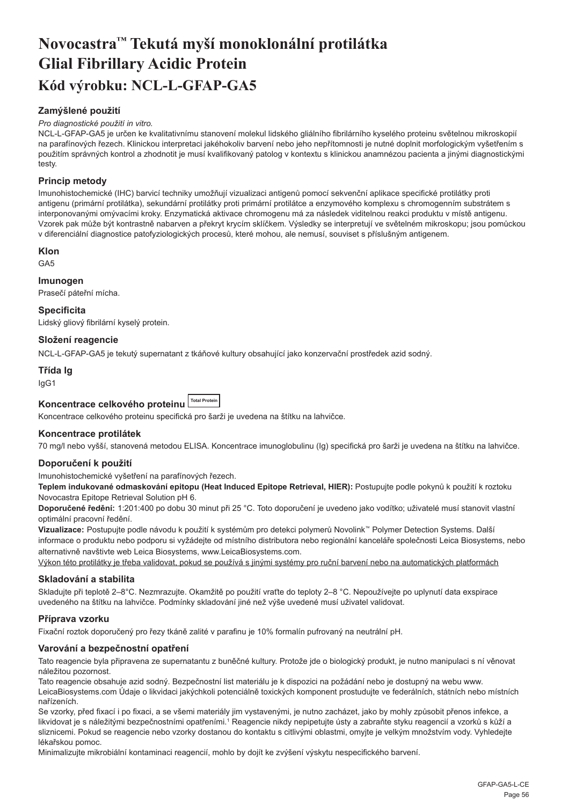# <span id="page-56-0"></span>**Novocastra™ Tekutá myší monoklonální protilátka Glial Fibrillary Acidic Protein Kód výrobku: NCL-L-GFAP-GA5**

# **Zamýšlené použití**

#### *Pro diagnostické použití in vitro.*

NCL-L-GFAP-GA5 je určen ke kvalitativnímu stanovení molekul lidského gliálního fibrilárního kyselého proteinu světelnou mikroskopií na parafínových řezech. Klinickou interpretaci jakéhokoliv barvení nebo jeho nepřítomnosti je nutné doplnit morfologickým vyšetřením s použitím správných kontrol a zhodnotit je musí kvalifikovaný patolog v kontextu s klinickou anamnézou pacienta a jinými diagnostickými testy.

# **Princip metody**

Imunohistochemické (IHC) barvicí techniky umožňují vizualizaci antigenů pomocí sekvenční aplikace specifické protilátky proti antigenu (primární protilátka), sekundární protilátky proti primární protilátce a enzymového komplexu s chromogenním substrátem s interponovanými omývacími kroky. Enzymatická aktivace chromogenu má za následek viditelnou reakci produktu v místě antigenu. Vzorek pak může být kontrastně nabarven a překryt krycím sklíčkem. Výsledky se interpretují ve světelném mikroskopu; jsou pomůckou v diferenciální diagnostice patofyziologických procesů, které mohou, ale nemusí, souviset s příslušným antigenem.

# **Klon**

GA5

# **Imunogen**

Prasečí páteřní mícha.

# **Specificita**

Lidský gliový fibrilární kyselý protein.

# **Složení reagencie**

NCL-L-GFAP-GA5 je tekutý supernatant z tkáňové kultury obsahující jako konzervační prostředek azid sodný.

# **Třída Ig**

IgG1

| Koncentrace celkového proteinu Total Protein |  |  |
|----------------------------------------------|--|--|
|                                              |  |  |

Koncentrace celkového proteinu specifická pro šarži je uvedena na štítku na lahvičce.

# **Koncentrace protilátek**

70 mg/l nebo vyšší, stanovená metodou ELISA. Koncentrace imunoglobulinu (Ig) specifická pro šarži je uvedena na štítku na lahvičce.

# **Doporučení k použití**

Imunohistochemické vyšetření na parafínových řezech.

**Teplem indukované odmaskování epitopu (Heat Induced Epitope Retrieval, HIER):** Postupujte podle pokynů k použití k roztoku Novocastra Epitope Retrieval Solution pH 6.

**Doporučené ředění:** 1:201:400 po dobu 30 minut při 25 °C. Toto doporučení je uvedeno jako vodítko; uživatelé musí stanovit vlastní optimální pracovní ředění.

**Vizualizace:** Postupujte podle návodu k použití k systémům pro detekci polymerů Novolink™ Polymer Detection Systems. Další informace o produktu nebo podporu si vyžádejte od místního distributora nebo regionální kanceláře společnosti Leica Biosystems, nebo alternativně navštivte web Leica Biosystems, www.LeicaBiosystems.com.

Výkon této protilátky je třeba validovat, pokud se používá s jinými systémy pro ruční barvení nebo na automatických platformách

# **Skladování a stabilita**

Skladujte při teplotě 2–8°C. Nezmrazujte. Okamžitě po použití vraťte do teploty 2–8 °C. Nepoužívejte po uplynutí data exspirace uvedeného na štítku na lahvičce. Podmínky skladování jiné než výše uvedené musí uživatel validovat.

# **Příprava vzorku**

Fixační roztok doporučený pro řezy tkáně zalité v parafinu je 10% formalín pufrovaný na neutrální pH.

# **Varování a bezpečnostní opatření**

Tato reagencie byla připravena ze supernatantu z buněčné kultury. Protože jde o biologický produkt, je nutno manipulaci s ní věnovat náležitou pozornost.

Tato reagencie obsahuje azid sodný. Bezpečnostní list materiálu je k dispozici na požádání nebo je dostupný na webu www. LeicaBiosystems.com Údaje o likvidaci jakýchkoli potenciálně toxických komponent prostudujte ve federálních, státních nebo místních nařízeních.

Se vzorky, před fixací i po fixaci, a se všemi materiály jim vystavenými, je nutno zacházet, jako by mohly způsobit přenos infekce, a likvidovat je s náležitými bezpečnostními opatřeními.1 Reagencie nikdy nepipetujte ústy a zabraňte styku reagencií a vzorků s kůží a sliznicemi. Pokud se reagencie nebo vzorky dostanou do kontaktu s citlivými oblastmi, omyjte je velkým množstvím vody. Vyhledejte lékařskou pomoc.

Minimalizujte mikrobiální kontaminaci reagencií, mohlo by dojít ke zvýšení výskytu nespecifického barvení.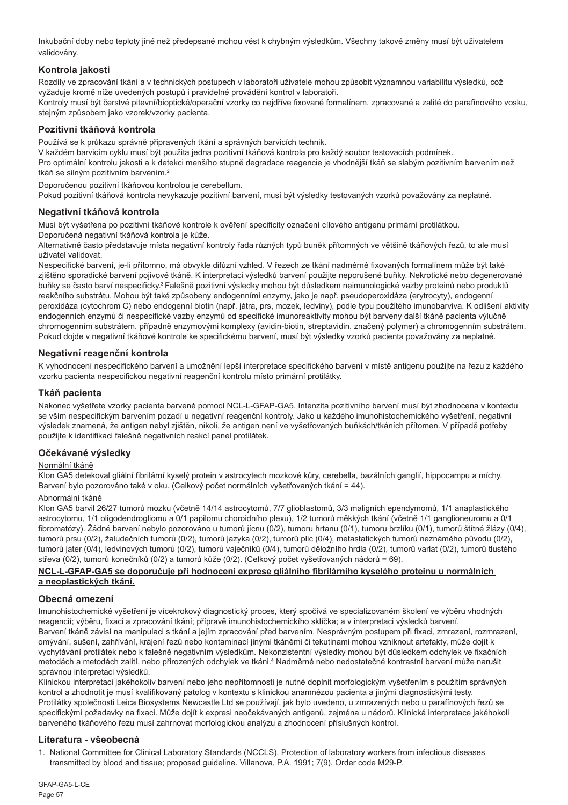Inkubační doby nebo teploty jiné než předepsané mohou vést k chybným výsledkům. Všechny takové změny musí být uživatelem validovány.

# **Kontrola jakosti**

Rozdíly ve zpracování tkání a v technických postupech v laboratoři uživatele mohou způsobit významnou variabilitu výsledků, což vyžaduje kromě níže uvedených postupů i pravidelné provádění kontrol v laboratoři.

Kontroly musí být čerstvé pitevní/bioptické/operační vzorky co nejdříve fixované formalínem, zpracované a zalité do parafínového vosku, stejným způsobem jako vzorek/vzorky pacienta.

# **Pozitivní tkáňová kontrola**

Používá se k průkazu správně připravených tkání a správných barvicích technik.

V každém barvicím cyklu musí být použita jedna pozitivní tkáňová kontrola pro každý soubor testovacích podmínek. Pro optimální kontrolu jakosti a k detekci menšího stupně degradace reagencie je vhodnější tkáň se slabým pozitivním barvením než tkáň se silným pozitivním barvením.<sup>2</sup>

Doporučenou pozitivní tkáňovou kontrolou je cerebellum.

Pokud pozitivní tkáňová kontrola nevykazuje pozitivní barvení, musí být výsledky testovaných vzorků považovány za neplatné.

# **Negativní tkáňová kontrola**

Musí být vyšetřena po pozitivní tkáňové kontrole k ověření specificity označení cílového antigenu primární protilátkou.

Doporučená negativní tkáňová kontrola je kůže.

Alternativně často představuje místa negativní kontroly řada různých typů buněk přítomných ve většině tkáňových řezů, to ale musí uživatel validovat.

Nespecifické barvení, je-li přítomno, má obvykle difúzní vzhled. V řezech ze tkání nadměrně fixovaných formalínem může být také zjištěno sporadické barvení pojivové tkáně. K interpretaci výsledků barvení použijte neporušené buňky. Nekrotické nebo degenerované buňky se často barví nespecificky.<sup>3</sup>Falešně pozitivní výsledky mohou být důsledkem neimunologické vazby proteinů nebo produktů reakčního substrátu. Mohou být také způsobeny endogenními enzymy, jako je např. pseudoperoxidáza (erytrocyty), endogenní peroxidáza (cytochrom C) nebo endogenní biotin (např. játra, prs, mozek, ledviny), podle typu použitého imunobarviva. K odlišení aktivity endogenních enzymů či nespecifické vazby enzymů od specifické imunoreaktivity mohou být barveny další tkáně pacienta výlučně chromogenním substrátem, případně enzymovými komplexy (avidin-biotin, streptavidin, značený polymer) a chromogenním substrátem. Pokud dojde v negativní tkáňové kontrole ke specifickému barvení, musí být výsledky vzorků pacienta považovány za neplatné.

# **Negativní reagenční kontrola**

K vyhodnocení nespecifického barvení a umožnění lepší interpretace specifického barvení v místě antigenu použijte na řezu z každého vzorku pacienta nespecifickou negativní reagenční kontrolu místo primární protilátky.

# **Tkáň pacienta**

Nakonec vyšetřete vzorky pacienta barvené pomocí NCL-L-GFAP-GA5. Intenzita pozitivního barvení musí být zhodnocena v kontextu se vším nespecifickým barvením pozadí u negativní reagenční kontroly. Jako u každého imunohistochemického vyšetření, negativní výsledek znamená, že antigen nebyl zjištěn, nikoli, že antigen není ve vyšetřovaných buňkách/tkáních přítomen. V případě potřeby použijte k identifikaci falešně negativních reakcí panel protilátek.

# **Očekávané výsledky**

# Normální tkáně

Klon GA5 detekoval gliální fibrilární kyselý protein v astrocytech mozkové kůry, cerebella, bazálních ganglií, hippocampu a míchy. Barvení bylo pozorováno také v oku. (Celkový počet normálních vyšetřovaných tkání = 44).

# Abnormální tkáně

Klon GA5 barvil 26/27 tumorů mozku (včetně 14/14 astrocytomů, 7/7 glioblastomů, 3/3 maligních ependymomů, 1/1 anaplastického astrocytomu, 1/1 oligodendrogliomu a 0/1 papilomu choroidního plexu), 1/2 tumorů měkkých tkání (včetně 1/1 ganglioneuromu a 0/1 fibromatózy). Žádné barvení nebylo pozorováno u tumorů jícnu (0/2), tumoru hrtanu (0/1), tumoru brzlíku (0/1), tumorů štítné žlázy (0/4), tumorů prsu (0/2), žaludečních tumorů (0/2), tumorů jazyka (0/2), tumorů plic (0/4), metastatických tumorů neznámého původu (0/2), tumorů jater (0/4), ledvinových tumorů (0/2), tumorů vaječníků (0/4), tumorů děložního hrdla (0/2), tumorů varlat (0/2), tumorů tlustého střeva (0/2), tumorů konečníků (0/2) a tumorů kůže (0/2). (Celkový počet vyšetřovaných nádorů = 69).

# **NCL-L-GFAP-GA5 se doporučuje při hodnocení exprese gliálního fibrilárního kyselého proteinu u normálních a neoplastických tkání.**

# **Obecná omezení**

Imunohistochemické vyšetření je vícekrokový diagnostický proces, který spočívá ve specializovaném školení ve výběru vhodných reagencií; výběru, fixaci a zpracování tkání; přípravě imunohistochemickího sklíčka; a v interpretaci výsledků barvení. Barvení tkáně závisí na manipulaci s tkání a jejím zpracování před barvením. Nesprávným postupem při fixaci, zmrazení, rozmrazení, omývání, sušení, zahřívání, krájení řezů nebo kontaminací jinými tkáněmi či tekutinami mohou vzniknout artefakty, může dojít k vychytávání protilátek nebo k falešně negativním výsledkům. Nekonzistentní výsledky mohou být důsledkem odchylek ve fixačních metodách a metodách zalití, nebo přirozených odchylek ve tkáni.<sup>4</sup> Nadměrné nebo nedostatečné kontrastní barvení může narušit správnou interpretaci výsledků.

Klinickou interpretaci jakéhokoliv barvení nebo jeho nepřítomnosti je nutné doplnit morfologickým vyšetřením s použitím správných kontrol a zhodnotit je musí kvalifikovaný patolog v kontextu s klinickou anamnézou pacienta a jinými diagnostickými testy. Protilátky společnosti Leica Biosystems Newcastle Ltd se používají, jak bylo uvedeno, u zmrazených nebo u parafínových řezů se specifickými požadavky na fixaci. Může dojít k expresi neočekávaných antigenů, zejména u nádorů. Klinická interpretace jakéhokoli barveného tkáňového řezu musí zahrnovat morfologickou analýzu a zhodnocení příslušných kontrol.

# **Literatura - všeobecná**

1. National Committee for Clinical Laboratory Standards (NCCLS). Protection of laboratory workers from infectious diseases transmitted by blood and tissue; proposed guideline. Villanova, P.A. 1991; 7(9). Order code M29-P.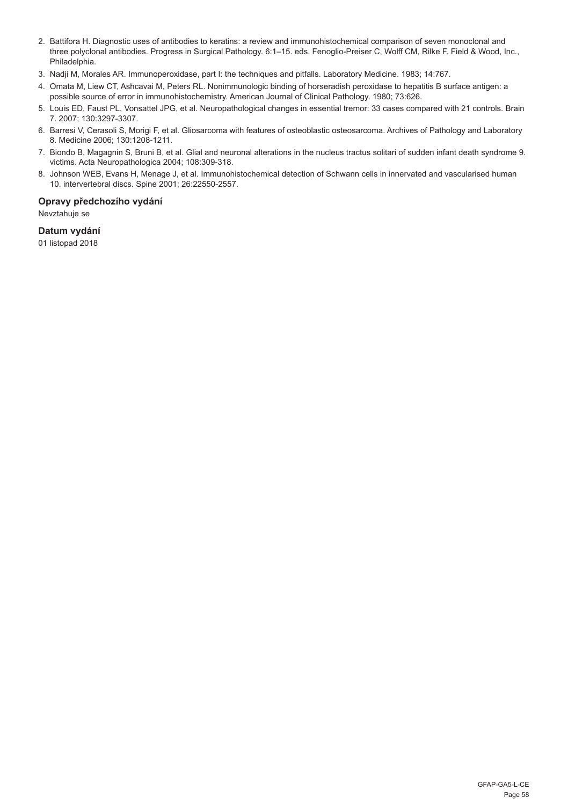- 2. Battifora H. Diagnostic uses of antibodies to keratins: a review and immunohistochemical comparison of seven monoclonal and three polyclonal antibodies. Progress in Surgical Pathology. 6:1–15. eds. Fenoglio-Preiser C, Wolff CM, Rilke F. Field & Wood, Inc., Philadelphia.
- 3. Nadji M, Morales AR. Immunoperoxidase, part I: the techniques and pitfalls. Laboratory Medicine. 1983; 14:767.
- 4. Omata M, Liew CT, Ashcavai M, Peters RL. Nonimmunologic binding of horseradish peroxidase to hepatitis B surface antigen: a possible source of error in immunohistochemistry. American Journal of Clinical Pathology. 1980; 73:626.
- 5. Louis ED, Faust PL, Vonsattel JPG, et al. Neuropathological changes in essential tremor: 33 cases compared with 21 controls. Brain 7. 2007; 130:3297-3307.
- 6. Barresi V, Cerasoli S, Morigi F, et al. Gliosarcoma with features of osteoblastic osteosarcoma. Archives of Pathology and Laboratory 8. Medicine 2006; 130:1208-1211.
- 7. Biondo B, Magagnin S, Bruni B, et al. Glial and neuronal alterations in the nucleus tractus solitari of sudden infant death syndrome 9. victims. Acta Neuropathologica 2004; 108:309-318.
- 8. Johnson WEB, Evans H, Menage J, et al. Immunohistochemical detection of Schwann cells in innervated and vascularised human 10. intervertebral discs. Spine 2001; 26:22550-2557.

# **Opravy předchozího vydání**

Nevztahuje se

# **Datum vydání**

01 listopad 2018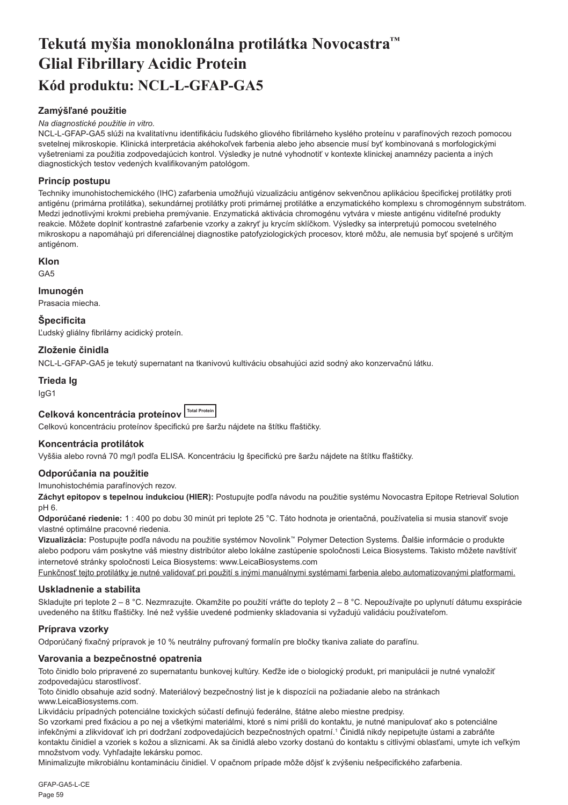# <span id="page-59-0"></span>**Tekutá myšia monoklonálna protilátka Novocastra™ Glial Fibrillary Acidic Protein Kód produktu: NCL-L-GFAP-GA5**

# **Zamýšľané použitie**

#### *Na diagnostické použitie in vitro.*

NCL-L-GFAP-GA5 slúži na kvalitatívnu identifikáciu ľudského gliového fibrilárneho kyslého proteínu v parafínových rezoch pomocou svetelnej mikroskopie. Klinická interpretácia akéhokoľvek farbenia alebo jeho absencie musí byť kombinovaná s morfologickými vyšetreniami za použitia zodpovedajúcich kontrol. Výsledky je nutné vyhodnotiť v kontexte klinickej anamnézy pacienta a iných diagnostických testov vedených kvalifikovaným patológom.

# **Princíp postupu**

Techniky imunohistochemického (IHC) zafarbenia umožňujú vizualizáciu antigénov sekvenčnou aplikáciou špecifickej protilátky proti antigénu (primárna protilátka), sekundárnej protilátky proti primárnej protilátke a enzymatického komplexu s chromogénnym substrátom. Medzi jednotlivými krokmi prebieha premývanie. Enzymatická aktivácia chromogénu vytvára v mieste antigénu viditeľné produkty reakcie. Môžete doplniť kontrastné zafarbenie vzorky a zakryť ju krycím sklíčkom. Výsledky sa interpretujú pomocou svetelného mikroskopu a napomáhajú pri diferenciálnej diagnostike patofyziologických procesov, ktoré môžu, ale nemusia byť spojené s určitým antigénom.

# **Klon**

GA5

# **Imunogén**

Prasacia miecha.

# **Špecificita**

Ľudský gliálny fibrilárny acidický proteín.

# **Zloženie činidla**

NCL-L-GFAP-GA5 je tekutý supernatant na tkanivovú kultiváciu obsahujúci azid sodný ako konzervačnú látku.

# **Trieda Ig**

IgG1

# Celková koncentrácia proteínov **ITotal Protein**

Celkovú koncentráciu proteínov špecifickú pre šaržu nájdete na štítku fľaštičky.

# **Koncentrácia protilátok**

Vyššia alebo rovná 70 mg/l podľa ELISA. Koncentráciu Ig špecifickú pre šaržu nájdete na štítku fľaštičky.

# **Odporúčania na použitie**

Imunohistochémia parafínových rezov.

**Záchyt epitopov s tepelnou indukciou (HIER):** Postupujte podľa návodu na použitie systému Novocastra Epitope Retrieval Solution pH 6.

**Odporúčané riedenie:** 1 : 400 po dobu 30 minút pri teplote 25 °C. Táto hodnota je orientačná, používatelia si musia stanoviť svoje vlastné optimálne pracovné riedenia.

**Vizualizácia:** Postupujte podľa návodu na použitie systémov Novolink™ Polymer Detection Systems. Ďalšie informácie o produkte alebo podporu vám poskytne váš miestny distribútor alebo lokálne zastúpenie spoločnosti Leica Biosystems. Takisto môžete navštíviť internetové stránky spoločnosti Leica Biosystems: www.LeicaBiosystems.com

Funkčnosť tejto protilátky je nutné validovať pri použití s inými manuálnymi systémami farbenia alebo automatizovanými platformami.

# **Uskladnenie a stabilita**

Skladujte pri teplote 2 – 8 °C. Nezmrazujte. Okamžite po použití vráťte do teploty 2 – 8 °C. Nepoužívajte po uplynutí dátumu exspirácie uvedeného na štítku fľaštičky. Iné než vyššie uvedené podmienky skladovania si vyžadujú validáciu používateľom.

# **Príprava vzorky**

Odporúčaný fixačný prípravok je 10 % neutrálny pufrovaný formalín pre bločky tkaniva zaliate do parafínu.

# **Varovania a bezpečnostné opatrenia**

Toto činidlo bolo pripravené zo supernatantu bunkovej kultúry. Keďže ide o biologický produkt, pri manipulácii je nutné vynaložiť zodpovedajúcu starostlivosť.

Toto činidlo obsahuje azid sodný. Materiálový bezpečnostný list je k dispozícii na požiadanie alebo na stránkach www.LeicaBiosystems.com.

Likvidáciu prípadných potenciálne toxických súčastí definujú federálne, štátne alebo miestne predpisy.

So vzorkami pred fixáciou a po nej a všetkými materiálmi, ktoré s nimi prišli do kontaktu, je nutné manipulovať ako s potenciálne infekčnými a zlikvidovať ich pri dodržaní zodpovedajúcich bezpečnostných opatrní.<sup>1</sup> Činidlá nikdy nepipetujte ústami a zabráňte kontaktu činidiel a vzoriek s kožou a sliznicami. Ak sa činidlá alebo vzorky dostanú do kontaktu s citlivými oblasťami, umyte ich veľkým množstvom vody. Vyhľadajte lekársku pomoc.

Minimalizujte mikrobiálnu kontamináciu činidiel. V opačnom prípade môže dôjsť k zvýšeniu nešpecifického zafarbenia.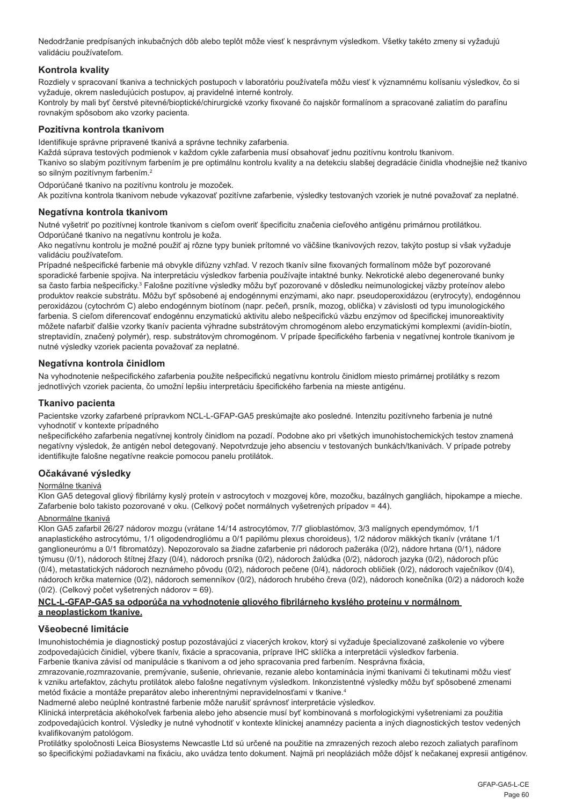Nedodržanie predpísaných inkubačných dôb alebo teplôt môže viesť k nesprávnym výsledkom. Všetky takéto zmeny si vyžadujú validáciu používateľom.

# **Kontrola kvality**

Rozdiely v spracovaní tkaniva a technických postupoch v laboratóriu používateľa môžu viesť k významnému kolísaniu výsledkov, čo si vyžaduje, okrem nasledujúcich postupov, aj pravidelné interné kontroly.

Kontroly by mali byť čerstvé pitevné/bioptické/chirurgické vzorky fixované čo najskôr formalínom a spracované zaliatím do parafínu rovnakým spôsobom ako vzorky pacienta.

# **Pozitívna kontrola tkanivom**

Identifikuje správne pripravené tkanivá a správne techniky zafarbenia.

Každá súprava testových podmienok v každom cykle zafarbenia musí obsahovať jednu pozitívnu kontrolu tkanivom.

Tkanivo so slabým pozitívnym farbením je pre optimálnu kontrolu kvality a na detekciu slabšej degradácie činidla vhodnejšie než tkanivo so silným pozitívnym farbením.<sup>2</sup>

Odporúčané tkanivo na pozitívnu kontrolu je mozoček.

Ak pozitívna kontrola tkanivom nebude vykazovať pozitívne zafarbenie, výsledky testovaných vzoriek je nutné považovať za neplatné.

#### **Negatívna kontrola tkanivom**

Nutné vyšetriť po pozitívnej kontrole tkanivom s cieľom overiť špecificitu značenia cieľového antigénu primárnou protilátkou. Odporúčané tkanivo na negatívnu kontrolu je koža.

Ako negatívnu kontrolu je možné použiť aj rôzne typy buniek prítomné vo väčšine tkanivových rezov, takýto postup si však vyžaduje validáciu používateľom.

Prípadné nešpecifické farbenie má obvykle difúzny vzhľad. V rezoch tkanív silne fixovaných formalínom môže byť pozorované sporadické farbenie spojiva. Na interpretáciu výsledkov farbenia používajte intaktné bunky. Nekrotické alebo degenerované bunky sa často farbia nešpecificky.<sup>3</sup> Falošne pozitívne výsledky môžu byť pozorované v dôsledku neimunologickej väzby proteínov alebo produktov reakcie substrátu. Môžu byť spôsobené aj endogénnymi enzýmami, ako napr. pseudoperoxidázou (erytrocyty), endogénnou peroxidázou (cytochróm C) alebo endogénnym biotínom (napr. pečeň, prsník, mozog, oblička) v závislosti od typu imunologického farbenia. S cieľom diferencovať endogénnu enzymatickú aktivitu alebo nešpecifickú väzbu enzýmov od špecifickej imunoreaktivity môžete nafarbiť ďalšie vzorky tkanív pacienta výhradne substrátovým chromogénom alebo enzymatickými komplexmi (avidín-biotín, streptavidín, značený polymér), resp. substrátovým chromogénom. V prípade špecifického farbenia v negatívnej kontrole tkanivom je nutné výsledky vzoriek pacienta považovať za neplatné.

#### **Negatívna kontrola činidlom**

Na vyhodnotenie nešpecifického zafarbenia použite nešpecifickú negatívnu kontrolu činidlom miesto primárnej protilátky s rezom jednotlivých vzoriek pacienta, čo umožní lepšiu interpretáciu špecifického farbenia na mieste antigénu.

#### **Tkanivo pacienta**

Pacientske vzorky zafarbené prípravkom NCL-L-GFAP-GA5 preskúmajte ako posledné. Intenzitu pozitívneho farbenia je nutné vyhodnotiť v kontexte prípadného

nešpecifického zafarbenia negatívnej kontroly činidlom na pozadí. Podobne ako pri všetkých imunohistochemických testov znamená negatívny výsledok, že antigén nebol detegovaný. Nepotvrdzuje jeho absenciu v testovaných bunkách/tkanivách. V prípade potreby identifikujte falošne negatívne reakcie pomocou panelu protilátok.

# **Očakávané výsledky**

#### Normálne tkanivá

Klon GA5 detegoval gliový fibrilárny kyslý proteín v astrocytoch v mozgovej kôre, mozočku, bazálnych gangliách, hipokampe a mieche. Zafarbenie bolo takisto pozorované v oku. (Celkový počet normálnych vyšetrených prípadov = 44).

#### Abnormálne tkanivá

Klon GA5 zafarbil 26/27 nádorov mozgu (vrátane 14/14 astrocytómov, 7/7 glioblastómov, 3/3 malígnych ependymómov, 1/1 anaplastického astrocytómu, 1/1 oligodendrogliómu a 0/1 papilómu plexus choroideus), 1/2 nádorov mäkkých tkanív (vrátane 1/1 ganglioneurómu a 0/1 fibromatózy). Nepozorovalo sa žiadne zafarbenie pri nádoroch pažeráka (0/2), nádore hrtana (0/1), nádore týmusu (0/1), nádoroch štítnej žľazy (0/4), nádoroch prsníka (0/2), nádoroch žalúdka (0/2), nádoroch jazyka (0/2), nádoroch pľúc (0/4), metastatických nádoroch neznámeho pôvodu (0/2), nádoroch pečene (0/4), nádoroch obličiek (0/2), nádoroch vaječníkov (0/4), nádoroch krčka maternice (0/2), nádoroch semenníkov (0/2), nádoroch hrubého čreva (0/2), nádoroch konečníka (0/2) a nádoroch kože (0/2). (Celkový počet vyšetrených nádorov = 69).

#### **NCL-L-GFAP-GA5 sa odporúča na vyhodnotenie gliového fibrilárneho kyslého proteínu v normálnom a neoplastickom tkanive.**

## **Všeobecné limitácie**

Imunohistochémia je diagnostický postup pozostávajúci z viacerých krokov, ktorý si vyžaduje špecializované zaškolenie vo výbere zodpovedajúcich činidiel, výbere tkanív, fixácie a spracovania, príprave IHC sklíčka a interpretácii výsledkov farbenia. Farbenie tkaniva závisí od manipulácie s tkanivom a od jeho spracovania pred farbením. Nesprávna fixácia,

zmrazovanie,rozmrazovanie, premývanie, sušenie, ohrievanie, rezanie alebo kontaminácia inými tkanivami či tekutinami môžu viesť k vzniku artefaktov, záchytu protilátok alebo falošne negatívnym výsledkom. Inkonzistentné výsledky môžu byť spôsobené zmenami metód fixácie a montáže preparátov alebo inherentnými nepravidelnosťami v tkanive.<sup>4</sup>

Nadmerné alebo neúplné kontrastné farbenie môže narušiť správnosť interpretácie výsledkov.

Klinická interpretácia akéhokoľvek farbenia alebo jeho absencie musí byť kombinovaná s morfologickými vyšetreniami za použitia zodpovedajúcich kontrol. Výsledky je nutné vyhodnotiť v kontexte klinickej anamnézy pacienta a iných diagnostických testov vedených kvalifikovaným patológom.

Protilátky spoločnosti Leica Biosystems Newcastle Ltd sú určené na použitie na zmrazených rezoch alebo rezoch zaliatych parafínom so špecifickými požiadavkami na fixáciu, ako uvádza tento dokument. Najmä pri neopláziách môže dôjsť k nečakanej expresii antigénov.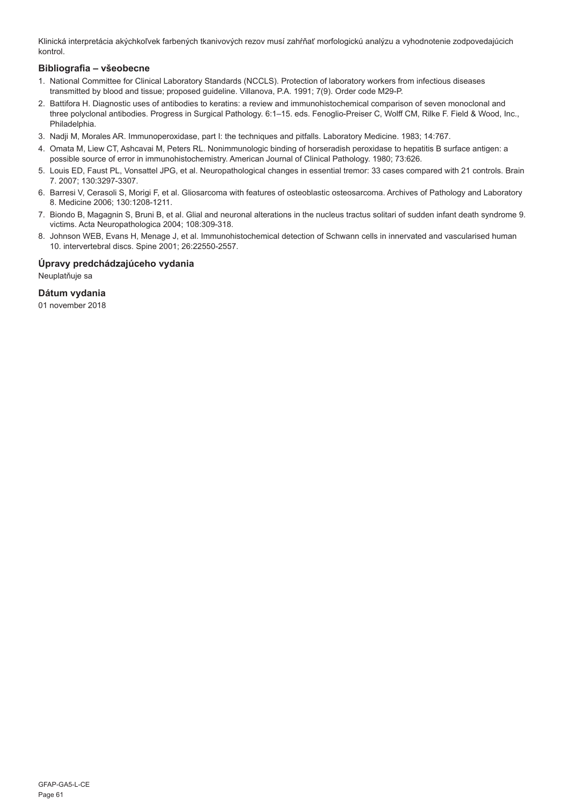Klinická interpretácia akýchkoľvek farbených tkanivových rezov musí zahŕňať morfologickú analýzu a vyhodnotenie zodpovedajúcich kontrol.

# **Bibliografia – všeobecne**

- 1. National Committee for Clinical Laboratory Standards (NCCLS). Protection of laboratory workers from infectious diseases transmitted by blood and tissue; proposed guideline. Villanova, P.A. 1991; 7(9). Order code M29-P.
- 2. Battifora H. Diagnostic uses of antibodies to keratins: a review and immunohistochemical comparison of seven monoclonal and three polyclonal antibodies. Progress in Surgical Pathology. 6:1–15. eds. Fenoglio-Preiser C, Wolff CM, Rilke F. Field & Wood, Inc., Philadelphia.
- 3. Nadji M, Morales AR. Immunoperoxidase, part I: the techniques and pitfalls. Laboratory Medicine. 1983; 14:767.
- 4. Omata M, Liew CT, Ashcavai M, Peters RL. Nonimmunologic binding of horseradish peroxidase to hepatitis B surface antigen: a possible source of error in immunohistochemistry. American Journal of Clinical Pathology. 1980; 73:626.
- 5. Louis ED, Faust PL, Vonsattel JPG, et al. Neuropathological changes in essential tremor: 33 cases compared with 21 controls. Brain 7. 2007; 130:3297-3307.
- 6. Barresi V, Cerasoli S, Morigi F, et al. Gliosarcoma with features of osteoblastic osteosarcoma. Archives of Pathology and Laboratory 8. Medicine 2006; 130:1208-1211.
- 7. Biondo B, Magagnin S, Bruni B, et al. Glial and neuronal alterations in the nucleus tractus solitari of sudden infant death syndrome 9. victims. Acta Neuropathologica 2004; 108:309-318.
- 8. Johnson WEB, Evans H, Menage J, et al. Immunohistochemical detection of Schwann cells in innervated and vascularised human 10. intervertebral discs. Spine 2001; 26:22550-2557.

# **Úpravy predchádzajúceho vydania**

Neuplatňuje sa

# **Dátum vydania**

01 november 2018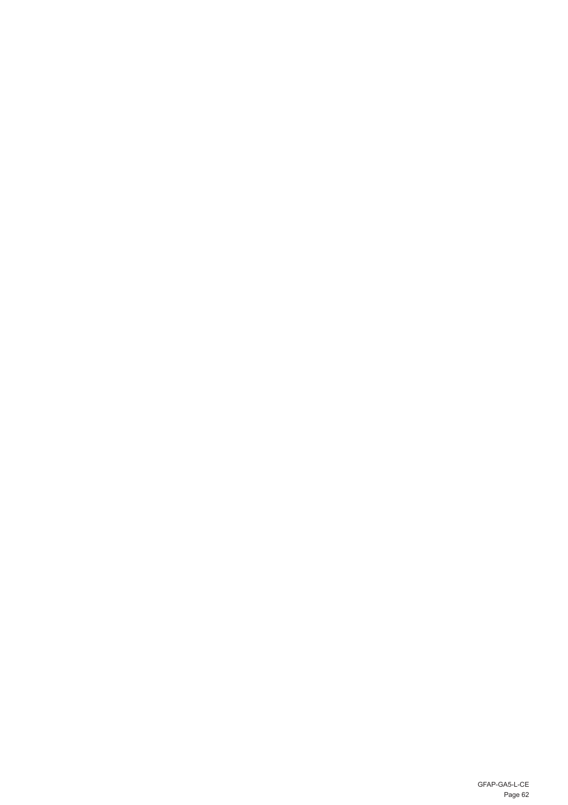GFAP-GA5-L-CE Page 62